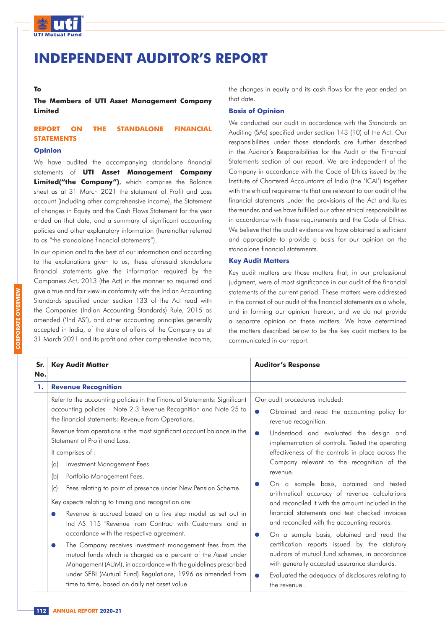

# **INDEPENDENT AUDITOR'S REPORT**

#### **To**

**The Members of UTI Asset Management Company Limited**

### **REPORT ON THE STANDALONE FINANCIAL STATEMENTS**

#### **Opinion**

We have audited the accompanying standalone financial statements of **UTI Asset Management Company Limited("the Company")**, which comprise the Balance sheet as at 31 March 2021 the statement of Profit and Loss account (including other comprehensive income), the Statement of changes in Equity and the Cash Flows Statement for the year ended on that date, and a summary of significant accounting policies and other explanatory information (hereinafter referred to as "the standalone financial statements").

In our opinion and to the best of our information and according to the explanations given to us, these aforesaid standalone financial statements give the information required by the Companies Act, 2013 (the Act) in the manner so required and give a true and fair view in conformity with the Indian Accounting Standards specified under section 133 of the Act read with the Companies (Indian Accounting Standards) Rule, 2015 as amended ('Ind AS'), and other accounting principles generally accepted in India, of the state of affairs of the Company as at 31 March 2021 and its profit and other comprehensive income,

the changes in equity and its cash flows for the year ended on that date.

#### **Basis of Opinion**

We conducted our audit in accordance with the Standards on Auditing (SAs) specified under section 143 (10) of the Act. Our responsibilities under those standards are further described in the Auditor's Responsibilities for the Audit of the Financial Statements section of our report. We are independent of the Company in accordance with the Code of Ethics issued by the Institute of Chartered Accountants of India (the 'ICAI') together with the ethical requirements that are relevant to our audit of the financial statements under the provisions of the Act and Rules thereunder, and we have fulfilled our other ethical responsibilities in accordance with these requirements and the Code of Ethics. We believe that the audit evidence we have obtained is sufficient and appropriate to provide a basis for our opinion on the standalone financial statements.

#### **Key Audit Matters**

Key audit matters are those matters that, in our professional judgment, were of most significance in our audit of the financial statements of the current period. These matters were addressed in the context of our audit of the financial statements as a whole, and in forming our opinion thereon, and we do not provide a separate opinion on these matters. We have determined the matters described below to be the key audit matters to be communicated in our report.

| Sr.<br>No. | <b>Key Audit Matter</b>                                                                                                                                                                                                                                                                                    | <b>Auditor's Response</b>                                                                                                                                                                                                                                             |
|------------|------------------------------------------------------------------------------------------------------------------------------------------------------------------------------------------------------------------------------------------------------------------------------------------------------------|-----------------------------------------------------------------------------------------------------------------------------------------------------------------------------------------------------------------------------------------------------------------------|
| 1.         | <b>Revenue Recognition</b>                                                                                                                                                                                                                                                                                 |                                                                                                                                                                                                                                                                       |
|            | Refer to the accounting policies in the Financial Statements: Significant<br>accounting policies - Note 2.3 Revenue Recognition and Note 25 to<br>the financial statements: Revenue from Operations.                                                                                                       | Our audit procedures included:<br>Obtained and read the accounting policy for<br>revenue recognition.                                                                                                                                                                 |
|            | Revenue from operations is the most significant account balance in the<br>Statement of Profit and Loss.                                                                                                                                                                                                    | Understood and evaluated the design and<br>implementation of controls. Tested the operating                                                                                                                                                                           |
|            | It comprises of :<br>Investment Management Fees.<br>(a)<br>(b)<br>Portfolio Management Fees.                                                                                                                                                                                                               | effectiveness of the controls in place across the<br>Company relevant to the recognition of the<br>revenue.                                                                                                                                                           |
|            | Fees relating to point of presence under New Pension Scheme.<br>(c)<br>Key aspects relating to timing and recognition are:                                                                                                                                                                                 | On a sample basis, obtained and tested<br>arithmetical accuracy of revenue calculations<br>and reconciled it with the amount included in the                                                                                                                          |
|            | Revenue is accrued based on a five step model as set out in<br>Ind AS 115 "Revenue from Contract with Customers" and in<br>accordance with the respective agreement.                                                                                                                                       | financial statements and test checked invoices<br>and reconciled with the accounting records.                                                                                                                                                                         |
|            | The Company receives investment management fees from the<br>mutual funds which is charged as a percent of the Asset under<br>Management (AUM), in accordance with the guidelines prescribed<br>under SEBI (Mutual Fund) Regulations, 1996 as amended from<br>time to time, based on daily net asset value. | On a sample basis, obtained and read the<br>0<br>certification reports issued by the statutory<br>auditors of mutual fund schemes, in accordance<br>with generally accepted assurance standards.<br>Evaluated the adequacy of disclosures relating to<br>the revenue. |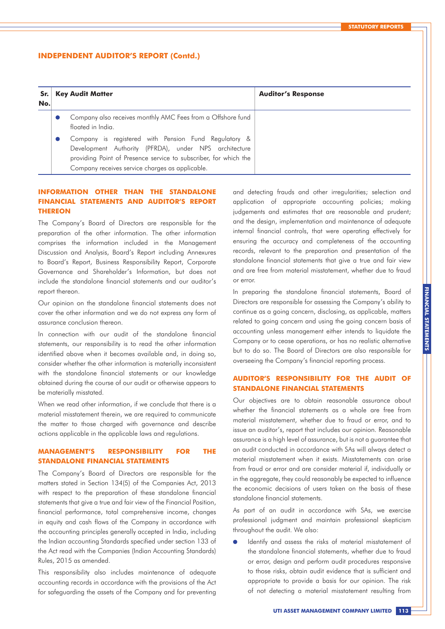| Sr.<br>No. | <b>Key Audit Matter</b>                                                                                                                                                                                                              | <b>Auditor's Response</b> |
|------------|--------------------------------------------------------------------------------------------------------------------------------------------------------------------------------------------------------------------------------------|---------------------------|
|            | Company also receives monthly AMC Fees from a Offshore fund<br>floated in India.                                                                                                                                                     |                           |
|            | Company is registered with Pension Fund Regulatory &<br>Development Authority (PFRDA), under NPS architecture<br>providing Point of Presence service to subscriber, for which the<br>Company receives service charges as applicable. |                           |

### **INFORMATION OTHER THAN THE STANDALONE FINANCIAL STATEMENTS AND AUDITOR'S REPORT THEREON**

The Company's Board of Directors are responsible for the preparation of the other information. The other information comprises the information included in the Management Discussion and Analysis, Board's Report including Annexures to Board's Report, Business Responsibility Report, Corporate Governance and Shareholder's Information, but does not include the standalone financial statements and our auditor's report thereon.

Our opinion on the standalone financial statements does not cover the other information and we do not express any form of assurance conclusion thereon.

In connection with our audit of the standalone financial statements, our responsibility is to read the other information identified above when it becomes available and, in doing so, consider whether the other information is materially inconsistent with the standalone financial statements or our knowledge obtained during the course of our audit or otherwise appears to be materially misstated.

When we read other information, if we conclude that there is a material misstatement therein, we are required to communicate the matter to those charged with governance and describe actions applicable in the applicable laws and regulations.

#### **MANAGEMENT'S RESPONSIBILITY FOR THE STANDALONE FINANCIAL STATEMENTS**

The Company's Board of Directors are responsible for the matters stated in Section 134(5) of the Companies Act, 2013 with respect to the preparation of these standalone financial statements that give a true and fair view of the Financial Position, financial performance, total comprehensive income, changes in equity and cash flows of the Company in accordance with the accounting principles generally accepted in India, including the Indian accounting Standards specified under section 133 of the Act read with the Companies (Indian Accounting Standards) Rules, 2015 as amended.

This responsibility also includes maintenance of adequate accounting records in accordance with the provisions of the Act for safeguarding the assets of the Company and for preventing and detecting frauds and other irregularities; selection and application of appropriate accounting policies; making judgements and estimates that are reasonable and prudent; and the design, implementation and maintenance of adequate internal financial controls, that were operating effectively for ensuring the accuracy and completeness of the accounting records, relevant to the preparation and presentation of the standalone financial statements that give a true and fair view and are free from material misstatement, whether due to fraud or error.

In preparing the standalone financial statements, Board of Directors are responsible for assessing the Company's ability to continue as a going concern, disclosing, as applicable, matters related to going concern and using the going concern basis of accounting unless management either intends to liquidate the Company or to cease operations, or has no realistic alternative but to do so. The Board of Directors are also responsible for overseeing the Company's financial reporting process.

### **AUDITOR'S RESPONSIBILITY FOR THE AUDIT OF STANDALONE FINANCIAL STATEMENTS**

Our objectives are to obtain reasonable assurance about whether the financial statements as a whole are free from material misstatement, whether due to fraud or error, and to issue an auditor's, report that includes our opinion. Reasonable assurance is a high level of assurance, but is not a guarantee that an audit conducted in accordance with SAs will always detect a material misstatement when it exists. Misstatements can arise from fraud or error and are consider material if, individually or in the aggregate, they could reasonably be expected to influence the economic decisions of users taken on the basis of these standalone financial statements.

As part of an audit in accordance with SAs, we exercise professional judgment and maintain professional skepticism throughout the audit. We also:

 $\bullet$ Identify and assess the risks of material misstatement of the standalone financial statements, whether due to fraud or error, design and perform audit procedures responsive to those risks, obtain audit evidence that is sufficient and appropriate to provide a basis for our opinion. The risk of not detecting a material misstatement resulting from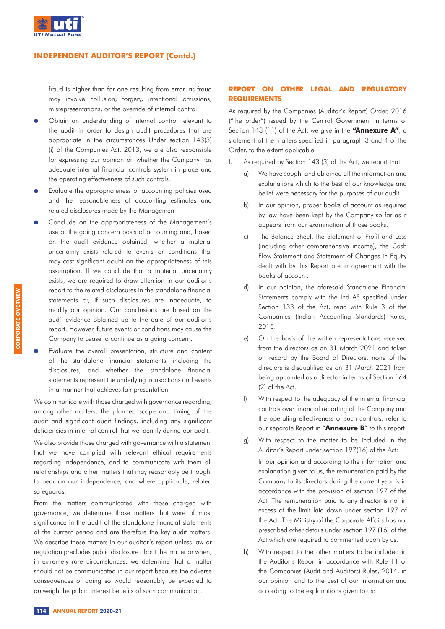

fraud is higher than for one resulting from error, as fraud may involve collusion, forgery, intentional omissions, misrepresentations, or the override of internal control.

- Obtain an understanding of internal control relevant to the audit in order to design audit procedures that are appropriate in the circumstances Under section 143(3) (i) of the Companies Act, 2013, we are also responsible for expressing our opinion on whether the Company has adequate internal financial controls system in place and the operating effectiveness of such controls.
- Evaluate the appropriateness of accounting policies used and the reasonableness of accounting estimates and related disclosures made by the Management.
- Conclude on the appropriateness of the Management's use of the going concern basis of accounting and, based on the audit evidence obtained, whether a material uncertainty exists related to events or conditions that may cast significant doubt on the appropriateness of this assumption. If we conclude that a material uncertainty exists, we are required to draw attention in our auditor's report to the related disclosures in the standalone financial statements or, if such disclosures are inadequate, to modify our opinion. Our conclusions are based on the audit evidence obtained up to the date of our auditor's report. However, future events or conditions may cause the Company to cease to continue as a going concern.
- Evaluate the overall presentation, structure and content of the standalone financial statements, including the disclosures, and whether the standalone financial statements represent the underlying transactions and events in a manner that achieves fair presentation.

We communicate with those charged with governance regarding, among other matters, the planned scope and timing of the audit and significant audit findings, including any significant deficiencies in internal control that we identify during our audit.

We also provide those charged with governance with a statement that we have complied with relevant ethical requirements regarding independence, and to communicate with them all relationships and other matters that may reasonably be thought to bear on our independence, and where applicable, related safeguards.

From the matters communicated with those charged with governance, we determine those matters that were of most significance in the audit of the standalone financial statements of the current period and are therefore the key audit matters. We describe these matters in our auditor's report unless law or regulation precludes public disclosure about the matter or when, in extremely rare circumstances, we determine that a matter should not be communicated in our report because the adverse consequences of doing so would reasonably be expected to outweigh the public interest benefits of such communication.

#### **REPORT ON OTHER LEGAL AND REGULATORY REQUIREMENTS**

As required by the Companies (Auditor's Report) Order, 2016 ("the order") issued by the Central Government in terms of Section 143 (11) of the Act, we give in the **"Annexure A"**, a statement of the matters specified in paragraph 3 and 4 of the Order, to the extent applicable.

- As required by Section 143 (3) of the Act, we report that:
	- a) We have sought and obtained all the information and explanations which to the best of our knowledge and belief were necessary for the purposes of our audit.
	- b) In our opinion, proper books of account as required by law have been kept by the Company so far as it appears from our examination of those books.
	- c) The Balance Sheet, the Statement of Profit and Loss (including other comprehensive income), the Cash Flow Statement and Statement of Changes in Equity dealt with by this Report are in agreement with the books of account.
	- d) In our opinion, the aforesaid Standalone Financial Statements comply with the Ind AS specified under Section 133 of the Act, read with Rule 3 of the Companies (Indian Accounting Standards) Rules, 2015.
	- e) On the basis of the written representations received from the directors as on 31 March 2021 and taken on record by the Board of Directors, none of the directors is disqualified as on 31 March 2021 from being appointed as a director in terms of Section 164 (2) of the Act.
	- f) With respect to the adequacy of the internal financial controls over financial reporting of the Company and the operating effectiveness of such controls, refer to our separate Report in "**Annexure B**" to this report
	- g) With respect to the matter to be included in the Auditor's Report under section 197(16) of the Act:

In our opinion and according to the information and explanation given to us, the remuneration paid by the Company to its directors during the current year is in accordance with the provision of section 197 of the Act. The remuneration paid to any director is not in excess of the limit laid down under section 197 of the Act. The Ministry of the Corporate Affairs has not prescribed other details under section 197 (16) of the Act which are required to commented upon by us.

h) With respect to the other matters to be included in the Auditor's Report in accordance with Rule 11 of the Companies (Audit and Auditors) Rules, 2014, in our opinion and to the best of our information and according to the explanations given to us: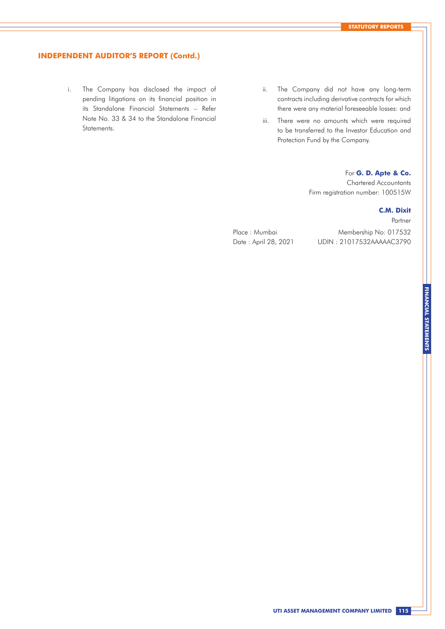- i. The Company has disclosed the impact of pending litigations on its financial position in its Standalone Financial Statements – Refer Note No. 33 & 34 to the Standalone Financial Statements.
- ii. The Company did not have any long-term contracts including derivative contracts for which there were any material foreseeable losses: and
- iii. There were no amounts which were required to be transferred to the Investor Education and Protection Fund by the Company.

#### For **G. D. Apte & Co.**

Chartered Accountants Firm registration number: 100515W

### **C.M. Dixit**

Partner Place : Mumbai Membership No: 017532 Date : April 28, 2021 UDIN : 21017532AAAAAC3790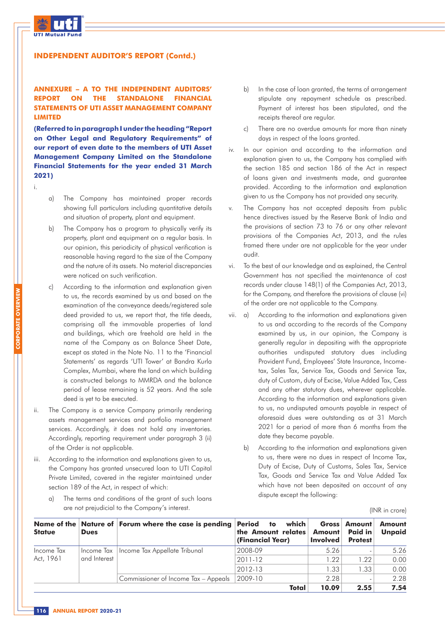

**ANNEXURE – A TO THE INDEPENDENT AUDITORS' REPORT ON THE STANDALONE FINANCIAL STATEMENTS OF UTI ASSET MANAGEMENT COMPANY LIMITED**

**(Referred to in paragraph I under the heading "Report on Other Legal and Regulatory Requirements" of our report of even date to the members of UTI Asset Management Company Limited on the Standalone Financial Statements for the year ended 31 March 2021)**

- i.
- a) The Company has maintained proper records showing full particulars including quantitative details and situation of property, plant and equipment.
- b) The Company has a program to physically verify its property, plant and equipment on a regular basis. In our opinion, this periodicity of physical verification is reasonable having regard to the size of the Company and the nature of its assets. No material discrepancies were noticed on such verification.
- c) According to the information and explanation given to us, the records examined by us and based on the examination of the conveyance deeds/registered sale deed provided to us, we report that, the title deeds, comprising all the immovable properties of land and buildings, which are freehold are held in the name of the Company as on Balance Sheet Date, except as stated in the Note No. 11 to the 'Financial Statements' as regards 'UTI Tower' at Bandra Kurla Complex, Mumbai, where the land on which building is constructed belongs to MMRDA and the balance period of lease remaining is 52 years. And the sale deed is yet to be executed.
- ii. The Company is a service Company primarily rendering assets management services and portfolio management services. Accordingly, it does not hold any inventories. Accordingly, reporting requirement under paragraph 3 (ii) of the Order is not applicable.
- iii. According to the information and explanations given to us, the Company has granted unsecured loan to UTI Capital Private Limited, covered in the register maintained under section 189 of the Act, in respect of which:
	- a) The terms and conditions of the grant of such loans are not prejudicial to the Company's interest.
- b) In the case of loan granted, the terms of arrangement stipulate any repayment schedule as prescribed. Payment of interest has been stipulated, and the receipts thereof are regular.
- c) There are no overdue amounts for more than ninety days in respect of the loans granted.
- iv. In our opinion and according to the information and explanation given to us, the Company has complied with the section 185 and section 186 of the Act in respect of loans given and investments made, and guarantee provided. According to the information and explanation given to us the Company has not provided any security.
- v. The Company has not accepted deposits from public hence directives issued by the Reserve Bank of India and the provisions of section 73 to 76 or any other relevant provisions of the Companies Act, 2013, and the rules framed there under are not applicable for the year under audit.
- vi. To the best of our knowledge and as explained, the Central Government has not specified the maintenance of cost records under clause 148(1) of the Companies Act, 2013, for the Company, and therefore the provisions of clause (vi) of the order are not applicable to the Company.
- vii. a) According to the information and explanations given to us and according to the records of the Company examined by us, in our opinion, the Company is generally regular in depositing with the appropriate authorities undisputed statutory dues including Provident Fund, Employees' State Insurance, Incometax, Sales Tax, Service Tax, Goods and Service Tax, duty of Custom, duty of Excise, Value Added Tax, Cess and any other statutory dues, wherever applicable. According to the information and explanations given to us, no undisputed amounts payable in respect of aforesaid dues were outstanding as at 31 March 2021 for a period of more than 6 months from the date they became payable.
	- b) According to the information and explanations given to us, there were no dues in respect of Income Tax, Duty of Excise, Duty of Customs, Sales Tax, Service Tax, Goods and Service Tax and Value Added Tax which have not been deposited on account of any dispute except the following:

(INR in crore)

| <b>Statue</b> | <b>Dues</b>  | Name of the Nature of Forum where the case is pending | Period to which<br>the Amount relates<br>(Financial Year) | <b>Amount</b><br>Involved | Gross   Amount  <br>Paid in<br><b>Protest</b> | <b>Amount</b><br><b>Unpaid</b> |
|---------------|--------------|-------------------------------------------------------|-----------------------------------------------------------|---------------------------|-----------------------------------------------|--------------------------------|
| Income Tax    | Income Tax   | Income Tax Appellate Tribunal                         | 2008-09                                                   | 5.26                      |                                               | 5.26                           |
| Act, 1961     | and Interest |                                                       | 2011-12                                                   | 1.22                      | 1.22                                          | 0.00                           |
|               |              |                                                       | 2012-13                                                   | l .33                     | 1.33                                          | 0.00                           |
|               |              | Commissioner of Income Tax - Appeals                  | 2009-10                                                   | 2.28                      |                                               | 2.28                           |
|               |              |                                                       | Total                                                     | 10.09                     | 2.55                                          | 7.54                           |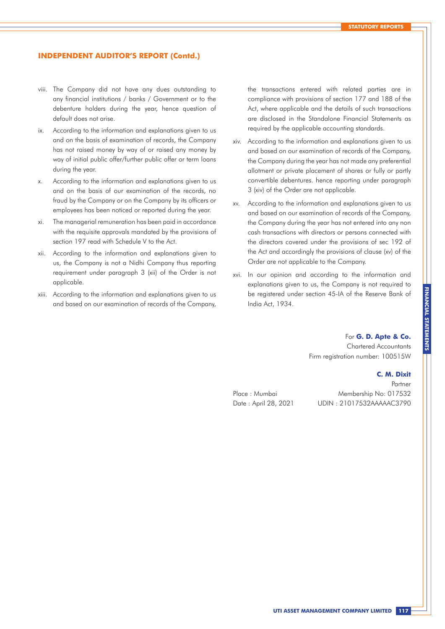- viii. The Company did not have any dues outstanding to any financial institutions / banks / Government or to the debenture holders during the year, hence question of default does not arise.
- ix. According to the information and explanations given to us and on the basis of examination of records, the Company has not raised money by way of or raised any money by way of initial public offer/further public offer or term loans during the year.
- x. According to the information and explanations given to us and on the basis of our examination of the records, no fraud by the Company or on the Company by its officers or employees has been noticed or reported during the year.
- xi. The managerial remuneration has been paid in accordance with the requisite approvals mandated by the provisions of section 197 read with Schedule V to the Act.
- xii. According to the information and explanations given to us, the Company is not a Nidhi Company thus reporting requirement under paragraph 3 (xii) of the Order is not applicable.
- xiii. According to the information and explanations given to us and based on our examination of records of the Company,

the transactions entered with related parties are in compliance with provisions of section 177 and 188 of the Act, where applicable and the details of such transactions are disclosed in the Standalone Financial Statements as required by the applicable accounting standards.

- xiv. According to the information and explanations given to us and based on our examination of records of the Company, the Company during the year has not made any preferential allotment or private placement of shares or fully or partly convertible debentures. hence reporting under paragraph 3 (xiv) of the Order are not applicable.
- xv. According to the information and explanations given to us and based on our examination of records of the Company, the Company during the year has not entered into any non cash transactions with directors or persons connected with the directors covered under the provisions of sec 192 of the Act and accordingly the provisions of clause (xv) of the Order are not applicable to the Company.
- xvi. In our opinion and according to the information and explanations given to us, the Company is not required to be registered under section 45-IA of the Reserve Bank of India Act, 1934.

For **G. D. Apte & Co.**

Chartered Accountants Firm registration number: 100515W

#### **C. M. Dixit**

**FINANCIAL STATEMENTS**

**FINANCIAL STATEMENTS** 

Partner Place : Mumbai Membership No: 017532 Date : April 28, 2021 UDIN : 21017532AAAAAC3790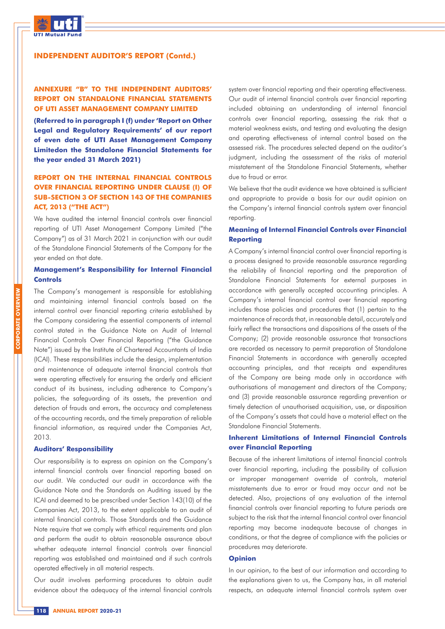

### **ANNEXURE "B" TO THE INDEPENDENT AUDITORS' REPORT ON STANDALONE FINANCIAL STATEMENTS OF UTI ASSET MANAGEMENT COMPANY LIMITED**

**(Referred to in paragraph I (f) under 'Report on Other Legal and Regulatory Requirements' of our report of even date of UTI Asset Management Company Limitedon the Standalone Financial Statements for the year ended 31 March 2021)**

### **REPORT ON THE INTERNAL FINANCIAL CONTROLS OVER FINANCIAL REPORTING UNDER CLAUSE (I) OF SUB-SECTION 3 OF SECTION 143 OF THE COMPANIES ACT, 2013 ("THE ACT")**

We have audited the internal financial controls over financial reporting of UTI Asset Management Company Limited ("the Company") as of 31 March 2021 in conjunction with our audit of the Standalone Financial Statements of the Company for the year ended on that date.

#### **Management's Responsibility for Internal Financial Controls**

The Company's management is responsible for establishing and maintaining internal financial controls based on the internal control over financial reporting criteria established by the Company considering the essential components of internal control stated in the Guidance Note on Audit of Internal Financial Controls Over Financial Reporting ("the Guidance Note") issued by the Institute of Chartered Accountants of India (ICAI). These responsibilities include the design, implementation and maintenance of adequate internal financial controls that were operating effectively for ensuring the orderly and efficient conduct of its business, including adherence to Company's policies, the safeguarding of its assets, the prevention and detection of frauds and errors, the accuracy and completeness of the accounting records, and the timely preparation of reliable financial information, as required under the Companies Act, 2013.

#### **Auditors' Responsibility**

Our responsibility is to express an opinion on the Company's internal financial controls over financial reporting based on our audit. We conducted our audit in accordance with the Guidance Note and the Standards on Auditing issued by the ICAI and deemed to be prescribed under Section 143(10) of the Companies Act, 2013, to the extent applicable to an audit of internal financial controls. Those Standards and the Guidance Note require that we comply with ethical requirements and plan and perform the audit to obtain reasonable assurance about whether adequate internal financial controls over financial reporting was established and maintained and if such controls operated effectively in all material respects.

Our audit involves performing procedures to obtain audit evidence about the adequacy of the internal financial controls system over financial reporting and their operating effectiveness. Our audit of internal financial controls over financial reporting included obtaining an understanding of internal financial controls over financial reporting, assessing the risk that a material weakness exists, and testing and evaluating the design and operating effectiveness of internal control based on the assessed risk. The procedures selected depend on the auditor's judgment, including the assessment of the risks of material misstatement of the Standalone Financial Statements, whether due to fraud or error.

We believe that the audit evidence we have obtained is sufficient and appropriate to provide a basis for our audit opinion on the Company's internal financial controls system over financial reporting.

### **Meaning of Internal Financial Controls over Financial Reporting**

A Company's internal financial control over financial reporting is a process designed to provide reasonable assurance regarding the reliability of financial reporting and the preparation of Standalone Financial Statements for external purposes in accordance with generally accepted accounting principles. A Company's internal financial control over financial reporting includes those policies and procedures that (1) pertain to the maintenance of records that, in reasonable detail, accurately and fairly reflect the transactions and dispositions of the assets of the Company; (2) provide reasonable assurance that transactions are recorded as necessary to permit preparation of Standalone Financial Statements in accordance with generally accepted accounting principles, and that receipts and expenditures of the Company are being made only in accordance with authorisations of management and directors of the Company; and (3) provide reasonable assurance regarding prevention or timely detection of unauthorised acquisition, use, or disposition of the Company's assets that could have a material effect on the Standalone Financial Statements.

### **Inherent Limitations of Internal Financial Controls over Financial Reporting**

Because of the inherent limitations of internal financial controls over financial reporting, including the possibility of collusion or improper management override of controls, material misstatements due to error or fraud may occur and not be detected. Also, projections of any evaluation of the internal financial controls over financial reporting to future periods are subject to the risk that the internal financial control over financial reporting may become inadequate because of changes in conditions, or that the degree of compliance with the policies or procedures may deteriorate.

#### **Opinion**

In our opinion, to the best of our information and according to the explanations given to us, the Company has, in all material respects, an adequate internal financial controls system over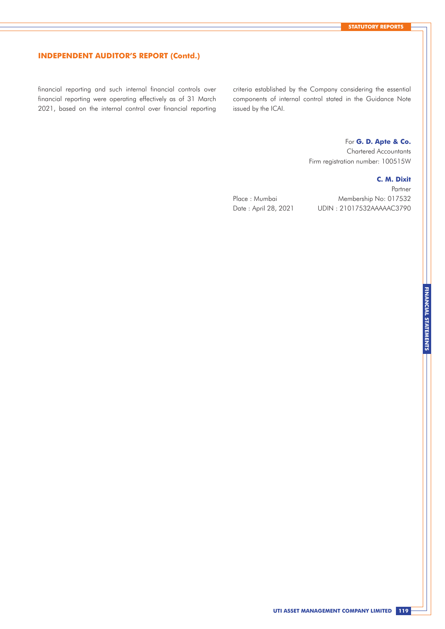financial reporting and such internal financial controls over financial reporting were operating effectively as of 31 March 2021, based on the internal control over financial reporting

criteria established by the Company considering the essential components of internal control stated in the Guidance Note issued by the ICAI.

#### For **G. D. Apte & Co.**

Chartered Accountants Firm registration number: 100515W

#### **C. M. Dixit**

Partner Place : Mumbai Membership No: 017532 Date : April 28, 2021 UDIN : 21017532AAAAAC3790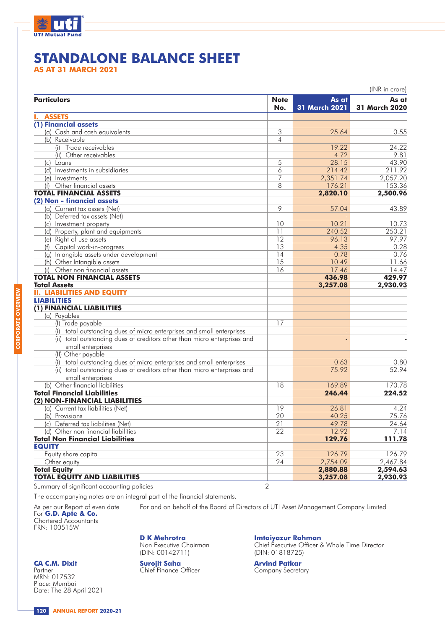

# **STANDALONE BALANCE SHEET**

**AS AT 31 MARCH 2021**

|                                                                               |                    |                               | (INR in crore)                |
|-------------------------------------------------------------------------------|--------------------|-------------------------------|-------------------------------|
| <b>Particulars</b>                                                            | <b>Note</b><br>No. | As at<br><b>31 March 2021</b> | As at<br><b>31 March 2020</b> |
| <b>ASSETS</b>                                                                 |                    |                               |                               |
| (1) Financial assets                                                          |                    |                               |                               |
| (a) Cash and cash equivalents                                                 | 3                  | 25.64                         | 0.55                          |
| (b) Receivable                                                                | $\overline{4}$     |                               |                               |
| Trade receivables<br>(i)                                                      |                    | 19.22                         | 24.22                         |
| (ii) Other receivables                                                        |                    | 4.72                          | 9.81                          |
| (c) Loans                                                                     | 5                  | 28.15                         | 43.90                         |
| (d) Investments in subsidiaries                                               | 6                  | 214.42                        | 211.92                        |
| (e) Investments                                                               | 7                  | 2,351.74                      | 2,057.20                      |
| Other financial assets<br>(f)                                                 | 8                  | 176.21                        | 153.36                        |
| <b>TOTAL FINANCIAL ASSETS</b>                                                 |                    | 2,820.10                      | 2,500.96                      |
| (2) Non - financial assets                                                    |                    |                               |                               |
| (a) Current tax assets (Net)                                                  | 9                  | 57.04                         | 43.89                         |
| (b) Deferred tax assets (Net)                                                 |                    |                               | $\omega$                      |
| (c) Investment property                                                       | 10                 | 10.21                         | 10.73                         |
| (d) Property, plant and equipments                                            | 11                 | 240.52                        | 250.21                        |
| (e) Right of use assets                                                       | 12                 | 96.13                         | 97.97                         |
| Capital work-in-progress<br>(f)                                               | 13                 | 4.35                          | 0.28                          |
| (g) Intangible assets under development                                       | 14                 | 0.78                          | 0.76                          |
| (h) Other Intangible assets                                                   | 15                 | 10.49                         | 11.66                         |
| (i) Other non financial assets                                                | 16                 | 17.46                         | 14.47                         |
| <b>TOTAL NON FINANCIAL ASSETS</b>                                             |                    | 436.98                        | 429.97                        |
| <b>Total Assets</b>                                                           |                    | 3,257.08                      | 2,930.93                      |
| <b>II. LIABILITIES AND EQUITY</b>                                             |                    |                               |                               |
| <b>LIABILITIES</b>                                                            |                    |                               |                               |
| (1) FINANCIAL LIABILITIES                                                     |                    |                               |                               |
| (a) Payables                                                                  |                    |                               |                               |
| (I) Trade payable                                                             | 17                 |                               |                               |
| total outstanding dues of micro enterprises and small enterprises             |                    | $\overline{\phantom{a}}$      |                               |
| (ii) total outstanding dues of creditors other than micro enterprises and     |                    |                               |                               |
| small enterprises                                                             |                    |                               |                               |
| (II) Other payable                                                            |                    |                               |                               |
| total outstanding dues of micro enterprises and small enterprises<br>(i)      |                    | 0.63                          | 0.80                          |
| (ii) total outstanding dues of creditors other than micro enterprises and     |                    | 75.92                         | 52.94                         |
| small enterprises                                                             |                    |                               |                               |
| (b) Other financial liabilities                                               | 18                 | 169.89                        | 170.78                        |
| <b>Total Financial Liabilities</b>                                            |                    | 246.44                        | 224.52                        |
| (2) NON-FINANCIAL LIABILITIES                                                 |                    |                               |                               |
| (a) Current tax liabilities (Net)                                             | 19                 | 26.81                         | 4.24                          |
| (b) Provisions                                                                | 20                 | 40.25                         | 75.76                         |
| (c) Deferred tax liabilities (Net)                                            | 21                 | 49.78                         | 24.64                         |
| (d) Other non financial liabilities<br><b>Total Non Financial Liabilities</b> | 22                 | 12.92<br>129.76               | 7.14                          |
| <b>EQUITY</b>                                                                 |                    |                               | 111.78                        |
| Equity share capital                                                          | 23                 |                               |                               |
| Other equity                                                                  | 24                 | 126.79<br>2,754.09            | 126.79<br>2,467.84            |
| <b>Total Equity</b>                                                           |                    | 2,880.88                      | 2,594.63                      |
| <b>TOTAL EQUITY AND LIABILITIES</b>                                           |                    |                               | 2,930.93                      |
|                                                                               |                    | 3,257.08                      |                               |

Summary of significant accounting policies 2

The accompanying notes are an integral part of the financial statements.

For and on behalf of the Board of Directors of UTI Asset Management Company Limited As per our Report of even date<br>For **G.D. Apte & Co.** 

Chartered Accountants FRN: 100515W

MRN: 017532 Place: Mumbai Date: The 28 April 2021 **D K Mehrotra Imtaiyazur Rahman** (DIN: 00142711)

**CA C.M. Dixit Surojit Saha Arvind Patkar** Partner Chief Finance Officer Company Secretary

Chief Executive Officer & Whole Time Director<br>(DIN: 01818725)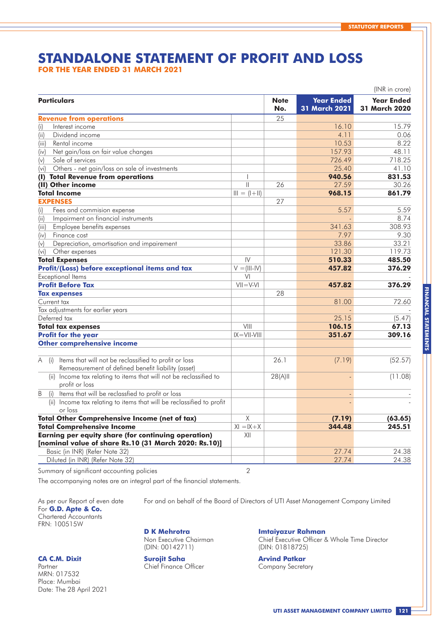# **STANDALONE STATEMENT OF PROFIT AND LOSS**

**FOR THE YEAR ENDED 31 MARCH 2021**

|                                                                                                                      |                   |                    |                                           | (INR in crore)                            |
|----------------------------------------------------------------------------------------------------------------------|-------------------|--------------------|-------------------------------------------|-------------------------------------------|
| <b>Particulars</b>                                                                                                   |                   | <b>Note</b><br>No. | <b>Year Ended</b><br><b>31 March 2021</b> | <b>Year Ended</b><br><b>31 March 2020</b> |
| <b>Revenue from operations</b>                                                                                       |                   | 25                 |                                           |                                           |
| (i)<br>Interest income                                                                                               |                   |                    | 16.10                                     | 15.79                                     |
| Dividend income<br>(ii)                                                                                              |                   |                    | 4.11                                      | 0.06                                      |
| Rental income<br>(iii)                                                                                               |                   |                    | 10.53                                     | 8.22                                      |
| Net gain/loss on fair value changes<br>(iv)                                                                          |                   |                    | 157.93                                    | 48.11                                     |
| Sale of services<br>(v)                                                                                              |                   |                    | 726.49                                    | 718.25                                    |
| Others - net gain/loss on sale of investments<br>(vi)                                                                |                   |                    | 25.40                                     | 41.10                                     |
| (I) Total Revenue from operations                                                                                    |                   |                    | 940.56                                    | 831.53                                    |
| (II) Other income                                                                                                    | $\mathbf{  }$     | 26                 | 27.59                                     | 30.26                                     |
| <b>Total Income</b>                                                                                                  | $III = (I + II)$  |                    | 968.15                                    | 861.79                                    |
| <b>EXPENSES</b>                                                                                                      |                   | 27                 |                                           |                                           |
| Fees and commision expense<br>(i)                                                                                    |                   |                    | 5.57                                      | 5.59                                      |
| Impairment on financial instruments<br>(ii)                                                                          |                   |                    |                                           | 8.74                                      |
| Employee benefits expenses<br>(iii)                                                                                  |                   |                    | 341.63                                    | 308.93                                    |
| Finance cost<br>(iv)                                                                                                 |                   |                    | 7.97                                      | 9.30                                      |
| Depreciation, amortisation and impairement<br>(v)                                                                    |                   |                    | 33.86                                     | 33.21                                     |
| Other expenses<br>(vi)                                                                                               |                   |                    | 121.30                                    | 119.73                                    |
| <b>Total Expenses</b>                                                                                                | $\mathsf{IV}$     |                    | 510.33                                    | 485.50                                    |
| Profit/(Loss) before exceptional items and tax                                                                       | $V = (III - IV)$  |                    | 457.82                                    | 376.29                                    |
| <b>Exceptional Items</b>                                                                                             | VI                |                    |                                           |                                           |
| <b>Profit Before Tax</b>                                                                                             | $V = V - V$       |                    | 457.82                                    | 376.29                                    |
| <b>Tax expenses</b>                                                                                                  |                   | 28                 |                                           |                                           |
| Current tax                                                                                                          |                   |                    | 81.00                                     | 72.60                                     |
| Tax adjustments for earlier years                                                                                    |                   |                    |                                           |                                           |
| Deferred tax                                                                                                         |                   |                    | 25.15                                     | (5.47)                                    |
| <b>Total tax expenses</b>                                                                                            | VIII              |                    | 106.15                                    | 67.13                                     |
| <b>Profit for the year</b>                                                                                           | $IX = VII - VIII$ |                    | 351.67                                    | 309.16                                    |
| <b>Other comprehensive income</b>                                                                                    |                   |                    |                                           |                                           |
| Items that will not be reclassified to profit or loss<br>A (i)<br>Remeasurement of defined benefit liability (asset) |                   | 26.1               | (7.19)                                    | (52.57)                                   |
| (ii) Income tax relating to items that will not be reclassified to<br>profit or loss                                 |                   | $28(A)$ II         |                                           | (11.08)                                   |
| (i) Items that will be reclassfied to profit or loss<br>В                                                            |                   |                    |                                           |                                           |
| (ii) Income tax relating to items that will be reclassified to profit<br>or loss                                     |                   |                    |                                           |                                           |
| <b>Total Other Comprehensive Income (net of tax)</b>                                                                 | X                 |                    | (7.19)                                    | (63.65)                                   |
| <b>Total Comprehensive Income</b>                                                                                    | $XI = IX + X$     |                    | 344.48                                    | 245.51                                    |
| Earning per equity share (for continuing operation)                                                                  | XII               |                    |                                           |                                           |
| [nominal value of share Rs.10 (31 March 2020: Rs.10)]                                                                |                   |                    |                                           |                                           |
| Basic (in INR) (Refer Note 32)                                                                                       |                   |                    | 27.74                                     | 24.38                                     |
| Diluted (in INR) (Refer Note 32)                                                                                     |                   |                    | 27.74                                     | 24.38                                     |

Summary of significant accounting policies 2

The accompanying notes are an integral part of the financial statements.

For **G.D. Apte & Co.** Chartered Accountants FRN: 100515W

MRN: 017532 Place: Mumbai Date: The 28 April 2021

As per our Report of even date For and on behalf of the Board of Directors of UTI Asset Management Company Limited

(DIN: 00142711)

**CA C.M. Dixit Surojit Saha Arvind Patkar**

**D K Mehrotra Imtaiyazur Rahman** Chief Executive Officer & Whole Time Director<br>(DIN: 01818725)

Company Secretary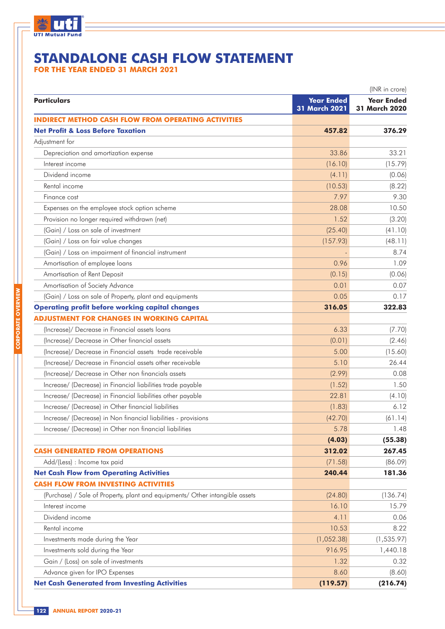

# **STANDALONE CASH FLOW STATEMENT**

**FOR THE YEAR ENDED 31 MARCH 2021**

|                                                                              |                                    | (INR in crore)                     |
|------------------------------------------------------------------------------|------------------------------------|------------------------------------|
| <b>Particulars</b>                                                           | <b>Year Ended</b><br>31 March 2021 | <b>Year Ended</b><br>31 March 2020 |
| <b>INDIRECT METHOD CASH FLOW FROM OPERATING ACTIVITIES</b>                   |                                    |                                    |
| <b>Net Profit &amp; Loss Before Taxation</b>                                 | 457.82                             | 376.29                             |
| Adjustment for                                                               |                                    |                                    |
| Depreciation and amortization expense                                        | 33.86                              | 33.21                              |
| Interest income                                                              | (16.10)                            | (15.79)                            |
| Dividend income                                                              | (4.11)                             | (0.06)                             |
| Rental income                                                                | (10.53)                            | (8.22)                             |
| Finance cost                                                                 | 7.97                               | 9.30                               |
| Expenses on the employee stock option scheme                                 | 28.08                              | 10.50                              |
| Provision no longer required withdrawn (net)                                 | 1.52                               | (3.20)                             |
| (Gain) / Loss on sale of investment                                          | (25.40)                            | (41.10)                            |
| (Gain) / Loss on fair value changes                                          | (157.93)                           | (48.11)                            |
| (Gain) / Loss on impairment of financial instrument                          |                                    | 8.74                               |
| Amortisation of employee loans                                               | 0.96                               | 1.09                               |
| Amortisation of Rent Deposit                                                 | (0.15)                             | (0.06)                             |
| Amortisation of Society Advance                                              | 0.01                               | 0.07                               |
| (Gain) / Loss on sale of Property, plant and equipments                      | 0.05                               | 0.17                               |
| <b>Operating profit before working capital changes</b>                       | 316.05                             | 322.83                             |
| <b>ADJUSTMENT FOR CHANGES IN WORKING CAPITAL</b>                             |                                    |                                    |
| (Increase)/ Decrease in Financial assets loans                               | 6.33                               | (7.70)                             |
| (Increase)/ Decrease in Other financial assets                               | (0.01)                             | (2.46)                             |
| (Increase)/ Decrease in Financial assets trade receivable                    | 5.00                               | (15.60)                            |
| (Increase)/ Decrease in Financial assets other receivable                    | 5.10                               | 26.44                              |
| (Increase)/ Decrease in Other non financials assets                          | (2.99)                             | 0.08                               |
| Increase/ (Decrease) in Financial liabilities trade payable                  | (1.52)                             | 1.50                               |
| Increase/ (Decrease) in Financial liabilities other payable                  | 22.81                              | (4.10)                             |
| Increase/ (Decrease) in Other financial liabilities                          | (1.83)                             | 6.12                               |
| Increase/ (Decrease) in Non financial liabilities - provisions               | (42.70)                            | (61.14)                            |
| Increase/ (Decrease) in Other non financial liabilities                      | 5.78                               | 1.48                               |
|                                                                              | (4.03)                             | (55.38)                            |
| <b>CASH GENERATED FROM OPERATIONS</b>                                        | 312.02                             | 267.45                             |
| Add/(Less) : Income tax paid                                                 | (71.58)                            | (86.09)                            |
| <b>Net Cash Flow from Operating Activities</b>                               | 240.44                             | 181.36                             |
| <b>CASH FLOW FROM INVESTING ACTIVITIES</b>                                   |                                    |                                    |
| (Purchase) / Sale of Property, plant and equipments/ Other intangible assets | (24.80)                            | (136.74)                           |
| Interest income                                                              | 16.10                              | 15.79                              |
| Dividend income                                                              | 4.11                               | 0.06                               |
| Rental income                                                                | 10.53                              | 8.22                               |
| Investments made during the Year                                             | (1,052.38)                         | (1, 535.97)                        |
| Investments sold during the Year                                             | 916.95                             | 1,440.18                           |
| Gain / (Loss) on sale of investments                                         | 1.32                               | 0.32                               |
| Advance given for IPO Expenses                                               | 8.60                               | (8.60)                             |
| <b>Net Cash Generated from Investing Activities</b>                          | (119.57)                           | (216.74)                           |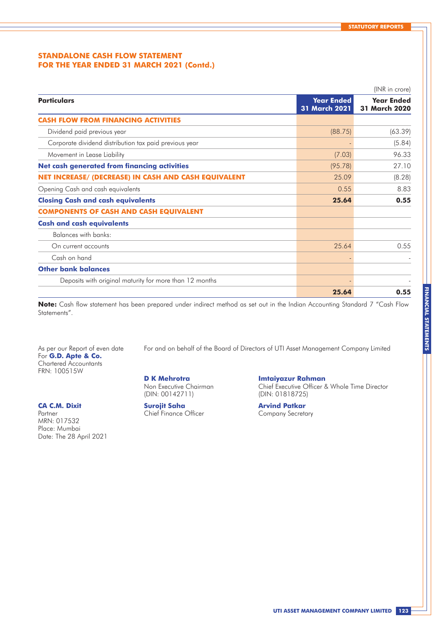### **STANDALONE CASH FLOW STATEMENT FOR THE YEAR ENDED 31 MARCH 2021 (Contd.)**

|                                                         |                                           | (INR in crore)                            |
|---------------------------------------------------------|-------------------------------------------|-------------------------------------------|
| <b>Particulars</b>                                      | <b>Year Ended</b><br><b>31 March 2021</b> | <b>Year Ended</b><br><b>31 March 2020</b> |
| <b>CASH FLOW FROM FINANCING ACTIVITIES</b>              |                                           |                                           |
| Dividend paid previous year                             | (88.75)                                   | (63.39)                                   |
| Corporate dividend distribution tax paid previous year  |                                           | (5.84)                                    |
| Movement in Lease Liability                             | (7.03)                                    | 96.33                                     |
| Net cash generated from financing activities            | (95.78)                                   | 27.10                                     |
| NET INCREASE/ (DECREASE) IN CASH AND CASH EQUIVALENT    | 25.09                                     | (8.28)                                    |
| Opening Cash and cash equivalents                       | 0.55                                      | 8.83                                      |
| <b>Closing Cash and cash equivalents</b>                | 25.64                                     | 0.55                                      |
| <b>COMPONENTS OF CASH AND CASH EQUIVALENT</b>           |                                           |                                           |
| <b>Cash and cash equivalents</b>                        |                                           |                                           |
| Balances with banks:                                    |                                           |                                           |
| On current accounts                                     | 25.64                                     | 0.55                                      |
| Cash on hand                                            |                                           |                                           |
| <b>Other bank balances</b>                              |                                           |                                           |
| Deposits with original maturity for more than 12 months |                                           |                                           |
|                                                         | 25.64                                     | 0.55                                      |

**Note:** Cash flow statement has been prepared under indirect method as set out in the Indian Accounting Standard 7 "Cash Flow Statements".

For **G.D. Apte & Co.** Chartered Accountants FRN: 100515W

As per our Report of even date For and on behalf of the Board of Directors of UTI Asset Management Company Limited

MRN: 017532 Place: Mumbai Date: The 28 April 2021 (DIN: 00142711) (DIN: 01818725)

Chief Finance Officer

**D K Mehrotra Imtaiyazur Rahman** Non Executive Chairman Chief Executive Officer & Whole Time Director

**CA C.M. Dixit**<br> **CA C.M. Dixit**<br> **CA C.M. Dixit**<br> **Surojit Saha Chick Company Secretary**<br>
Company Secretary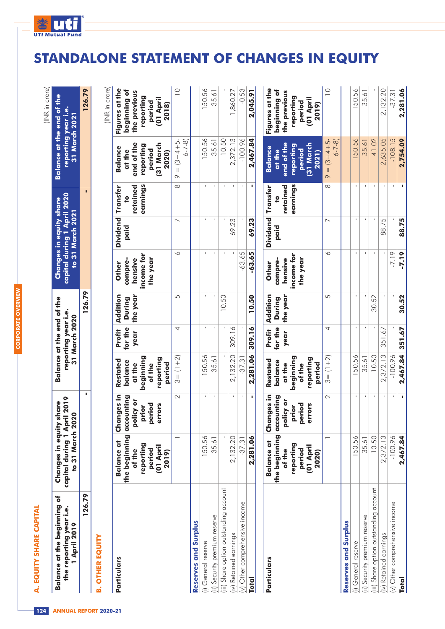

**CORPORATE OVERVIEW**

ORATE OVERVIEW

# **STANDALONE STATEMENT OF CHANGES IN EQUITY**

| A. EQUITY SHARE CAPITAL                                                |                                                                                                      |                                                                    |                                                                             |                                                                   |                                |                                                       |                                             |                                                   |                                                                                     | (INR in crore)                                                                              |
|------------------------------------------------------------------------|------------------------------------------------------------------------------------------------------|--------------------------------------------------------------------|-----------------------------------------------------------------------------|-------------------------------------------------------------------|--------------------------------|-------------------------------------------------------|---------------------------------------------|---------------------------------------------------|-------------------------------------------------------------------------------------|---------------------------------------------------------------------------------------------|
| Balance at the beginning of<br>the reporting year i.e.<br>  April 2019 | capital during 1 April 2019<br>to 31 March 2020<br>Changes in equity                                 | share                                                              |                                                                             | Balance at the end of the<br>reporting year i.e.<br>31 March 2020 |                                | capital during 1 April 2020                           | Changes in equity share<br>to 31 March 2021 |                                                   | Balance at the end of the<br>reporting year i.e.<br>31 March 2021                   |                                                                                             |
| 126.79                                                                 |                                                                                                      | ٠                                                                  |                                                                             |                                                                   | 126.79                         |                                                       |                                             | п                                                 |                                                                                     | 126.79                                                                                      |
| <b>OTHER EQUITY</b><br>۵ó                                              |                                                                                                      |                                                                    |                                                                             |                                                                   |                                |                                                       |                                             |                                                   |                                                                                     | (INR in crore)                                                                              |
| Particulars                                                            | the beginning<br><b>Balance at</b><br>reporting<br>(01 April<br>period<br>of the<br>2019)            | Changes in<br>accounting<br>policy or<br>period<br>errors<br>prior | beginning<br>reporting<br>Restated<br>balance<br>of the<br>period<br>at the | for the<br>Profit<br>year                                         | Addition<br>the year<br>During | income for<br>the year<br>hensive<br>compre-<br>Other | <b>Dividend</b><br>paid                     | earnings<br>retained<br>Transfer<br>$\frac{1}{2}$ | (31 March<br>end of the<br>reporting<br><b>Balance</b><br>period<br>at the<br>2020) | Figures at the<br>beginning of<br>the previous<br>reporting<br>(01 April<br>period<br>2018) |
|                                                                        | $\overline{\phantom{0}}$                                                                             | $\sim$                                                             | $= (1 + 2)$<br>S                                                            | 4                                                                 | 5                              | Ó                                                     | $\overline{\phantom{1}}$                    | $\infty$                                          | $6 - 7 - 8$<br>$(3 + 4 + 5$<br>$\vert\vert$<br>$\infty$                             | $\supseteq$                                                                                 |
| Reserves and Surplus                                                   |                                                                                                      |                                                                    |                                                                             |                                                                   |                                |                                                       |                                             |                                                   |                                                                                     |                                                                                             |
| (i) General reserve                                                    | 150.56                                                                                               |                                                                    | 150.56                                                                      |                                                                   |                                | $\mathbf{I}$                                          |                                             |                                                   | 150.56                                                                              | 150.56                                                                                      |
| (ii) Security premium reserve                                          | 35.61                                                                                                |                                                                    | 35.61                                                                       |                                                                   |                                | ٠                                                     |                                             |                                                   | 35.61                                                                               | 35.61                                                                                       |
| (iii) Share option outstanding account                                 |                                                                                                      |                                                                    |                                                                             |                                                                   | 10.50                          | ٠                                                     |                                             |                                                   | 10.50                                                                               |                                                                                             |
| (iv) Retained earnings                                                 | 2,132.20                                                                                             |                                                                    | 2,132.20                                                                    | 309.16                                                            |                                |                                                       | 69.23                                       |                                                   | 2,372.13                                                                            | 1,860.27                                                                                    |
| (v) Other comprehensive income                                         | $-37.31$                                                                                             |                                                                    | $-37.31$                                                                    |                                                                   |                                | $-63.65$                                              |                                             |                                                   | $-100.96$                                                                           | $-0.53$                                                                                     |
| <b>Total</b>                                                           | 2,281.06                                                                                             | ٠                                                                  | 2,281.06                                                                    | 309.16                                                            | 10.50                          | $-63.65$                                              | 69.23                                       | ٠                                                 | 2,467.84                                                                            | 2,045.91                                                                                    |
| Particulars                                                            | the beginning accounting<br><b>Balance at</b><br>reporting<br>(01 April<br>period<br>of the<br>2020) | Changes in<br>policy or<br>period<br>errors<br>prior               | beginning<br>reporting<br>Restated<br>balance<br>period<br>of the<br>at the | for the<br>Profit<br>year                                         | Addition<br>the year<br>During | income for<br>the year<br>compre-<br>hensive<br>Other | <b>Dividend</b><br>paid                     | earnings<br>retained<br>Transfer<br>$\frac{1}{2}$ | end of the<br>31 March<br>reporting<br><b>Balance</b><br>period<br>at the<br>2021)  | Figures at the<br>beginning of<br>the previous<br>reporting<br>(01 April<br>period<br>2019) |
|                                                                        |                                                                                                      | $\sim$                                                             | $(1 + 2)$<br>$\vert\vert$<br>S                                              | 4                                                                 | 5                              | $\infty$                                              | $\overline{\phantom{1}}$                    | $\infty$                                          | $6 - 7 - 8$<br>$(3 + 4 + 5)$<br>$\rm{II}$<br>$\sigma$                               | $\supseteq$                                                                                 |
| Reserves and Surplus                                                   |                                                                                                      |                                                                    |                                                                             |                                                                   |                                |                                                       |                                             |                                                   |                                                                                     |                                                                                             |
| (i) General reserve                                                    | 150.56                                                                                               | J.                                                                 | 150.56                                                                      | $\blacksquare$                                                    |                                | $\blacksquare$                                        |                                             | $\blacksquare$                                    | 150.56                                                                              | 150.56                                                                                      |
| (ii) Security premium reserve                                          | 35.61                                                                                                |                                                                    | 35.61                                                                       |                                                                   |                                |                                                       |                                             | $\blacksquare$                                    | 35.61                                                                               | 35.61                                                                                       |
| (iii) Share option outstanding account                                 | 10.50                                                                                                | $\blacksquare$                                                     | 10.50                                                                       |                                                                   | 30.52                          | $\blacksquare$                                        |                                             | $\blacksquare$                                    | 41.02                                                                               |                                                                                             |
| (iv) Retained earnings                                                 | 2,372.13                                                                                             |                                                                    | 2,372.13                                                                    | 351.67                                                            |                                | $\blacksquare$                                        | 88.75                                       | $\mathbf{I}$                                      | 2,635.05                                                                            | 2,132.20                                                                                    |
| (v) Other comprehensive income                                         | $-100.96$                                                                                            |                                                                    | $-100.96$                                                                   |                                                                   |                                | $-7.19$                                               |                                             | $\blacksquare$                                    | $-108.15$                                                                           | $-37.31$                                                                                    |
| <b>Total</b>                                                           | 2,467.84                                                                                             | J.                                                                 | 2,467.84                                                                    | 351.67                                                            | 30.52                          | $-7.19$                                               | 88.75                                       | J.                                                | 2,754.09                                                                            | 2,281.06                                                                                    |

**124 ANNUAL REPORT 2020-21**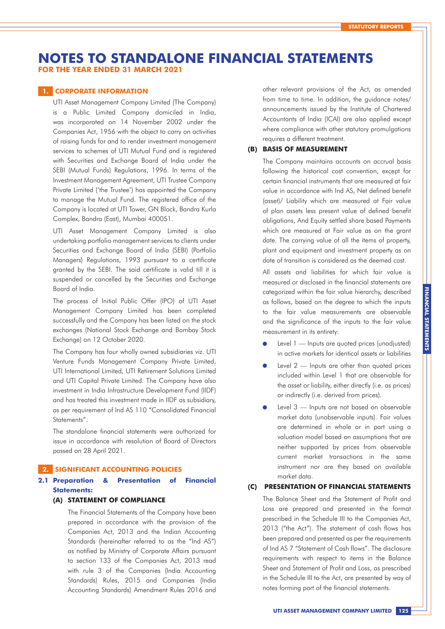# **NOTES TO STANDALONE FINANCIAL STATEMENTS**

**FOR THE YEAR ENDED 31 MARCH 2021**

#### **1. CORPORATE INFORMATION**

UTI Asset Management Company Limited (The Company) is a Public Limited Company domiciled in India, was incorporated on 14 November 2002 under the Companies Act, 1956 with the object to carry on activities of raising funds for and to render investment management services to schemes of UTI Mutual Fund and is registered with Securities and Exchange Board of India under the SEBI (Mutual Funds) Regulations, 1996. In terms of the Investment Management Agreement, UTI Trustee Company Private Limited ('the Trustee') has appointed the Company to manage the Mutual Fund. The registered office of the Company is located at UTI Tower, GN Block, Bandra Kurla Complex, Bandra (East), Mumbai 400051.

UTI Asset Management Company Limited is also undertaking portfolio management services to clients under Securities and Exchange Board of India (SEBI) (Portfolio Managers) Regulations, 1993 pursuant to a certificate granted by the SEBI. The said certificate is valid till it is suspended or cancelled by the Securities and Exchange Board of India.

The process of Initial Public Offer (IPO) of UTI Asset Management Company Limited has been completed successfully and the Company has been listed on the stock exchanges (National Stock Exchange and Bombay Stock Exchange) on 12 October 2020.

The Company has four wholly owned subsidiaries viz. UTI Venture Funds Management Company Private Limited, UTI International Limited, UTI Retirement Solutions Limited and UTI Capital Private Limited. The Company have also investment in India Infrastructure Development Fund (IIDF) and has treated this investment made in IIDF as subsidiary, as per requirement of Ind AS 110 "Consolidated Financial Statements".

The standalone financial statements were authorized for issue in accordance with resolution of Board of Directors passed on 28 April 2021.

#### **2. SIGNIFICANT ACCOUNTING POLICIES**

### **2.1 Preparation & Presentation of Financial Statements:**

#### **(A) STATEMENT OF COMPLIANCE**

The Financial Statements of the Company have been prepared in accordance with the provision of the Companies Act, 2013 and the Indian Accounting Standards (hereinafter referred to as the "Ind AS") as notified by Ministry of Corporate Affairs pursuant to section 133 of the Companies Act, 2013 read with rule 3 of the Companies (India Accounting Standards) Rules, 2015 and Companies (India Accounting Standards) Amendment Rules 2016 and other relevant provisions of the Act, as amended from time to time. In addition, the guidance notes/ announcements issued by the Institute of Chartered Accountants of India (ICAI) are also applied except where compliance with other statutory promulgations requires a different treatment.

#### **(B) BASIS OF MEASUREMENT**

The Company maintains accounts on accrual basis following the historical cost convention, except for certain financial instruments that are measured at fair value in accordance with Ind AS, Net defined benefit (asset)/ Liability which are measured at Fair value of plan assets less present value of defined benefit obligations, And Equity settled share based Payments which are measured at Fair value as on the grant date. The carrying value of all the items of property, plant and equipment and investment property as on date of transition is considered as the deemed cost.

All assets and liabilities for which fair value is measured or disclosed in the financial statements are categorized within the fair value hierarchy, described as follows, based on the degree to which the inputs to the fair value measurements are observable and the significance of the inputs to the fair value measurement in its entirety:

- Level 1 Inputs are quoted prices (unadjusted) in active markets for identical assets or liabilities
- Level 2 Inputs are other than quoted prices included within Level 1 that are observable for the asset or liability, either directly (i.e. as prices) or indirectly (i.e. derived from prices).
- Level 3 Inputs are not based on observable market data (unobservable inputs). Fair values are determined in whole or in part using a valuation model based on assumptions that are neither supported by prices from observable current market transactions in the same instrument nor are they based on available market data.

### **(C) PRESENTATION OF FINANCIAL STATEMENTS**

The Balance Sheet and the Statement of Profit and Loss are prepared and presented in the format prescribed in the Schedule III to the Companies Act, 2013 ("the Act"). The statement of cash flows has been prepared and presented as per the requirements of Ind AS 7 "Statement of Cash flows". The disclosure requirements with respect to items in the Balance Sheet and Statement of Profit and Loss, as prescribed in the Schedule III to the Act, are presented by way of notes forming part of the financial statements.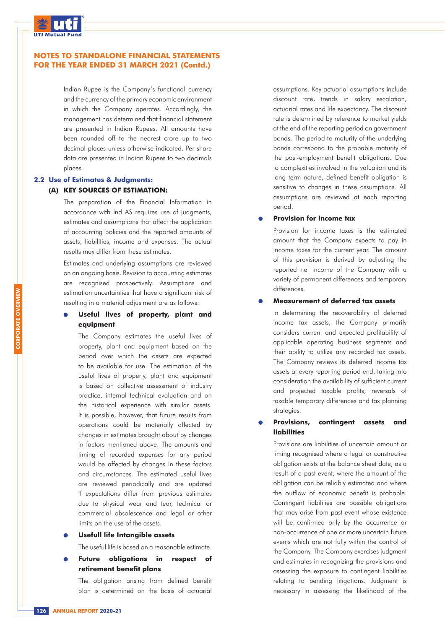

Indian Rupee is the Company's functional currency and the currency of the primary economic environment in which the Company operates. Accordingly, the management has determined that financial statement are presented in Indian Rupees. All amounts have been rounded off to the nearest crore up to two decimal places unless otherwise indicated. Per share data are presented in Indian Rupees to two decimals places.

#### **2.2 Use of Estimates & Judgments:**

### **(A) KEY SOURCES OF ESTIMATION:**

The preparation of the Financial Information in accordance with Ind AS requires use of judgments, estimates and assumptions that affect the application of accounting policies and the reported amounts of assets, liabilities, income and expenses. The actual results may differ from these estimates.

Estimates and underlying assumptions are reviewed on an ongoing basis. Revision to accounting estimates are recognised prospectively. Assumptions and estimation uncertainties that have a significant risk of resulting in a material adjustment are as follows:

### **Useful lives of property, plant and equipment**

The Company estimates the useful lives of property, plant and equipment based on the period over which the assets are expected to be available for use. The estimation of the useful lives of property, plant and equipment is based on collective assessment of industry practice, internal technical evaluation and on the historical experience with similar assets. It is possible, however, that future results from operations could be materially affected by changes in estimates brought about by changes in factors mentioned above. The amounts and timing of recorded expenses for any period would be affected by changes in these factors and circumstances. The estimated useful lives are reviewed periodically and are updated if expectations differ from previous estimates due to physical wear and tear, technical or commercial obsolescence and legal or other limits on the use of the assets.

### **Usefull life Intangible assets**

The useful life is based on a reasonable estimate.

**Future obligations in respect of retirement benefit plans**

The obligation arising from defined benefit plan is determined on the basis of actuarial assumptions. Key actuarial assumptions include discount rate, trends in salary escalation, actuarial rates and life expectancy. The discount rate is determined by reference to market yields at the end of the reporting period on government bonds. The period to maturity of the underlying bonds correspond to the probable maturity of the post-employment benefit obligations. Due to complexities involved in the valuation and its long term nature, defined benefit obligation is sensitive to changes in these assumptions. All assumptions are reviewed at each reporting period.

#### **Provision for income tax**

Provision for income taxes is the estimated amount that the Company expects to pay in income taxes for the current year. The amount of this provision is derived by adjusting the reported net income of the Company with a variety of permanent differences and temporary differences.

#### **Measurement of deferred tax assets**

In determining the recoverability of deferred income tax assets, the Company primarily considers current and expected profitability of applicable operating business segments and their ability to utilize any recorded tax assets. The Company reviews its deferred income tax assets at every reporting period end, taking into consideration the availability of sufficient current and projected taxable profits, reversals of taxable temporary differences and tax planning strategies.

### **Provisions, contingent assets and liabilities**

Provisions are liabilities of uncertain amount or timing recognised where a legal or constructive obligation exists at the balance sheet date, as a result of a past event, where the amount of the obligation can be reliably estimated and where the outflow of economic benefit is probable. Contingent liabilities are possible obligations that may arise from past event whose existence will be confirmed only by the occurrence or non-occurrence of one or more uncertain future events which are not fully within the control of the Company. The Company exercises judgment and estimates in recognizing the provisions and assessing the exposure to contingent liabilities relating to pending litigations. Judgment is necessary in assessing the likelihood of the

**CORPORATE OVERVIEW**

**OVERVIEW**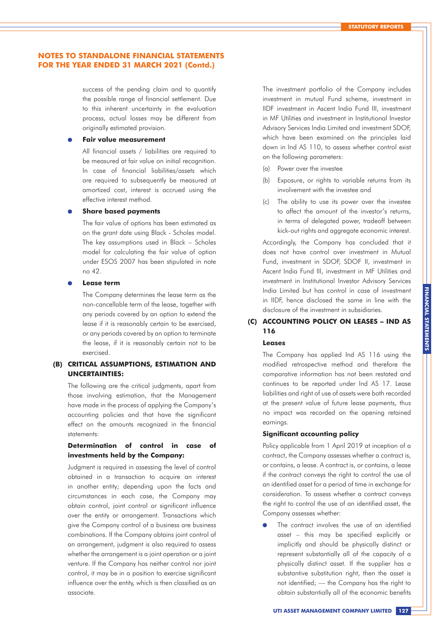success of the pending claim and to quantify the possible range of financial settlement. Due to this inherent uncertainty in the evaluation process, actual losses may be different from originally estimated provision.

#### **Fair value measurement**

All financial assets / liabilities are required to be measured at fair value on initial recognition. In case of financial liabilities/assets which are required to subsequently be measured at amortized cost, interest is accrued using the effective interest method.

#### **Share based payments**

The fair value of options has been estimated as on the grant date using Black - Scholes model. The key assumptions used in Black – Scholes model for calculating the fair value of option under ESOS 2007 has been stipulated in note no 42.

#### **Lease term**

The Company determines the lease term as the non-cancellable term of the lease, together with any periods covered by an option to extend the lease if it is reasonably certain to be exercised, or any periods covered by an option to terminate the lease, if it is reasonably certain not to be exercised.

### **(B) CRITICAL ASSUMPTIONS, ESTIMATION AND UNCERTAINTIES:**

The following are the critical judgments, apart from those involving estimation, that the Management have made in the process of applying the Company's accounting policies and that have the significant effect on the amounts recognized in the financial statements:

#### **Determination of control in case of investments held by the Company:**

Judgment is required in assessing the level of control obtained in a transaction to acquire an interest in another entity; depending upon the facts and circumstances in each case, the Company may obtain control, joint control or significant influence over the entity or arrangement. Transactions which give the Company control of a business are business combinations. If the Company obtains joint control of an arrangement, judgment is also required to assess whether the arrangement is a joint operation or a joint venture. If the Company has neither control nor joint control, it may be in a position to exercise significant influence over the entity, which is then classified as an associate.

The investment portfolio of the Company includes investment in mutual Fund scheme, investment in IIDF investment in Ascent India Fund III, investment in MF Utilities and investment in Institutional Investor Advisory Services India Limited and investment SDOF, which have been examined on the principles laid down in Ind AS 110, to assess whether control exist on the following parameters:

- (a) Power over the investee
- (b) Exposure, or rights to variable returns from its involvement with the investee and
- (c) The ability to use its power over the investee to affect the amount of the investor's returns, in terms of delegated power, tradeoff between kick-out rights and aggregate economic interest.

Accordingly, the Company has concluded that it does not have control over investment in Mutual Fund, investment in SDOF, SDOF II, investment in Ascent India Fund III, investment in MF Utilities and investment in Institutional Investor Advisory Services India Limited but has control in case of investment in IIDF, hence disclosed the same in line with the disclosure of the investment in subsidiaries.

### **(C) ACCOUNTING POLICY ON LEASES – IND AS 116**

#### **Leases**

The Company has applied Ind AS 116 using the modified retrospective method and therefore the comparative information has not been restated and continues to be reported under Ind AS 17. Lease liabilities and right of use of assets were both recorded at the present value of future lease payments, thus no impact was recorded on the opening retained earnings.

#### **Significant accounting policy**

Policy applicable from 1 April 2019 at inception of a contract, the Company assesses whether a contract is, or contains, a lease. A contract is, or contains, a lease if the contract conveys the right to control the use of an identified asset for a period of time in exchange for consideration. To assess whether a contract conveys the right to control the use of an identified asset, the Company assesses whether:

The contract involves the use of an identified asset – this may be specified explicitly or implicitly and should be physically distinct or represent substantially all of the capacity of a physically distinct asset. If the supplier has a substantive substitution right, then the asset is not identified; –– the Company has the right to obtain substantially all of the economic benefits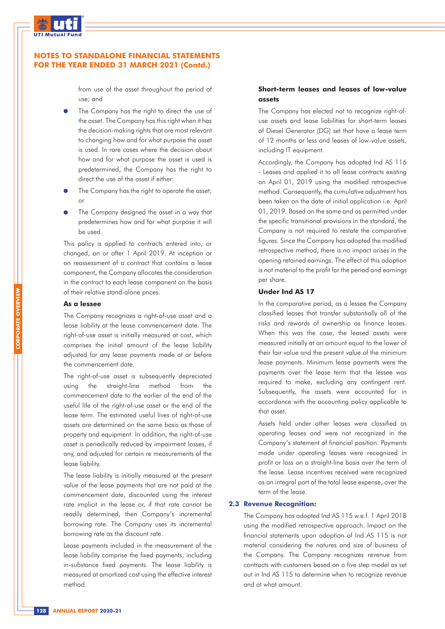

from use of the asset throughout the period of use; and

- The Company has the right to direct the use of the asset. The Company has this right when it has the decision-making rights that are most relevant to changing how and for what purpose the asset is used. In rare cases where the decision about how and for what purpose the asset is used is predetermined, the Company has the right to direct the use of the asset if either:
- The Company has the right to operate the asset; or
- The Company designed the asset in a way that predetermines how and for what purpose it will be used.

This policy is applied to contracts entered into, or changed, on or after 1 April 2019. At inception or on reassessment of a contract that contains a lease component, the Company allocates the consideration in the contract to each lease component on the basis of their relative stand-alone prices.

#### **As a lessee**

The Company recognizes a right-of-use asset and a lease liability at the lease commencement date. The right-of-use asset is initially measured at cost, which comprises the initial amount of the lease liability adjusted for any lease payments made at or before the commencement date.

The right-of-use asset is subsequently depreciated using the straight-line method from the commencement date to the earlier of the end of the useful life of the right-of-use asset or the end of the lease term. The estimated useful lives of right-of-use assets are determined on the same basis as those of property and equipment. In addition, the right-of-use asset is periodically reduced by impairment losses, if any, and adjusted for certain re measurements of the lease liability.

The lease liability is initially measured at the present value of the lease payments that are not paid at the commencement date, discounted using the interest rate implicit in the lease or, if that rate cannot be readily determined, then Company's incremental borrowing rate. The Company uses its incremental borrowing rate as the discount rate.

Lease payments included in the measurement of the lease liability comprise the fixed payments, including in-substance fixed payments. The lease liability is measured at amortized cost using the effective interest method.

#### **Short-term leases and leases of low-value assets**

The Company has elected not to recognize right-ofuse assets and lease liabilities for short-term leases of Diesel Generator (DG) set that have a lease term of 12 months or less and leases of low-value assets, including IT equipment.

Accordingly, the Company has adopted Ind AS 116 - Leases and applied it to all lease contracts existing on April 01, 2019 using the modified retrospective method. Consequently, the cumulative adjustment has been taken on the date of initial application i.e. April 01, 2019. Based on the same and as permitted under the specific transitional provisions in the standard, the Company is not required to restate the comparative figures. Since the Company has adopted the modified retrospective method, there is no impact arises in the opening retained earnings. The effect of this adoption is not material to the profit for the period and earnings per share.

#### **Under Ind AS 17**

In the comparative period, as a lessee the Company classified leases that transfer substantially all of the risks and rewards of ownership as finance leases. When this was the case, the leased assets were measured initially at an amount equal to the lower of their fair value and the present value of the minimum lease payments. Minimum lease payments were the payments over the lease term that the lessee was required to make, excluding any contingent rent. Subsequently, the assets were accounted for in accordance with the accounting policy applicable to that asset.

Assets held under other leases were classified as operating leases and were not recognized in the Company's statement of financial position. Payments made under operating leases were recognized in profit or loss on a straight-line basis over the term of the lease. Lease incentives received were recognized as an integral part of the total lease expense, over the term of the lease.

#### **2.3 Revenue Recognition:**

The Company has adopted Ind AS 115 w.e.f. 1 April 2018 using the modified retrospective approach. Impact on the financial statements upon adoption of Ind AS 115 is not material considering the natures and size of business of the Company. The Company recognizes revenue from contracts with customers based on a five step model as set out in Ind AS 115 to determine when to recognize revenue and at what amount.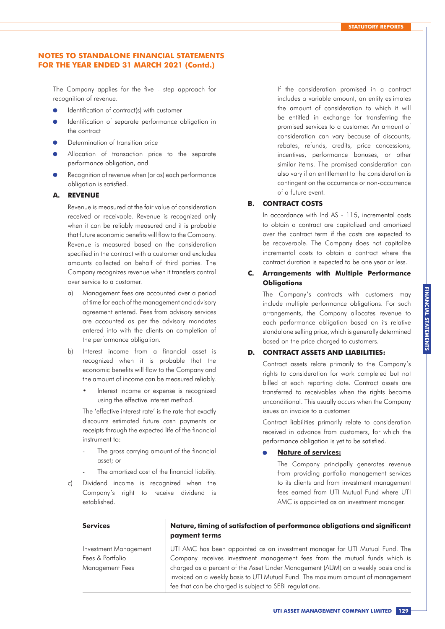The Company applies for the five - step approach for recognition of revenue.

- Identification of contract(s) with customer
- Identification of separate performance obligation in the contract
- Determination of transition price
- Allocation of transaction price to the separate performance obligation, and
- Recognition of revenue when (or as) each performance obligation is satisfied.

#### **A. REVENUE**

Revenue is measured at the fair value of consideration received or receivable. Revenue is recognized only when it can be reliably measured and it is probable that future economic benefits will flow to the Company. Revenue is measured based on the consideration specified in the contract with a customer and excludes amounts collected on behalf of third parties. The Company recognizes revenue when it transfers control over service to a customer.

- a) Management fees are accounted over a period of time for each of the management and advisory agreement entered. Fees from advisory services are accounted as per the advisory mandates entered into with the clients on completion of the performance obligation.
- b) Interest income from a financial asset is recognized when it is probable that the economic benefits will flow to the Company and the amount of income can be measured reliably.
	- Interest income or expense is recognized using the effective interest method.

The 'effective interest rate' is the rate that exactly discounts estimated future cash payments or receipts through the expected life of the financial instrument to:

- The gross carrying amount of the financial asset; or
- The amortized cost of the financial liability.
- c) Dividend income is recognized when the Company's right to receive dividend is established.

If the consideration promised in a contract includes a variable amount, an entity estimates the amount of consideration to which it will be entitled in exchange for transferring the promised services to a customer. An amount of consideration can vary because of discounts, rebates, refunds, credits, price concessions, incentives, performance bonuses, or other similar items. The promised consideration can also vary if an entitlement to the consideration is contingent on the occurrence or non-occurrence of a future event.

### **B. CONTRACT COSTS**

In accordance with Ind AS - 115, incremental costs to obtain a contract are capitalized and amortized over the contract term if the costs are expected to be recoverable. The Company does not capitalize incremental costs to obtain a contract where the contract duration is expected to be one year or less.

#### **C. Arrangements with Multiple Performance Obligations**

The Company's contracts with customers may include multiple performance obligations. For such arrangements, the Company allocates revenue to each performance obligation based on its relative standalone selling price, which is generally determined based on the price charged to customers.

### **D. CONTRACT ASSETS AND LIABILITIES:**

Contract assets relate primarily to the Company's rights to consideration for work completed but not billed at each reporting date. Contract assets are transferred to receivables when the rights become unconditional. This usually occurs when the Company issues an invoice to a customer.

Contract liabilities primarily relate to consideration received in advance from customers, for which the performance obligation is yet to be satisfied.

#### **Nature of services:**

The Company principally generates revenue from providing portfolio management services to its clients and from investment management fees earned from UTI Mutual Fund where UTI AMC is appointed as an investment manager.

| <b>Services</b>       | Nature, timing of satisfaction of performance obligations and significant         |
|-----------------------|-----------------------------------------------------------------------------------|
|                       | payment terms                                                                     |
| Investment Management | UTI AMC has been appointed as an investment manager for UTI Mutual Fund. The      |
| Fees & Portfolio      | Company receives investment management fees from the mutual funds which is        |
| Management Fees       | charged as a percent of the Asset Under Management (AUM) on a weekly basis and is |
|                       | invoiced on a weekly basis to UTI Mutual Fund. The maximum amount of management   |
|                       | fee that can be charged is subject to SEBI regulations.                           |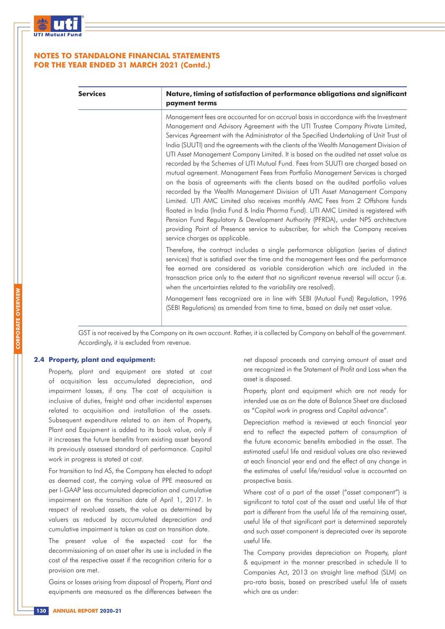

| <b>Services</b> | Nature, timing of satisfaction of performance obligations and significant<br>payment terms                                                                                                                                                                                                                                                                                                                                                                                                                                                                                                                                                                                                                                                                                                                                                                                                                                                                                                                                                                                                                                                                                        |
|-----------------|-----------------------------------------------------------------------------------------------------------------------------------------------------------------------------------------------------------------------------------------------------------------------------------------------------------------------------------------------------------------------------------------------------------------------------------------------------------------------------------------------------------------------------------------------------------------------------------------------------------------------------------------------------------------------------------------------------------------------------------------------------------------------------------------------------------------------------------------------------------------------------------------------------------------------------------------------------------------------------------------------------------------------------------------------------------------------------------------------------------------------------------------------------------------------------------|
|                 | Management fees are accounted for on accrual basis in accordance with the Investment<br>Management and Advisory Agreement with the UTI Trustee Company Private Limited,<br>Services Agreement with the Administrator of the Specified Undertaking of Unit Trust of<br>India (SUUTI) and the agreements with the clients of the Wealth Management Division of<br>UTI Asset Management Company Limited. It is based on the audited net asset value as<br>recorded by the Schemes of UTI Mutual Fund. Fees from SUUTI are charged based on<br>mutual agreement. Management Fees from Portfolio Management Services is charged<br>on the basis of agreements with the clients based on the audited portfolio values<br>recorded by the Wealth Management Division of UTI Asset Management Company<br>Limited. UTI AMC Limited also receives monthly AMC Fees from 2 Offshore funds<br>floated in India (India Fund & India Pharma Fund). UTI AMC Limited is registered with<br>Pension Fund Regulatory & Development Authority (PFRDA), under NPS architecture<br>providing Point of Presence service to subscriber, for which the Company receives<br>service charges as applicable. |
|                 | Therefore, the contract includes a single performance obligation (series of distinct<br>services) that is satisfied over the time and the management fees and the performance<br>fee earned are considered as variable consideration which are included in the<br>transaction price only to the extent that no significant revenue reversal will occur (i.e.<br>when the uncertainties related to the variability are resolved).<br>Management fees recognized are in line with SEBI (Mutual Fund) Regulation, 1996<br>(SEBI Regulations) as amended from time to time, based on daily net asset value.                                                                                                                                                                                                                                                                                                                                                                                                                                                                                                                                                                           |

GST is not received by the Company on its own account. Rather, it is collected by Company on behalf of the government. Accordingly, it is excluded from revenue.

#### **2.4 Property, plant and equipment:**

Property, plant and equipment are stated at cost of acquisition less accumulated depreciation, and impairment losses, if any. The cost of acquisition is inclusive of duties, freight and other incidental expenses related to acquisition and installation of the assets. Subsequent expenditure related to an item of Property, Plant and Equipment is added to its book value, only if it increases the future benefits from existing asset beyond its previously assessed standard of performance. Capital work in progress is stated at cost.

For transition to Ind AS, the Company has elected to adopt as deemed cost, the carrying value of PPE measured as per I-GAAP less accumulated depreciation and cumulative impairment on the transition date of April 1, 2017. In respect of revalued assets, the value as determined by valuers as reduced by accumulated depreciation and cumulative impairment is taken as cost on transition date.

The present value of the expected cost for the decommissioning of an asset after its use is included in the cost of the respective asset if the recognition criteria for a provision are met.

Gains or losses arising from disposal of Property, Plant and equipments are measured as the differences between the net disposal proceeds and carrying amount of asset and are recognized in the Statement of Profit and Loss when the asset is disposed.

Property, plant and equipment which are not ready for intended use as on the date of Balance Sheet are disclosed as "Capital work in progress and Capital advance".

Depreciation method is reviewed at each financial year end to reflect the expected pattern of consumption of the future economic benefits embodied in the asset. The estimated useful life and residual values are also reviewed at each financial year end and the effect of any change in the estimates of useful life/residual value is accounted on prospective basis.

Where cost of a part of the asset ("asset component") is significant to total cost of the asset and useful life of that part is different from the useful life of the remaining asset, useful life of that significant part is determined separately and such asset component is depreciated over its separate useful life.

The Company provides depreciation on Property, plant & equipment in the manner prescribed in schedule II to Companies Act, 2013 on straight line method (SLM) on pro-rata basis, based on prescribed useful life of assets which are as under: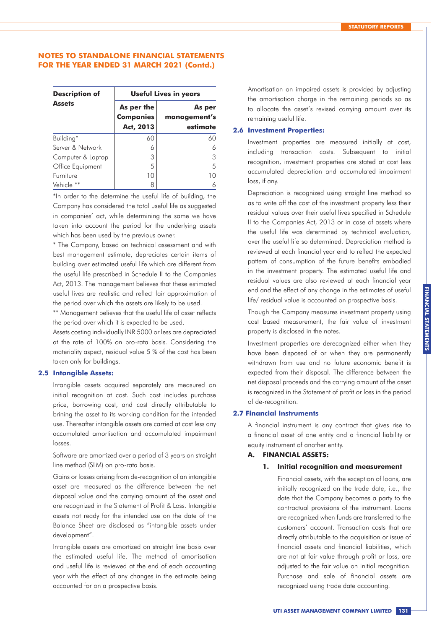| <b>Description of</b> | Useful Lives in years                       |                                    |  |  |
|-----------------------|---------------------------------------------|------------------------------------|--|--|
| <b>Assets</b>         | As per the<br><b>Companies</b><br>Act, 2013 | As per<br>management's<br>estimate |  |  |
| Building*             | 60                                          | 60                                 |  |  |
| Server & Network      | 6                                           |                                    |  |  |
| Computer & Laptop     | 3                                           | 3                                  |  |  |
| Office Equipment      | 5                                           | 5                                  |  |  |
| Furniture             | 10                                          | 10                                 |  |  |
| Vehicle **            | 8                                           |                                    |  |  |

\*In order to the determine the useful life of building, the Company has considered the total useful life as suggested in companies' act, while determining the same we have taken into account the period for the underlying assets which has been used by the previous owner.

\* The Company, based on technical assessment and with best management estimate, depreciates certain items of building over estimated useful life which are different from the useful life prescribed in Schedule II to the Companies Act, 2013. The management believes that these estimated useful lives are realistic and reflect fair approximation of the period over which the assets are likely to be used.

\*\* Management believes that the useful life of asset reflects the period over which it is expected to be used.

Assets costing individually INR 5000 or less are depreciated at the rate of 100% on pro-rata basis. Considering the materiality aspect, residual value 5 % of the cost has been taken only for buildings.

### **2.5 Intangible Assets:**

Intangible assets acquired separately are measured on initial recognition at cost. Such cost includes purchase price, borrowing cost, and cost directly attributable to brining the asset to its working condition for the intended use. Thereafter intangible assets are carried at cost less any accumulated amortisation and accumulated impairment losses.

Software are amortized over a period of 3 years on straight line method (SLM) on pro-rata basis.

Gains or losses arising from de-recognition of an intangible asset are measured as the difference between the net disposal value and the carrying amount of the asset and are recognized in the Statement of Profit & Loss. Intangible assets not ready for the intended use on the date of the Balance Sheet are disclosed as "intangible assets under development".

Intangible assets are amortized on straight line basis over the estimated useful life. The method of amortisation and useful life is reviewed at the end of each accounting year with the effect of any changes in the estimate being accounted for on a prospective basis.

Amortisation on impaired assets is provided by adjusting the amortisation charge in the remaining periods so as to allocate the asset's revised carrying amount over its remaining useful life.

#### **2.6 Investment Properties:**

Investment properties are measured initially at cost, including transaction costs. Subsequent to initial recognition, investment properties are stated at cost less accumulated depreciation and accumulated impairment loss, if any.

Depreciation is recognized using straight line method so as to write off the cost of the investment property less their residual values over their useful lives specified in Schedule II to the Companies Act, 2013 or in case of assets where the useful life was determined by technical evaluation, over the useful life so determined. Depreciation method is reviewed at each financial year end to reflect the expected pattern of consumption of the future benefits embodied in the investment property. The estimated useful life and residual values are also reviewed at each financial year end and the effect of any change in the estimates of useful life/ residual value is accounted on prospective basis.

Though the Company measures investment property using cost based measurement, the fair value of investment property is disclosed in the notes.

Investment properties are derecognized either when they have been disposed of or when they are permanently withdrawn from use and no future economic benefit is expected from their disposal. The difference between the net disposal proceeds and the carrying amount of the asset is recognized in the Statement of profit or loss in the period of de-recognition.

#### **2.7 Financial Instruments**

A financial instrument is any contract that gives rise to a financial asset of one entity and a financial liability or equity instrument of another entity.

### **A. FINANCIAL ASSETS:**

#### **1. Initial recognition and measurement**

Financial assets, with the exception of loans, are initially recognized on the trade date, i.e., the date that the Company becomes a party to the contractual provisions of the instrument. Loans are recognized when funds are transferred to the customers' account. Transaction costs that are directly attributable to the acquisition or issue of financial assets and financial liabilities, which are not at fair value through profit or loss, are adjusted to the fair value on initial recognition. Purchase and sale of financial assets are recognized using trade date accounting.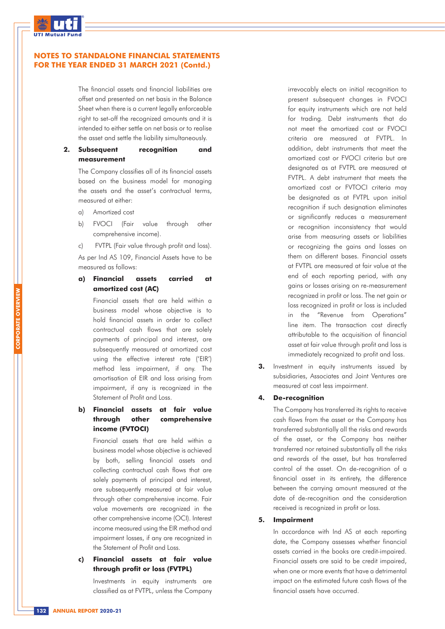

The financial assets and financial liabilities are offset and presented on net basis in the Balance Sheet when there is a current legally enforceable right to set-off the recognized amounts and it is intended to either settle on net basis or to realise the asset and settle the liability simultaneously.

#### **2. Subsequent recognition and measurement**

The Company classifies all of its financial assets based on the business model for managing the assets and the asset's contractual terms, measured at either:

- a) Amortized cost
- b) FVOCI (Fair value through other comprehensive income).

c) FVTPL (Fair value through profit and loss). As per Ind AS 109, Financial Assets have to be measured as follows:

### **a) Financial assets carried at amortized cost (AC)**

Financial assets that are held within a business model whose objective is to hold financial assets in order to collect contractual cash flows that are solely payments of principal and interest, are subsequently measured at amortized cost using the effective interest rate ('EIR') method less impairment, if any. The amortisation of EIR and loss arising from impairment, if any is recognized in the Statement of Profit and Loss.

### **b) Financial assets at fair value through other comprehensive income (FVTOCI)**

Financial assets that are held within a business model whose objective is achieved by both, selling financial assets and collecting contractual cash flows that are solely payments of principal and interest, are subsequently measured at fair value through other comprehensive income. Fair value movements are recognized in the other comprehensive income (OCI). Interest income measured using the EIR method and impairment losses, if any are recognized in the Statement of Profit and Loss.

### **c) Financial assets at fair value through profit or loss (FVTPL)**

Investments in equity instruments are classified as at FVTPL, unless the Company irrevocably elects on initial recognition to present subsequent changes in FVOCI for equity instruments which are not held for trading. Debt instruments that do not meet the amortized cost or FVOCI criteria are measured at FVTPL. In addition, debt instruments that meet the amortized cost or FVOCI criteria but are designated as at FVTPL are measured at FVTPL. A debt instrument that meets the amortized cost or FVTOCI criteria may be designated as at FVTPL upon initial recognition if such designation eliminates or significantly reduces a measurement or recognition inconsistency that would arise from measuring assets or liabilities or recognizing the gains and losses on them on different bases. Financial assets at FVTPL are measured at fair value at the end of each reporting period, with any gains or losses arising on re-measurement recognized in profit or loss. The net gain or loss recognized in profit or loss is included in the "Revenue from Operations" line item. The transaction cost directly attributable to the acquisition of financial asset at fair value through profit and loss is immediately recognized to profit and loss.

**3.** Investment in equity instruments issued by subsidiaries, Associates and Joint Ventures are measured at cost less impairment.

#### **4. De-recognition**

The Company has transferred its rights to receive cash flows from the asset or the Company has transferred substantially all the risks and rewards of the asset, or the Company has neither transferred nor retained substantially all the risks and rewards of the asset, but has transferred control of the asset. On de-recognition of a financial asset in its entirety, the difference between the carrying amount measured at the date of de-recognition and the consideration received is recognized in profit or loss.

#### **5. Impairment**

In accordance with Ind AS at each reporting date, the Company assesses whether financial assets carried in the books are credit-impaired. Financial assets are said to be credit impaired, when one or more events that have a detrimental impact on the estimated future cash flows of the financial assets have occurred.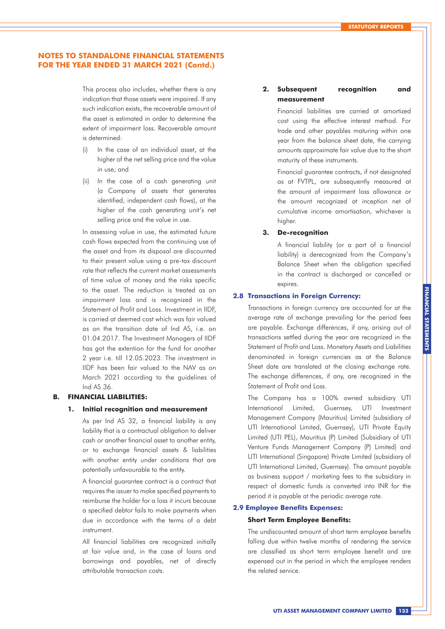This process also includes, whether there is any indication that those assets were impaired. If any such indication exists, the recoverable amount of the asset is estimated in order to determine the extent of impairment loss. Recoverable amount is determined:

- (i) In the case of an individual asset, at the higher of the net selling price and the value in use; and
- (ii) In the case of a cash generating unit (a Company of assets that generates identified, independent cash flows), at the higher of the cash generating unit's net selling price and the value in use.

In assessing value in use, the estimated future cash flows expected from the continuing use of the asset and from its disposal are discounted to their present value using a pre-tax discount rate that reflects the current market assessments of time value of money and the risks specific to the asset. The reduction is treated as an impairment loss and is recognized in the Statement of Profit and Loss. Investment in IIDF, is carried at deemed cost which was fair valued as on the transition date of Ind AS, i.e. on 01.04.2017. The Investment Managers of IIDF has got the extention for the fund for another 2 year i.e. till 12.05.2023. The investment in IIDF has been fair valued to the NAV as on March 2021 according to the guidelines of Ind AS 36.

### **B. FINANCIAL LIABILITIES:**

#### **1. Initial recognition and measurement**

As per Ind AS 32, a financial liability is any liability that is a contractual obligation to deliver cash or another financial asset to another entity, or to exchange financial assets & liabilities with another entity under conditions that are potentially unfavourable to the entity.

A financial guarantee contract is a contract that requires the issuer to make specified payments to reimburse the holder for a loss it incurs because a specified debtor fails to make payments when due in accordance with the terms of a debt instrument.

All financial liabilities are recognized initially at fair value and, in the case of loans and borrowings and payables, net of directly attributable transaction costs.

### **2. Subsequent recognition and measurement**

Financial liabilities are carried at amortized cost using the effective interest method. For trade and other payables maturing within one year from the balance sheet date, the carrying amounts approximate fair value due to the short maturity of these instruments.

Financial guarantee contracts, if not designated as at FVTPL, are subsequently measured at the amount of impairment loss allowance or the amount recognized at inception net of cumulative income amortisation, whichever is higher.

#### **3. De-recognition**

A financial liability (or a part of a financial liability) is derecognized from the Company's Balance Sheet when the obligation specified in the contract is discharged or cancelled or expires.

#### **2.8 Transactions in Foreign Currency:**

Transactions in foreign currency are accounted for at the average rate of exchange prevailing for the period fees are payable. Exchange differences, if any, arising out of transactions settled during the year are recognized in the Statement of Profit and Loss. Monetary Assets and Liabilities denominated in foreign currencies as at the Balance Sheet date are translated at the closing exchange rate. The exchange differences, if any, are recognized in the Statement of Profit and Loss.

The Company has a 100% owned subsidiary UTI International Limited, Guernsey, UTI Investment Management Company (Mauritius) Limited (subsidiary of UTI International Limited, Guernsey), UTI Private Equity Limited (UTI PEL), Mauritius (P) Limited (Subsidiary of UTI Venture Funds Management Company (P) Limited) and UTI International (Singapore) Private Limited (subsidiary of UTI International Limited, Guernsey). The amount payable as business support / marketing fees to the subsidiary in respect of domestic funds is converted into INR for the period it is payable at the periodic average rate.

### **2.9 Employee Benefits Expenses:**

#### **Short Term Employee Benefits:**

The undiscounted amount of short term employee benefits falling due within twelve months of rendering the service are classified as short term employee benefit and are expensed out in the period in which the employee renders the related service.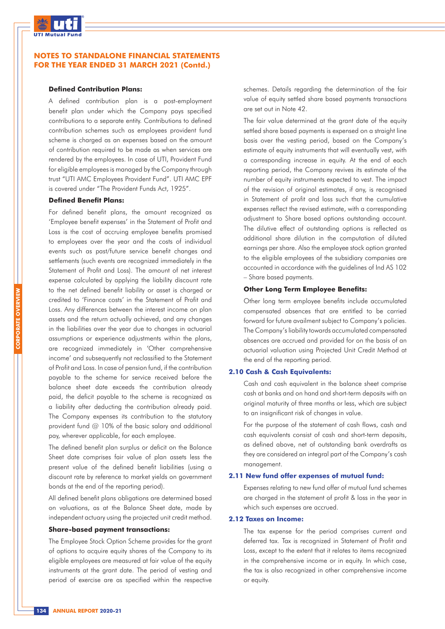

#### **Defined Contribution Plans:**

A defined contribution plan is a post-employment benefit plan under which the Company pays specified contributions to a separate entity. Contributions to defined contribution schemes such as employees provident fund scheme is charged as an expenses based on the amount of contribution required to be made as when services are rendered by the employees. In case of UTI, Provident Fund for eligible employees is managed by the Company through trust "UTI AMC Employees Provident Fund". UTI AMC EPF is covered under "The Provident Funds Act, 1925".

#### **Defined Benefit Plans:**

For defined benefit plans, the amount recognized as 'Employee benefit expenses' in the Statement of Profit and Loss is the cost of accruing employee benefits promised to employees over the year and the costs of individual events such as past/future service benefit changes and settlements (such events are recognized immediately in the Statement of Profit and Loss). The amount of net interest expense calculated by applying the liability discount rate to the net defined benefit liability or asset is charged or credited to 'Finance costs' in the Statement of Profit and Loss. Any differences between the interest income on plan assets and the return actually achieved, and any changes in the liabilities over the year due to changes in actuarial assumptions or experience adjustments within the plans, are recognized immediately in 'Other comprehensive income' and subsequently not reclassified to the Statement of Profit and Loss. In case of pension fund, if the contribution payable to the scheme for service received before the balance sheet date exceeds the contribution already paid, the deficit payable to the scheme is recognized as a liability after deducting the contribution already paid. The Company expenses its contribution to the statutory provident fund @ 10% of the basic salary and additional pay, wherever applicable, for each employee.

The defined benefit plan surplus or deficit on the Balance Sheet date comprises fair value of plan assets less the present value of the defined benefit liabilities (using a discount rate by reference to market yields on government bonds at the end of the reporting period).

All defined benefit plans obligations are determined based on valuations, as at the Balance Sheet date, made by independent actuary using the projected unit credit method.

#### **Share-based payment transactions:**

The Employee Stock Option Scheme provides for the grant of options to acquire equity shares of the Company to its eligible employees are measured at fair value of the equity instruments at the grant date. The period of vesting and period of exercise are as specified within the respective

schemes. Details regarding the determination of the fair value of equity settled share based payments transactions are set out in Note 42.

The fair value determined at the grant date of the equity settled share based payments is expensed on a straight line basis over the vesting period, based on the Company's estimate of equity instruments that will eventually vest, with a corresponding increase in equity. At the end of each reporting period, the Company revives its estimate of the number of equity instruments expected to vest. The impact of the revision of original estimates, if any, is recognised in Statement of profit and loss such that the cumulative expenses reflect the revised estimate, with a corresponding adjustment to Share based options outstanding account. The dilutive effect of outstanding options is reflected as additional share dilution in the computation of diluted earnings per share. Also the employee stock option granted to the eligible employees of the subsidiary companies are accounted in accordance with the guidelines of Ind AS 102 – Share based payments.

#### **Other Long Term Employee Benefits:**

Other long term employee benefits include accumulated compensated absences that are entitled to be carried forward for future availment subject to Company's policies. The Company's liability towards accumulated compensated absences are accrued and provided for on the basis of an actuarial valuation using Projected Unit Credit Method at the end of the reporting period.

### **2.10 Cash & Cash Equivalents:**

Cash and cash equivalent in the balance sheet comprise cash at banks and on hand and short-term deposits with an original maturity of three months or less, which are subject to an insignificant risk of changes in value.

For the purpose of the statement of cash flows, cash and cash equivalents consist of cash and short-term deposits, as defined above, net of outstanding bank overdrafts as they are considered an integral part of the Company's cash management.

#### **2.11 New fund offer expenses of mutual fund:**

Expenses relating to new fund offer of mutual fund schemes are charged in the statement of profit & loss in the year in which such expenses are accrued.

#### **2.12 Taxes on Income:**

The tax expense for the period comprises current and deferred tax. Tax is recognized in Statement of Profit and Loss, except to the extent that it relates to items recognized in the comprehensive income or in equity. In which case, the tax is also recognized in other comprehensive income or equity.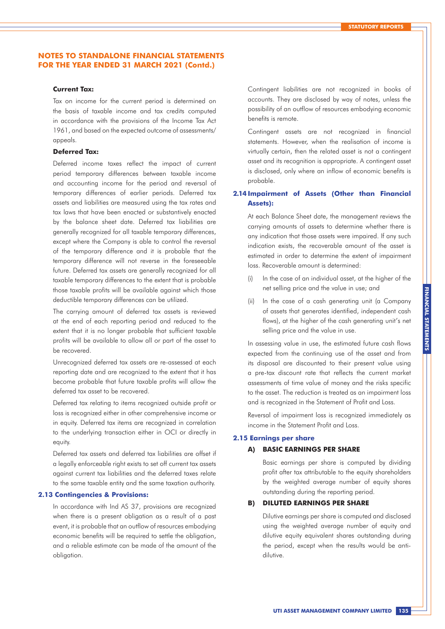#### **Current Tax:**

Tax on income for the current period is determined on the basis of taxable income and tax credits computed in accordance with the provisions of the Income Tax Act 1961, and based on the expected outcome of assessments/ appeals.

### **Deferred Tax:**

Deferred income taxes reflect the impact of current period temporary differences between taxable income and accounting income for the period and reversal of temporary differences of earlier periods. Deferred tax assets and liabilities are measured using the tax rates and tax laws that have been enacted or substantively enacted by the balance sheet date. Deferred tax liabilities are generally recognized for all taxable temporary differences, except where the Company is able to control the reversal of the temporary difference and it is probable that the temporary difference will not reverse in the foreseeable future. Deferred tax assets are generally recognized for all taxable temporary differences to the extent that is probable those taxable profits will be available against which those deductible temporary differences can be utilized.

The carrying amount of deferred tax assets is reviewed at the end of each reporting period and reduced to the extent that it is no longer probable that sufficient taxable profits will be available to allow all or part of the asset to be recovered.

Unrecognized deferred tax assets are re-assessed at each reporting date and are recognized to the extent that it has become probable that future taxable profits will allow the deferred tax asset to be recovered.

Deferred tax relating to items recognized outside profit or loss is recognized either in other comprehensive income or in equity. Deferred tax items are recognized in correlation to the underlying transaction either in OCI or directly in equity.

Deferred tax assets and deferred tax liabilities are offset if a legally enforceable right exists to set off current tax assets against current tax liabilities and the deferred taxes relate to the same taxable entity and the same taxation authority.

#### **2.13 Contingencies & Provisions:**

In accordance with Ind AS 37, provisions are recognized when there is a present obligation as a result of a past event, it is probable that an outflow of resources embodying economic benefits will be required to settle the obligation, and a reliable estimate can be made of the amount of the obligation.

Contingent liabilities are not recognized in books of accounts. They are disclosed by way of notes, unless the possibility of an outflow of resources embodying economic benefits is remote.

Contingent assets are not recognized in financial statements. However, when the realisation of income is virtually certain, then the related asset is not a contingent asset and its recognition is appropriate. A contingent asset is disclosed, only where an inflow of economic benefits is probable.

### **2.14 Impairment of Assets (Other than Financial Assets):**

At each Balance Sheet date, the management reviews the carrying amounts of assets to determine whether there is any indication that those assets were impaired. If any such indication exists, the recoverable amount of the asset is estimated in order to determine the extent of impairment loss. Recoverable amount is determined:

- (i) In the case of an individual asset, at the higher of the net selling price and the value in use; and
- (ii) In the case of a cash generating unit (a Company of assets that generates identified, independent cash flows), at the higher of the cash generating unit's net selling price and the value in use.

In assessing value in use, the estimated future cash flows expected from the continuing use of the asset and from its disposal are discounted to their present value using a pre-tax discount rate that reflects the current market assessments of time value of money and the risks specific to the asset. The reduction is treated as an impairment loss and is recognized in the Statement of Profit and Loss.

Reversal of impairment loss is recognized immediately as income in the Statement Profit and Loss.

#### **2.15 Earnings per share**

#### **A) BASIC EARNINGS PER SHARE**

Basic earnings per share is computed by dividing profit after tax attributable to the equity shareholders by the weighted average number of equity shares outstanding during the reporting period.

#### **B) DILUTED EARNINGS PER SHARE**

Dilutive earnings per share is computed and disclosed using the weighted average number of equity and dilutive equity equivalent shares outstanding during the period, except when the results would be antidilutive.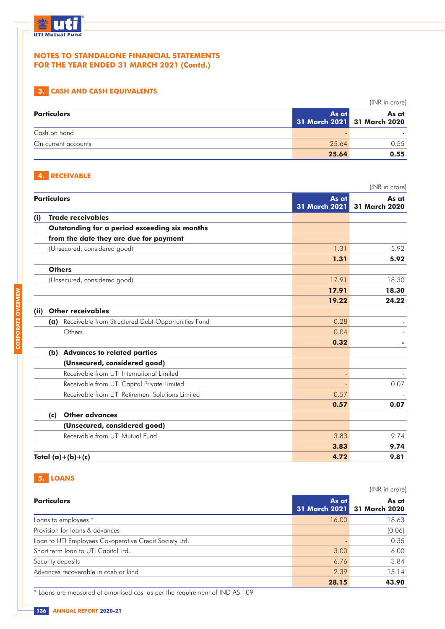

### **3. CASH AND CASH EQUIVALENTS**

|                     |       | (INR in crore)                       |
|---------------------|-------|--------------------------------------|
| <b>Particulars</b>  | As at | As at<br>31 March 2021 31 March 2020 |
| Cash on hand        |       |                                      |
| On current accounts | 25.64 | 0.55                                 |
|                     | 25.64 | 0.55                                 |

### **4. RECEIVABLE**

|      |                    |                                                        |                               | (INR in crore)         |
|------|--------------------|--------------------------------------------------------|-------------------------------|------------------------|
|      | <b>Particulars</b> |                                                        | As at<br><b>31 March 2021</b> | As at<br>31 March 2020 |
| (i)  |                    | <b>Trade receivables</b>                               |                               |                        |
|      |                    | Outstanding for a period exceeding six months          |                               |                        |
|      |                    | from the date they are due for payment                 |                               |                        |
|      |                    | (Unsecured, considered good)                           | 1.31                          | 5.92                   |
|      |                    |                                                        | 1.31                          | 5.92                   |
|      | <b>Others</b>      |                                                        |                               |                        |
|      |                    | (Unsecured, considered good)                           | 17.91                         | 18.30                  |
|      |                    |                                                        | 17.91                         | 18.30                  |
|      |                    |                                                        | 19.22                         | 24.22                  |
| (ii) |                    | <b>Other receivables</b>                               |                               |                        |
|      |                    | (a) Receivable from Structured Debt Opportunities Fund | 0.28                          |                        |
|      |                    | Others                                                 | 0.04                          |                        |
|      |                    |                                                        | 0.32                          |                        |
|      |                    | (b) Advances to related parties                        |                               |                        |
|      |                    | (Unsecured, considered good)                           |                               |                        |
|      |                    | Receivable from UTI International Limited              | $\overline{\phantom{a}}$      |                        |
|      |                    | Receivable from UTI Capital Private Limited            |                               | 0.07                   |
|      |                    | Receivable from UTI Retirement Solutions Limited       | 0.57                          |                        |
|      |                    |                                                        | 0.57                          | 0.07                   |
|      | (c)                | <b>Other advances</b>                                  |                               |                        |
|      |                    | (Unsecured, considered good)                           |                               |                        |
|      |                    | Receivable from UTI Mutual Fund                        | 3.83                          | 9.74                   |
|      |                    |                                                        | 3.83                          | 9.74                   |
|      |                    | Total $(a)+(b)+(c)$                                    | 4.72                          | 9.81                   |

## **5. LOANS**

|                                                        |       | (INR in crore)                       |
|--------------------------------------------------------|-------|--------------------------------------|
| <b>Particulars</b>                                     | As at | As at<br>31 March 2021 31 March 2020 |
| Loans to employees *                                   | 16.00 | 18.63                                |
| Provision for loans & advances                         |       | (0.06)                               |
| Loan to UTI Employees Co-operative Credit Society Ltd. |       | 0.35                                 |
| Short term loan to UTI Capital Ltd.                    | 3.00  | 6.00                                 |
| Security deposits                                      | 6.76  | 3.84                                 |
| Advances recoverable in cash or kind                   | 2.39  | 15.14                                |
|                                                        | 28.15 | 43.90                                |

\* Loans are measured at amortised cost as per the requirement of IND AS 109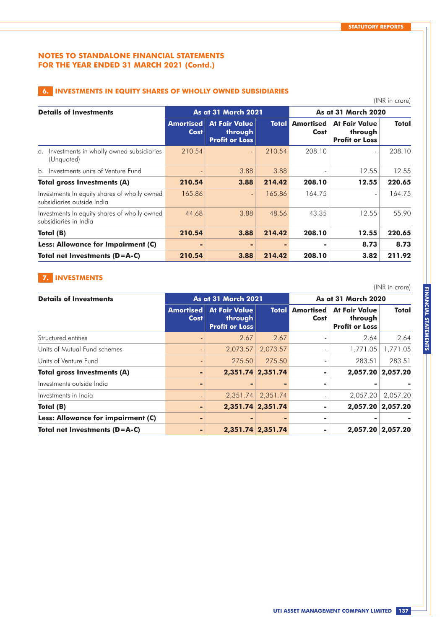### **6. INVESTMENTS IN EQUITY SHARES OF WHOLLY OWNED SUBSIDIARIES**

|                                                                            |                                 |                                                          |              |                                 |                                                          | (INR in crore) |
|----------------------------------------------------------------------------|---------------------------------|----------------------------------------------------------|--------------|---------------------------------|----------------------------------------------------------|----------------|
| <b>Details of Investments</b>                                              |                                 | <b>As at 31 March 2021</b>                               |              |                                 | As at 31 March 2020                                      |                |
|                                                                            | <b>Amortised</b><br><b>Cost</b> | <b>At Fair Value</b><br>through<br><b>Profit or Loss</b> | <b>Total</b> | <b>Amortised</b><br><b>Cost</b> | <b>At Fair Value</b><br>through<br><b>Profit or Loss</b> | Total          |
| a. Investments in wholly owned subsidiaries<br>(Unquoted)                  | 210.54                          |                                                          | 210.54       | 208.10                          |                                                          | 208.10         |
| b. Investments units of Venture Fund                                       |                                 | 3.88                                                     | 3.88         |                                 | 12.55                                                    | 12.55          |
| <b>Total gross Investments (A)</b>                                         | 210.54                          | 3.88                                                     | 214.42       | 208.10                          | 12.55                                                    | 220.65         |
| Investments In equity shares of wholly owned<br>subsidiaries outside India | 165.86                          |                                                          | 165.86       | 164.75                          |                                                          | 164.75         |
| Investments In equity shares of wholly owned<br>subsidiaries in India      | 44.68                           | 3.88                                                     | 48.56        | 43.35                           | 12.55                                                    | 55.90          |
| Total (B)                                                                  | 210.54                          | 3.88                                                     | 214.42       | 208.10                          | 12.55                                                    | 220.65         |
| Less: Allowance for Impairment (C)                                         |                                 |                                                          |              |                                 | 8.73                                                     | 8.73           |
| Total net Investments (D=A-C)                                              | 210.54                          | 3.88                                                     | 214.42       | 208.10                          | 3.82                                                     | 211.92         |

### **7. INVESTMENTS**

| <b>Details of Investments</b>      |                                 | <b>As at 31 March 2021</b>                               |                     | As at 31 March 2020             |                                                          |                   |  |
|------------------------------------|---------------------------------|----------------------------------------------------------|---------------------|---------------------------------|----------------------------------------------------------|-------------------|--|
|                                    | <b>Amortised</b><br><b>Cost</b> | <b>At Fair Value</b><br>through<br><b>Profit or Loss</b> | <b>Total</b>        | <b>Amortised</b><br><b>Cost</b> | <b>At Fair Value</b><br>through<br><b>Profit or Loss</b> | Total             |  |
| Structured entities                |                                 | 2.67                                                     | 2.67                |                                 | 2.64                                                     | 2.64              |  |
| Units of Mutual Fund schemes       |                                 | 2,073.57                                                 | 2,073.57            |                                 | 1,771.05                                                 | 1,771.05          |  |
| Units of Venture Fund              |                                 | 275.50                                                   | 275.50              |                                 | 283.51                                                   | 283.51            |  |
| <b>Total gross Investments (A)</b> | ٠                               |                                                          | $2,351.74$ 2,351.74 | ۰                               |                                                          | 2,057.20 2,057.20 |  |
| Investments outside India          | Е                               |                                                          |                     |                                 |                                                          |                   |  |
| Investments in India               |                                 | 2,351.74                                                 | 2,351.74            |                                 | 2,057.20                                                 | 2,057.20          |  |
| Total (B)                          | -                               |                                                          | $2,351.74$ 2,351.74 |                                 |                                                          | 2,057.20 2,057.20 |  |
| Less: Allowance for impairment (C) | ┍                               |                                                          |                     |                                 |                                                          |                   |  |
| Total net Investments (D=A-C)      | Ξ                               |                                                          | $2,351.74$ 2,351.74 |                                 |                                                          | 2,057.20 2,057.20 |  |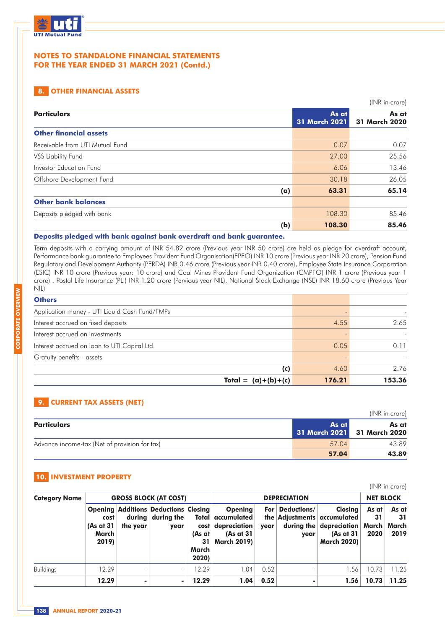

### **8. OTHER FINANCIAL ASSETS**

|                                 |                               | (INR in crore)                |
|---------------------------------|-------------------------------|-------------------------------|
| <b>Particulars</b>              | As at<br><b>31 March 2021</b> | As at<br><b>31 March 2020</b> |
| <b>Other financial assets</b>   |                               |                               |
| Receivable from UTI Mutual Fund | 0.07                          | 0.07                          |
| VSS Liability Fund              | 27.00                         | 25.56                         |
| <b>Investor Education Fund</b>  | 6.06                          | 13.46                         |
| Offshore Development Fund       | 30.18                         | 26.05                         |
| (a)                             | 63.31                         | 65.14                         |
| <b>Other bank balances</b>      |                               |                               |
| Deposits pledged with bank      | 108.30                        | 85.46                         |
| (b)                             | 108.30                        | 85.46                         |

### **Deposits pledged with bank against bank overdraft and bank guarantee.**

Term deposits with a carrying amount of INR 54.82 crore (Previous year INR 50 crore) are held as pledge for overdraft account, Performance bank guarantee to Employees Provident Fund Organisation(EPFO) INR 10 crore (Previous year INR 20 crore), Pension Fund Regulatory and Development Authority (PFRDA) INR 0.46 crore (Previous year INR 0.40 crore), Employee State Insurance Corporation (ESIC) INR 10 crore (Previous year: 10 crore) and Coal Mines Provident Fund Organization (CMPFO) INR 1 crore (Previous year 1 crore) . Postal Life Insurance (PLI) INR 1.20 crore (Pervious year NIL), National Stock Exchange (NSE) INR 18.60 crore (Previous Year NIL)

| <b>Others</b>                                 |        |        |
|-----------------------------------------------|--------|--------|
| Application money - UTI Liquid Cash Fund/FMPs |        |        |
| Interest accrued on fixed deposits            | 4.55   | 2.65   |
| Interest accrued on investments               | -      |        |
| Interest accrued on loan to UTI Capital Ltd.  | 0.05   | 0.11   |
| Gratuity benefits - assets                    |        |        |
| (c)                                           | 4.60   | 2.76   |
| $Total = (a)+(b)+(c)$                         | 176.21 | 153.36 |

### **9. CURRENT TAX ASSETS (NET)**

|                                               |       | (INR in crore)                       |
|-----------------------------------------------|-------|--------------------------------------|
| <b>Particulars</b>                            | As at | As at<br>31 March 2021 31 March 2020 |
| Advance income-tax (Net of provision for tax) | 57.04 | 43.89                                |
|                                               | 57.04 | 43.89                                |

### **10. INVESTMENT PROPERTY**

|                      |                                     |                       |                                                                   |                                |                                                                                             |      |                                |                                                                                                              |                     | (INR in crore)               |
|----------------------|-------------------------------------|-----------------------|-------------------------------------------------------------------|--------------------------------|---------------------------------------------------------------------------------------------|------|--------------------------------|--------------------------------------------------------------------------------------------------------------|---------------------|------------------------------|
| <b>Category Name</b> |                                     |                       | <b>GROSS BLOCK (AT COST)</b>                                      |                                |                                                                                             |      | <b>DEPRECIATION</b>            |                                                                                                              | <b>NET BLOCK</b>    |                              |
|                      | cost<br>(As at 31<br>March<br>2019) | $dur$ ing<br>the year | <b>Opening Additions Deductions Closing</b><br>during the<br>year | (As at<br>31<br>March<br>2020) | <b>Opening</b><br>Total accumulated<br>cost depreciation<br>(As at 31<br><b>March 2019)</b> | vear | <b>For Deductions/</b><br>year | Closing<br>the Adjustments accumulated<br>during the depreciation   March<br>(As at 31<br><b>March 2020)</b> | As at<br>31<br>2020 | As at<br>31<br>March<br>2019 |
| Buildings            | 12.29                               |                       |                                                                   | 12.29                          | 1.04                                                                                        | 0.52 |                                | .56                                                                                                          | 10.73               | 11.25                        |
|                      | 12.29                               |                       |                                                                   | 12.29                          | 1.04                                                                                        | 0.52 |                                | 1.56                                                                                                         | 10.73               | 11.25                        |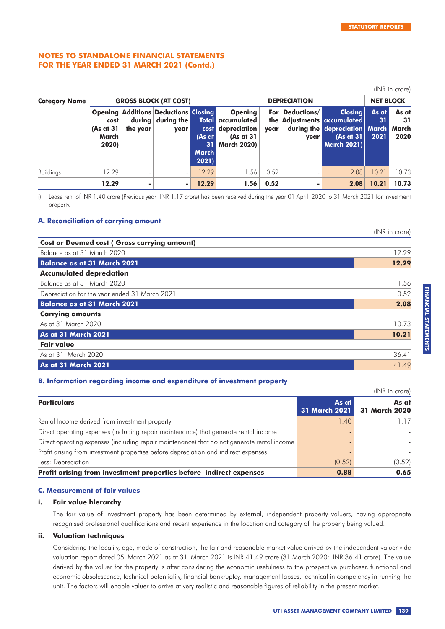|                      |                                     |                       |                                                                   |                                                    |                                                                                                    |      |                                |                                                                                                                         |                     | (INR in crore)      |  |
|----------------------|-------------------------------------|-----------------------|-------------------------------------------------------------------|----------------------------------------------------|----------------------------------------------------------------------------------------------------|------|--------------------------------|-------------------------------------------------------------------------------------------------------------------------|---------------------|---------------------|--|
| <b>Category Name</b> |                                     |                       | <b>GROSS BLOCK (AT COST)</b>                                      |                                                    |                                                                                                    |      | <b>DEPRECIATION</b>            |                                                                                                                         |                     | <b>NET BLOCK</b>    |  |
|                      | cost<br>(As at 31<br>March<br>2020) | $dur$ ing<br>the year | <b>Opening Additions Deductions Closing</b><br>during the<br>year | (As <sub>at</sub> )<br>31<br><b>March</b><br>2021) | <b>Opening</b><br><b>Total</b> accumulated<br>cost depreciation<br>(As at 31<br><b>March 2020)</b> | year | <b>For Deductions/</b><br>year | <b>Closing</b><br>the Adjustments accumulated<br>during the depreciation March March<br>(As at 31<br><b>March 2021)</b> | As at<br>31<br>2021 | As at<br>31<br>2020 |  |
| <b>Buildings</b>     | 12.29                               |                       |                                                                   | 12.29                                              | .56                                                                                                | 0.52 |                                | 2.08                                                                                                                    | 10.21               | 10.73               |  |
|                      | 12.29                               | ۰                     | ٠                                                                 | 12.29                                              | 1.56                                                                                               | 0.52 |                                | 2.08                                                                                                                    | 10.21               | 10.73               |  |

i) Lease rent of INR 1.40 crore (Previous year :INR 1.17 crore) has been received during the year 01 April 2020 to 31 March 2021 for Investment property.

#### **A. Reconciliation of carrying amount**

| <b>Cost or Deemed cost ( Gross carrying amount)</b> |       |
|-----------------------------------------------------|-------|
| Balance as at 31 March 2020                         | 12.29 |
| Balance as at 31 March 2021                         | 12.29 |
| <b>Accumulated depreciation</b>                     |       |
| Balance as at 31 March 2020                         | 1.56  |
| Depreciation for the year ended 31 March 2021       | 0.52  |
| Balance as at 31 March 2021                         | 2.08  |
| <b>Carrying amounts</b>                             |       |
| As at 31 March 2020                                 | 10.73 |
| As at 31 March 2021                                 | 10.21 |
| <b>Fair value</b>                                   |       |
| As at 31 March 2020                                 | 36.41 |
| As at 31 March 2021                                 | 41.49 |

#### **B. Information regarding income and expenditure of investment property**

|                                                                                             |                               | (INR in crore)                |
|---------------------------------------------------------------------------------------------|-------------------------------|-------------------------------|
| <b>Particulars</b>                                                                          | As at<br><b>31 March 2021</b> | As at<br><b>31 March 2020</b> |
| Rental Income derived from investment property                                              | 1.40                          |                               |
| Direct operating expenses (including repair maintenance) that generate rental income        | -                             |                               |
| Direct operating expenses (including repair maintenance) that do not generate rental income | $\overline{\phantom{0}}$      |                               |
| Profit arising from investment properties before depreciation and indirect expenses         |                               |                               |
| Less: Depreciation                                                                          | (0.52)                        | (0.52)                        |
| Profit arising from investment properties before indirect expenses                          | 0.88                          | 0.65                          |

#### **C. Measurement of fair values**

#### **i. Fair value hierarchy**

The fair value of investment property has been determined by external, independent property valuers, having appropriate recognised professional qualifications and recent experience in the location and category of the property being valued.

#### **ii. Valuation techniques**

Considering the locality, age, mode of construction, the fair and reasonable market value arrived by the independent valuer vide valuation report dated 05 March 2021 as at 31 March 2021 is INR 41.49 crore (31 March 2020: INR 36.41 crore). The value derived by the valuer for the property is after considering the economic usefulness to the prospective purchaser, functional and economic obsolescence, technical potentiality, financial bankruptcy, management lapses, technical in competency in running the unit. The factors will enable valuer to arrive at very realistic and reasonable figures of reliability in the present market.

(INR in crore)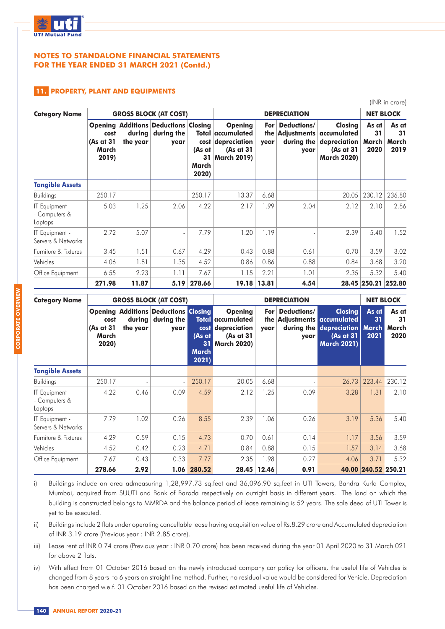

### **11. PROPERTY, PLANT AND EQUIPMENTS**

|                                          |                                     |                       |                                                                   |                                |                                                                                             |                 |                     |                                                                                                                     |                                | (INR in crore)               |
|------------------------------------------|-------------------------------------|-----------------------|-------------------------------------------------------------------|--------------------------------|---------------------------------------------------------------------------------------------|-----------------|---------------------|---------------------------------------------------------------------------------------------------------------------|--------------------------------|------------------------------|
| <b>Category Name</b>                     |                                     |                       | <b>GROSS BLOCK (AT COST)</b>                                      |                                |                                                                                             |                 | <b>DEPRECIATION</b> |                                                                                                                     | <b>NET BLOCK</b>               |                              |
|                                          | cost<br>(As at 31<br>March<br>2019) | $dur$ ing<br>the year | <b>Opening Additions Deductions Closing</b><br>during the<br>year | (As at<br>31<br>March<br>2020) | <b>Opening</b><br>Total accumulated<br>cost depreciation<br>(As at 31<br><b>March 2019)</b> | For $ $<br>year | Deductions/<br>year | <b>Closing</b><br>the Adjustments accumulated<br>during the $\vert$ depreciation<br>(As at 31<br><b>March 2020)</b> | As at<br>31<br>March  <br>2020 | As at<br>31<br>March<br>2019 |
| <b>Tangible Assets</b>                   |                                     |                       |                                                                   |                                |                                                                                             |                 |                     |                                                                                                                     |                                |                              |
| <b>Buildings</b>                         | 250.17                              |                       |                                                                   | 250.17                         | 13.37                                                                                       | 6.68            |                     | 20.05                                                                                                               | 230.12                         | 236.80                       |
| IT Equipment<br>- Computers &<br>Laptops | 5.03                                | 1.25                  | 2.06                                                              | 4.22                           | 2.17                                                                                        | 1.99            | 2.04                | 2.12                                                                                                                | 2.10                           | 2.86                         |
| IT Equipment -<br>Servers & Networks     | 2.72                                | 5.07                  |                                                                   | 7.79                           | 1.20                                                                                        | 1.19            |                     | 2.39                                                                                                                | 5.40                           | 1.52                         |
| Furniture & Fixtures                     | 3.45                                | 1.51                  | 0.67                                                              | 4.29                           | 0.43                                                                                        | 0.88            | 0.61                | 0.70                                                                                                                | 3.59                           | 3.02                         |
| Vehicles                                 | 4.06                                | 1.81                  | 1.35                                                              | 4.52                           | 0.86                                                                                        | 0.86            | 0.88                | 0.84                                                                                                                | 3.68                           | 3.20                         |
| Office Equipment                         | 6.55                                | 2.23                  | 1.11                                                              | 7.67                           | 1.15                                                                                        | 2.21            | 1.01                | 2.35                                                                                                                | 5.32                           | 5.40                         |
|                                          | 271.98                              | 11.87                 | 5.19                                                              | 278.66                         |                                                                                             | 19.18 13.81     | 4.54                |                                                                                                                     |                                | 28.45 250.21 252.80          |

| <b>Category Name</b>                            |                                     |                    | <b>GROSS BLOCK (AT COST)</b>                                      |                                       | <b>DEPRECIATION</b>                                                                                |                 |                     |                                                                                                                   | <b>NET BLOCK</b>    |                              |
|-------------------------------------------------|-------------------------------------|--------------------|-------------------------------------------------------------------|---------------------------------------|----------------------------------------------------------------------------------------------------|-----------------|---------------------|-------------------------------------------------------------------------------------------------------------------|---------------------|------------------------------|
|                                                 | cost<br>(As at 31<br>March<br>2020) | during<br>the year | <b>Opening Additions Deductions Closing</b><br>during the<br>year | (As at<br>31<br><b>March</b><br>2021) | <b>Opening</b><br><b>Total accumulated</b><br>cost depreciation<br>(As at 31<br><b>March 2020)</b> | For $ $<br>year | Deductions/<br>year | <b>Closing</b><br>the Adjustments accumulated<br>during the depreciation March<br>(As at 31<br><b>March 2021)</b> | As at<br>31<br>2021 | As at<br>31<br>March<br>2020 |
| <b>Tangible Assets</b>                          |                                     |                    |                                                                   |                                       |                                                                                                    |                 |                     |                                                                                                                   |                     |                              |
| <b>Buildings</b>                                | 250.17                              |                    |                                                                   | 250.17                                | 20.05                                                                                              | 6.68            |                     | 26.73                                                                                                             | 223.44              | 230.12                       |
| <b>IT Equipment</b><br>- Computers &<br>Laptops | 4.22                                | 0.46               | 0.09                                                              | 4.59                                  | 2.12                                                                                               | 1.25            | 0.09                | 3.28                                                                                                              | 1.31                | 2.10                         |
| IT Equipment -<br>Servers & Networks            | 7.79                                | 1.02               | 0.26                                                              | 8.55                                  | 2.39                                                                                               | 1.06            | 0.26                | 3.19                                                                                                              | 5.36                | 5.40                         |
| Furniture & Fixtures                            | 4.29                                | 0.59               | 0.15                                                              | 4.73                                  | 0.70                                                                                               | 0.61            | 0.14                | 1.17                                                                                                              | 3.56                | 3.59                         |
| Vehicles                                        | 4.52                                | 0.42               | 0.23                                                              | 4.71                                  | 0.84                                                                                               | 0.88            | 0.15                | 1.57                                                                                                              | 3.14                | 3.68                         |
| Office Equipment                                | 7.67                                | 0.43               | 0.33                                                              | 7.77                                  | 2.35                                                                                               | 1.98            | 0.27                | 4.06                                                                                                              | 3.71                | 5.32                         |
|                                                 | 278.66                              | 2.92               | 1.06                                                              | 280.52                                | 28.45                                                                                              | 12.46           | 0.91                |                                                                                                                   | 40.00 240.52 250.21 |                              |

i) Buildings include an area admeasuring 1,28,997.73 sq.feet and 36,096.90 sq.feet in UTI Towers, Bandra Kurla Complex, Mumbai, acquired from SUUTI and Bank of Baroda respectively on outright basis in different years. The land on which the building is constructed belongs to MMRDA and the balance period of lease remaining is 52 years. The sale deed of UTI Tower is yet to be executed.

ii) Buildings include 2 flats under operating cancellable lease having acquisition value of Rs.8.29 crore and Accumulated depreciation of INR 3.19 crore (Previous year : INR 2.85 crore).

iii) Lease rent of INR 0.74 crore (Previous year : INR 0.70 crore) has been received during the year 01 April 2020 to 31 March 021 for above 2 flats.

iv) With effect from 01 October 2016 based on the newly introduced company car policy for officers, the useful life of Vehicles is changed from 8 years to 6 years on straight line method. Further, no residual value would be considered for Vehicle. Depreciation has been charged w.e.f. 01 October 2016 based on the revised estimated useful life of Vehicles.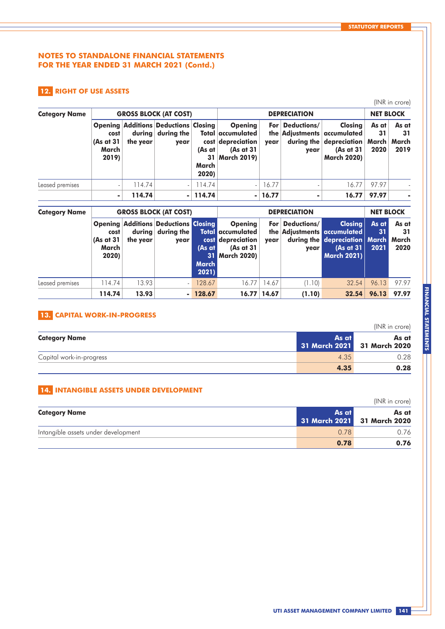### **12. RIGHT OF USE ASSETS**

| <b>Category Name</b> |                                     | <b>GROSS BLOCK (AT COST)</b> |                                                                          |                                  |                                                                                             | <b>DEPRECIATION</b> |                                |                                                                                                                |                     | <b>NET BLOCK</b>              |  |
|----------------------|-------------------------------------|------------------------------|--------------------------------------------------------------------------|----------------------------------|---------------------------------------------------------------------------------------------|---------------------|--------------------------------|----------------------------------------------------------------------------------------------------------------|---------------------|-------------------------------|--|
|                      | cost<br>(As at 31<br>March<br>2019) | the year                     | <b>Opening Additions Deductions Closing</b><br>during during the<br>year | $(As$ at<br>31<br>March<br>2020) | <b>Opening</b><br>Total accumulated<br>cost depreciation<br>(As at 31<br><b>March 2019)</b> | year                | <b>For Deductions/</b><br>year | Closina<br>the Adiustments accumulated<br>during the depreciation   March  <br>(As at 31<br><b>March 2020)</b> | As at<br>31<br>2020 | As at<br>-31<br>March<br>2019 |  |
| Leased premises      |                                     | 114.74                       |                                                                          | 114.74                           |                                                                                             | 16.77               |                                | 16.77                                                                                                          | 97.97               |                               |  |
|                      |                                     | 114.74                       |                                                                          | 114.74                           | $\blacksquare$                                                                              | 16.77               |                                | 16.77                                                                                                          | 97.97               | ٠                             |  |

| <b>Category Name</b> |                                     |          | <b>GROSS BLOCK (AT COST)</b>                                             |                          | <b>DEPRECIATION</b>                                                                                   |             |                                |                                                                                                                           | <b>NET BLOCK</b>    |                     |
|----------------------|-------------------------------------|----------|--------------------------------------------------------------------------|--------------------------|-------------------------------------------------------------------------------------------------------|-------------|--------------------------------|---------------------------------------------------------------------------------------------------------------------------|---------------------|---------------------|
|                      | cost<br>(As at 31<br>March<br>2020) | the year | <b>Opening Additions Deductions Closing</b><br>during during the<br>year | (As at<br>March<br>2021) | <b>Opening</b><br><b>Total accumulated</b><br>cost depreciation<br>(As at 31<br><b>31 March 2020)</b> | year        | <b>For Deductions/</b><br>year | <b>Closing</b><br>the Adjustments accumulated<br>during the depreciation March March<br>(As at $31$<br><b>March 2021)</b> | As at<br>31<br>2021 | As at<br>31<br>2020 |
| Leased premises      | 114.74                              | 13.93    |                                                                          | 128.67                   | 16.77                                                                                                 | 14.67       | (1.10)                         | 32.54                                                                                                                     | 96.13               | 97.97               |
|                      | 114.74                              | 13.93    |                                                                          | $-128.67$                |                                                                                                       | 16.77 14.67 | (1.10)                         | 32.54                                                                                                                     | 96.13               | 97.97               |

### **13. CAPITAL WORK-IN-PROGRESS**

|                          |       | (INR in crore)                       |
|--------------------------|-------|--------------------------------------|
| <b>Category Name</b>     | As at | As at<br>31 March 2021 31 March 2020 |
| Capital work-in-progress | 4.35  | 0.28                                 |
|                          | 4.35  | 0.28                                 |

## **14. INTANGIBLE ASSETS UNDER DEVELOPMENT**

|                                     |       | (INR in crore)                       |
|-------------------------------------|-------|--------------------------------------|
| <b>Category Name</b>                | As at | As at<br>31 March 2021 31 March 2020 |
| Intangible assets under development | 0.78  | 0.76                                 |
|                                     | 0.78  | 0.76                                 |

**FINANCIAL STATEMENTS**

**UTI ASSET MANAGEMENT COMPANY LIMITED 141**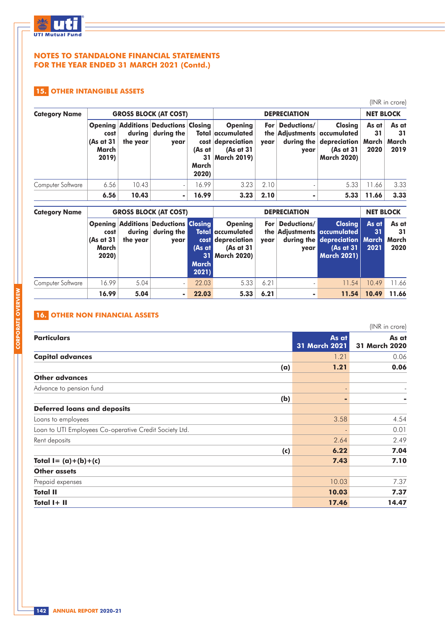

### **15. OTHER INTANGIBLE ASSETS**

| <b>Category Name</b>     | <b>GROSS BLOCK (AT COST)</b><br><b>DEPRECIATION</b> |                    |                                                                   |                                |                                                                                             |      |                          | (INR in crore)<br><b>NET BLOCK</b>                                                                             |                     |                               |
|--------------------------|-----------------------------------------------------|--------------------|-------------------------------------------------------------------|--------------------------------|---------------------------------------------------------------------------------------------|------|--------------------------|----------------------------------------------------------------------------------------------------------------|---------------------|-------------------------------|
|                          | cost<br>(As at 31<br>March<br>2019)                 | during<br>the year | <b>Opening Additions Deductions Closing</b><br>during the<br>year | (As at<br>31<br>March<br>2020) | <b>Opening</b><br>Total accumulated<br>cost depreciation<br>(As at 31<br><b>March 2019)</b> | year | For Deductions/<br>year  | Closing<br>the Adjustments accumulated<br>during the depreciation   March  <br>(As at 31<br><b>March 2020)</b> | As at<br>31<br>2020 | As at<br>-31<br>March<br>2019 |
| <b>Computer Software</b> | 6.56                                                | 10.43              |                                                                   | 16.99                          | 3.23                                                                                        | 2.10 | $\overline{\phantom{a}}$ | 5.33                                                                                                           | 11.66               | 3.33                          |
|                          | 6.56                                                | 10.43              | ۰.                                                                | 16.99                          | 3.23                                                                                        | 2.10 | ۰.                       | 5.33                                                                                                           | 11.66               | 3.33                          |

| <b>Category Name</b>     | <b>GROSS BLOCK (AT COST)</b>        |          |                                                                          |                                       | <b>DEPRECIATION</b>                                                                                   |      |                                |                                                                                                                         | <b>NET BLOCK</b>    |                     |
|--------------------------|-------------------------------------|----------|--------------------------------------------------------------------------|---------------------------------------|-------------------------------------------------------------------------------------------------------|------|--------------------------------|-------------------------------------------------------------------------------------------------------------------------|---------------------|---------------------|
|                          | cost<br>(As at 31<br>March<br>2020) | the year | <b>Opening Additions Deductions Closing</b><br>during during the<br>year | (As <sub>at</sub> )<br>March<br>2021) | <b>Opening</b><br><b>Total accumulated</b><br>cost depreciation<br>(As at 31<br><b>31 March 2020)</b> | year | <b>For Deductions/</b><br>year | $C$ losing<br>the Adjustments accumulated<br>during the depreciation March March<br>(As at 31 $ $<br><b>March 2021)</b> | As at<br>31<br>2021 | As at<br>31<br>2020 |
| <b>Computer Software</b> | 16.99                               | 5.04     | ٠                                                                        | 22.03                                 | 5.33                                                                                                  | 6.21 | $\overline{a}$                 | 11.54                                                                                                                   | 10.49               | 11.66               |
|                          | 16.99                               | 5.04     | ×.                                                                       | 22.03                                 | 5.33                                                                                                  | 6.21 | ۰                              | 11.54                                                                                                                   | 10.49               | 11.66               |

### **16. OTHER NON FINANCIAL ASSETS**

|                                                        |     |                               | (INR in crore)         |
|--------------------------------------------------------|-----|-------------------------------|------------------------|
| <b>Particulars</b>                                     |     | As at<br><b>31 March 2021</b> | As at<br>31 March 2020 |
| <b>Capital advances</b>                                |     | 1.21                          | 0.06                   |
|                                                        | (a) | 1.21                          | 0.06                   |
| <b>Other advances</b>                                  |     |                               |                        |
| Advance to pension fund                                |     | $\overline{\phantom{a}}$      |                        |
|                                                        | (b) |                               |                        |
| <b>Deferred loans and deposits</b>                     |     |                               |                        |
| Loans to employees                                     |     | 3.58                          | 4.54                   |
| Loan to UTI Employees Co-operative Credit Society Ltd. |     |                               | 0.01                   |
| Rent deposits                                          |     | 2.64                          | 2.49                   |
|                                                        | (c) | 6.22                          | 7.04                   |
| Total $I = (a)+(b)+(c)$                                |     | 7.43                          | 7.10                   |
| Other assets                                           |     |                               |                        |
| Prepaid expenses                                       |     | 10.03                         | 7.37                   |
| <b>Total II</b>                                        |     | 10.03                         | 7.37                   |
| Total I+ II                                            |     | 17.46                         | 14.47                  |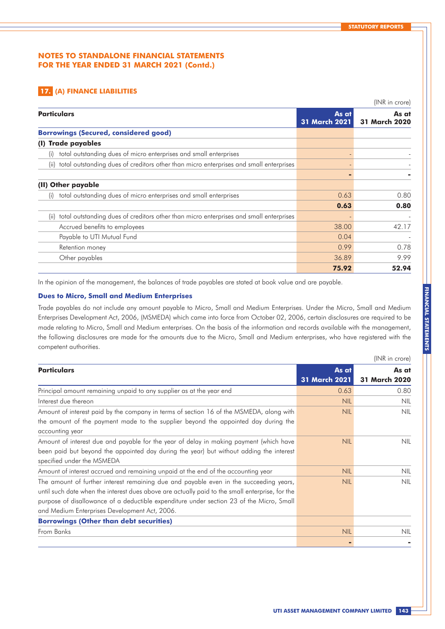### **17. (A) FINANCE LIABILITIES**

|                                                                                                |                               | (INR in crore)                |
|------------------------------------------------------------------------------------------------|-------------------------------|-------------------------------|
| <b>Particulars</b>                                                                             | As at<br><b>31 March 2021</b> | As at<br><b>31 March 2020</b> |
| <b>Borrowings (Secured, considered good)</b>                                                   |                               |                               |
| (I) Trade payables                                                                             |                               |                               |
| total outstanding dues of micro enterprises and small enterprises<br>(i)                       |                               |                               |
| total outstanding dues of creditors other than micro enterprises and small enterprises<br>(ii) |                               |                               |
|                                                                                                |                               |                               |
| (II) Other payable                                                                             |                               |                               |
| total outstanding dues of micro enterprises and small enterprises<br>(i)                       | 0.63                          | 0.80                          |
|                                                                                                | 0.63                          | 0.80                          |
| total outstanding dues of creditors other than micro enterprises and small enterprises<br>(ii) |                               |                               |
| Accrued benefits to employees                                                                  | 38,00                         | 42.17                         |
| Payable to UTI Mutual Fund                                                                     | 0.04                          |                               |
| Retention money                                                                                | 0.99                          | 0.78                          |
| Other payables                                                                                 | 36.89                         | 9.99                          |
|                                                                                                | 75.92                         | 52.94                         |

In the opinion of the management, the balances of trade payables are stated at book value and are payable.

#### **Dues to Micro, Small and Medium Enterprises**

Trade payables do not include any amount payable to Micro, Small and Medium Enterprises. Under the Micro, Small and Medium Enterprises Development Act, 2006, (MSMEDA) which came into force from October 02, 2006, certain disclosures are required to be made relating to Micro, Small and Medium enterprises. On the basis of the information and records available with the management, the following disclosures are made for the amounts due to the Micro, Small and Medium enterprises, who have registered with the competent authorities.

|                                                                                                 |                      | (IIVA III COLE) |
|-------------------------------------------------------------------------------------------------|----------------------|-----------------|
| <b>Particulars</b>                                                                              | As at                | As at           |
|                                                                                                 | <b>31 March 2021</b> | 31 March 2020   |
| Principal amount remaining unpaid to any supplier as at the year end                            | 0.63                 | 0.80            |
| Interest due thereon                                                                            | <b>NIL</b>           | <b>NIL</b>      |
| Amount of interest paid by the company in terms of section 16 of the MSMEDA, along with         | <b>NIL</b>           | <b>NIL</b>      |
| the amount of the payment made to the supplier beyond the appointed day during the              |                      |                 |
| accounting year                                                                                 |                      |                 |
| Amount of interest due and payable for the year of delay in making payment (which have          | <b>NIL</b>           | <b>NIL</b>      |
| been paid but beyond the appointed day during the year) but without adding the interest         |                      |                 |
| specified under the MSMEDA                                                                      |                      |                 |
| Amount of interest accrued and remaining unpaid at the end of the accounting year               | <b>NIL</b>           | <b>NIL</b>      |
| The amount of further interest remaining due and payable even in the succeeding years,          | <b>NIL</b>           | <b>NIL</b>      |
| until such date when the interest dues above are actually paid to the small enterprise, for the |                      |                 |
| purpose of disallowance of a deductible expenditure under section 23 of the Micro, Small        |                      |                 |
| and Medium Enterprises Development Act, 2006.                                                   |                      |                 |
| <b>Borrowings (Other than debt securities)</b>                                                  |                      |                 |
| From Banks                                                                                      | <b>NIL</b>           | <b>NIL</b>      |
|                                                                                                 |                      |                 |

 $(INID \text{ in } error)$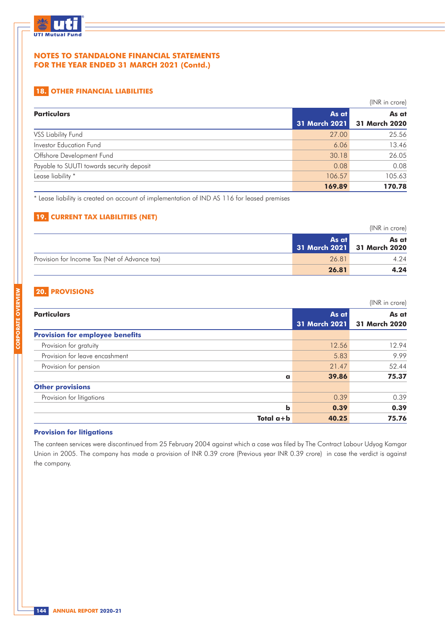

### **18. OTHER FINANCIAL LIABILITIES**

|                                           | (INR in crore) |               |  |  |  |  |
|-------------------------------------------|----------------|---------------|--|--|--|--|
| <b>Particulars</b>                        | As at          | As at         |  |  |  |  |
|                                           | 31 March 2021  | 31 March 2020 |  |  |  |  |
| VSS Liability Fund                        | 27.00          | 25.56         |  |  |  |  |
| <b>Investor Education Fund</b>            | 6.06           | 13.46         |  |  |  |  |
| Offshore Development Fund                 | 30.18          | 26.05         |  |  |  |  |
| Payable to SUUTI towards security deposit | 0.08           | 0.08          |  |  |  |  |
| Lease liability *                         | 106.57         | 105.63        |  |  |  |  |
|                                           | 169.89         | 170.78        |  |  |  |  |

\* Lease liability is created on account of implementation of IND AS 116 for leased premises

### **19. CURRENT TAX LIABILITIES (NET)**

|                                               |       | (INR in crore)                       |
|-----------------------------------------------|-------|--------------------------------------|
|                                               | As at | As at<br>31 March 2021 31 March 2020 |
| Provision for Income Tax (Net of Advance tax) | 26.81 | 4 2 4                                |
|                                               | 26.81 | 4.24                                 |

## **20. PROVISIONS**

|                                        |                      | (INR in crore)       |
|----------------------------------------|----------------------|----------------------|
| <b>Particulars</b>                     | As at                | As at                |
|                                        | <b>31 March 2021</b> | <b>31 March 2020</b> |
| <b>Provision for employee benefits</b> |                      |                      |
| Provision for gratuity                 | 12.56                | 12.94                |
| Provision for leave encashment         | 5.83                 | 9.99                 |
| Provision for pension                  | 21.47                | 52.44                |
| a                                      | 39.86                | 75.37                |
| <b>Other provisions</b>                |                      |                      |
| Provision for litigations              | 0.39                 | 0.39                 |
| b                                      | 0.39                 | 0.39                 |
| Total $a + b$                          | 40.25                | 75.76                |

### **Provision for litigations**

The canteen services were discontinued from 25 February 2004 against which a case was filed by The Contract Labour Udyog Kamgar Union in 2005. The company has made a provision of INR 0.39 crore (Previous year INR 0.39 crore) in case the verdict is against the company.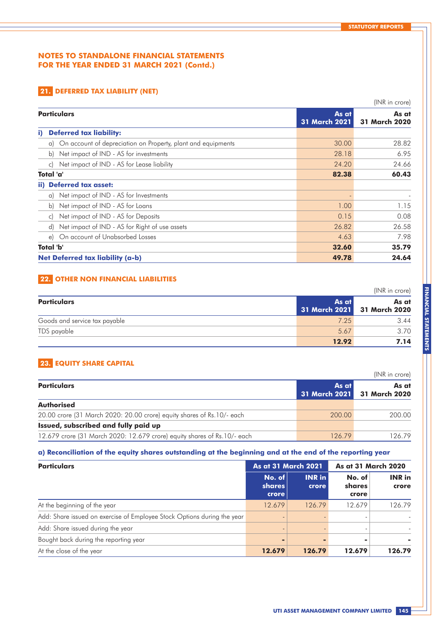### **21. DEFERRED TAX LIABILITY (NET)**

|                                                                    |                               | (INR in crore)                |
|--------------------------------------------------------------------|-------------------------------|-------------------------------|
| <b>Particulars</b>                                                 | As at<br><b>31 March 2021</b> | As at<br><b>31 March 2020</b> |
| <b>Deferred tax liability:</b><br>i)                               |                               |                               |
| On account of depreciation on Property, plant and equipments<br>a) | 30.00                         | 28.82                         |
| Net impact of IND - AS for investments<br>b)                       | 28.18                         | 6.95                          |
| Net impact of IND - AS for Lease liability<br>$\mathsf{C}$         | 24.20                         | 24.66                         |
| Total 'a'                                                          | 82.38                         | 60.43                         |
| ii) Deferred tax asset:                                            |                               |                               |
| Net impact of IND - AS for Investments<br>a)                       |                               |                               |
| Net impact of IND - AS for Loans<br>b)                             | 1.00                          | 1.15                          |
| Net impact of IND - AS for Deposits<br>$\mathsf{C}$                | 0.15                          | 0.08                          |
| Net impact of IND - AS for Right of use assets<br>d)               | 26.82                         | 26.58                         |
| On account of Unabsorbed Losses<br>$\epsilon$                      | 4.63                          | 7.98                          |
| Total 'b'                                                          | 32.60                         | 35.79                         |
| Net Deferred tax liability (a-b)                                   | 49.78                         | 24.64                         |

### **22. OTHER NON FINANCIAL LIABILITIES**

|                               |       | (INR in crore)                       |
|-------------------------------|-------|--------------------------------------|
| <b>Particulars</b>            | As at | As at<br>31 March 2021 31 March 2020 |
| Goods and service tax payable | 7.25  | 3.44                                 |
| TDS payable                   | 5.67  | 3.70                                 |
|                               | 12.92 | 7.14                                 |

## **23. EQUITY SHARE CAPITAL**

|                                                                          |                                 | (INR in crore)                |
|--------------------------------------------------------------------------|---------------------------------|-------------------------------|
| <b>Particulars</b>                                                       | As at<br>31 March 2021 <b>1</b> | As at<br><b>31 March 2020</b> |
| <b>Authorised</b>                                                        |                                 |                               |
| 20.00 crore (31 March 2020: 20.00 crore) equity shares of Rs.10/- each   | 200.00                          | 200.00                        |
| Issued, subscribed and fully paid up                                     |                                 |                               |
| 12.679 crore (31 March 2020; 12.679 crore) equity shares of Rs.10/- each | 126.79                          | 126.79                        |

### **a) Reconciliation of the equity shares outstanding at the beginning and at the end of the reporting year**

| <b>Particulars</b>                                                      | As at 31 March 2021       |                        | As at 31 March 2020       |                        |
|-------------------------------------------------------------------------|---------------------------|------------------------|---------------------------|------------------------|
|                                                                         | No. of<br>shares<br>crore | <b>INR</b> in<br>crore | No. of<br>shares<br>crore | <b>INR</b> in<br>crore |
| At the beginning of the year                                            | 12.679                    | 126.79                 | 12.679                    | 126.79                 |
| Add: Share issued on exercise of Employee Stock Options during the year |                           |                        |                           |                        |
| Add: Share issued during the year                                       |                           |                        |                           |                        |
| Bought back during the reporting year                                   | ▬                         |                        |                           |                        |
| At the close of the year                                                | 12.679                    | 126.79                 | 12.679                    | 126.79                 |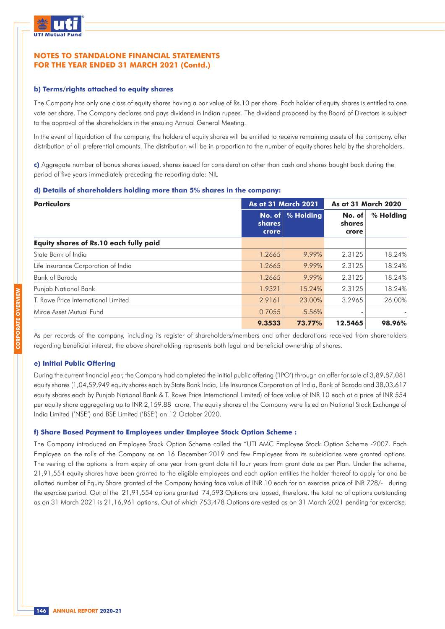

### **b) Terms/rights attached to equity shares**

The Company has only one class of equity shares having a par value of Rs.10 per share. Each holder of equity shares is entitled to one vote per share. The Company declares and pays dividend in Indian rupees. The dividend proposed by the Board of Directors is subject to the approval of the shareholders in the ensuing Annual General Meeting.

In the event of liquidation of the company, the holders of equity shares will be entitled to receive remaining assets of the company, after distribution of all preferential amounts. The distribution will be in proportion to the number of equity shares held by the shareholders.

**c)** Aggregate number of bonus shares issued, shares issued for consideration other than cash and shares bought back during the period of five years immediately preceding the reporting date: NIL

#### **d) Details of shareholders holding more than 5% shares in the company:**

| <b>Particulars</b>                     |                               | <b>As at 31 March 2021</b>     |                           | As at 31 March 2020 |  |
|----------------------------------------|-------------------------------|--------------------------------|---------------------------|---------------------|--|
|                                        | <b>shares</b><br><b>crore</b> | No. of $\sqrt{ }$ $\%$ Holding | No. of<br>shares<br>crore | % Holding           |  |
| Equity shares of Rs.10 each fully paid |                               |                                |                           |                     |  |
| State Bank of India                    | 1.2665                        | 9.99%                          | 2.3125                    | 18.24%              |  |
| Life Insurance Corporation of India    | 1.2665                        | 9.99%                          | 2.3125                    | 18.24%              |  |
| Bank of Baroda                         | 1.2665                        | 9.99%                          | 2.3125                    | 18.24%              |  |
| Punjab National Bank                   | 1.9321                        | 15.24%                         | 2.3125                    | 18.24%              |  |
| T. Rowe Price International Limited    | 2.9161                        | 23.00%                         | 3.2965                    | 26.00%              |  |
| Mirge Asset Mutual Fund                | 0.7055                        | 5.56%                          |                           |                     |  |
|                                        | 9.3533                        | 73.77%                         | 12.5465                   | 98.96%              |  |

As per records of the company, including its register of shareholders/members and other declarations received from shareholders regarding beneficial interest, the above shareholding represents both legal and beneficial ownership of shares.

#### **e) Initial Public Offering**

During the current financial year, the Company had completed the initial public offering ('IPO') through an offer for sale of 3,89,87,081 equity shares (1,04,59,949 equity shares each by State Bank India, Life Insurance Corporation of India, Bank of Baroda and 38,03,617 equity shares each by Punjab National Bank & T. Rowe Price International Limited) of face value of INR 10 each at a price of INR 554 per equity share aggregating up to INR 2,159.88 crore. The equity shares of the Company were listed on National Stock Exchange of India Limited ('NSE') and BSE Limited ('BSE') on 12 October 2020.

#### **f) Share Based Payment to Employees under Employee Stock Option Scheme :**

The Company introduced an Employee Stock Option Scheme called the "UTI AMC Employee Stock Option Scheme -2007. Each Employee on the rolls of the Company as on 16 December 2019 and few Employees from its subsidiaries were granted options. The vesting of the options is from expiry of one year from grant date till four years from grant date as per Plan. Under the scheme, 21,91,554 equity shares have been granted to the eligible employees and each option entitles the holder thereof to apply for and be allotted number of Equity Share granted of the Company having face value of INR 10 each for an exercise price of INR 728/- during the exercise period. Out of the 21,91,554 options granted 74,593 Options are lapsed, therefore, the total no of options outstanding as on 31 March 2021 is 21,16,961 options, Out of which 753,478 Options are vested as on 31 March 2021 pending for excercise.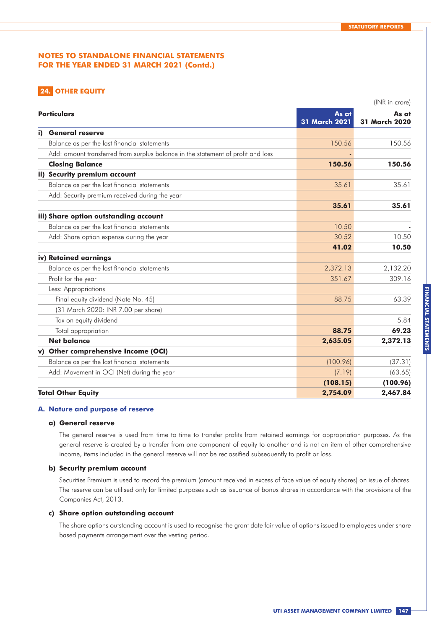### **24. OTHER EQUITY**

|                                                                                  |                               | (INR in crore)         |
|----------------------------------------------------------------------------------|-------------------------------|------------------------|
| <b>Particulars</b>                                                               | As at<br><b>31 March 2021</b> | As at<br>31 March 2020 |
| <b>General reserve</b><br>i)                                                     |                               |                        |
| Balance as per the last financial statements                                     | 150.56                        | 150.56                 |
| Add: amount transferred from surplus balance in the statement of profit and loss |                               |                        |
| <b>Closing Balance</b>                                                           | 150.56                        | 150.56                 |
| ii) Security premium account                                                     |                               |                        |
| Balance as per the last financial statements                                     | 35.61                         | 35.61                  |
| Add: Security premium received during the year                                   |                               |                        |
|                                                                                  | 35.61                         | 35.61                  |
| iii) Share option outstanding account                                            |                               |                        |
| Balance as per the last financial statements                                     | 10.50                         |                        |
| Add: Share option expense during the year                                        | 30.52                         | 10.50                  |
|                                                                                  | 41.02                         | 10.50                  |
| iv) Retained earnings                                                            |                               |                        |
| Balance as per the last financial statements                                     | 2,372.13                      | 2,132.20               |
| Profit for the year                                                              | 351.67                        | 309.16                 |
| Less: Appropriations                                                             |                               |                        |
| Final equity dividend (Note No. 45)                                              | 88.75                         | 63.39                  |
| (31 March 2020: INR 7.00 per share)                                              |                               |                        |
| Tax on equity dividend                                                           |                               | 5.84                   |
| Total appropriation                                                              | 88.75                         | 69.23                  |
| <b>Net balance</b>                                                               | 2,635.05                      | 2,372.13               |
| Other comprehensive Income (OCI)<br>V)                                           |                               |                        |
| Balance as per the last financial statements                                     | (100.96)                      | (37.31)                |
| Add: Movement in OCI (Net) during the year                                       | (7.19)                        | (63.65)                |
|                                                                                  | (108.15)                      | (100.96)               |
| <b>Total Other Equity</b>                                                        | 2,754.09                      | 2,467.84               |

#### **A. Nature and purpose of reserve**

#### **a) General reserve**

The general reserve is used from time to time to transfer profits from retained earnings for appropriation purposes. As the general reserve is created by a transfer from one component of equity to another and is not an item of other comprehensive income, items included in the general reserve will not be reclassified subsequently to profit or loss.

#### **b) Security premium account**

Securities Premium is used to record the premium (amount received in excess of face value of equity shares) on issue of shares. The reserve can be utilised only for limited purposes such as issuance of bonus shares in accordance with the provisions of the Companies Act, 2013.

#### **c) Share option outstanding account**

The share options outstanding account is used to recognise the grant date fair value of options issued to employees under share based payments arrangement over the vesting period.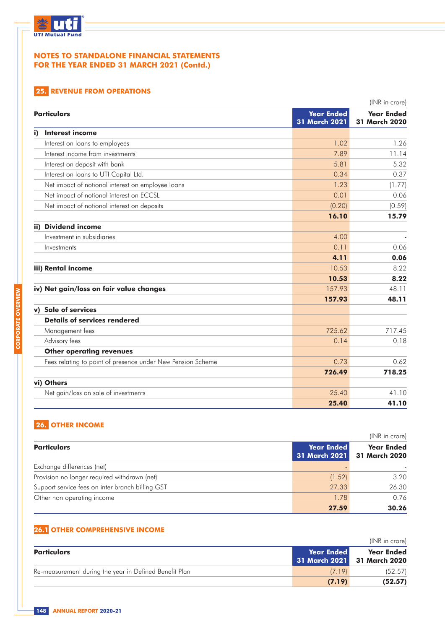

### **25. REVENUE FROM OPERATIONS**

|    |                                                             |                                           | (INR in crore)                     |
|----|-------------------------------------------------------------|-------------------------------------------|------------------------------------|
|    | <b>Particulars</b>                                          | <b>Year Ended</b><br><b>31 March 2021</b> | <b>Year Ended</b><br>31 March 2020 |
| i) | <b>Interest income</b>                                      |                                           |                                    |
|    | Interest on loans to employees                              | 1.02                                      | 1.26                               |
|    | Interest income from investments                            | 7.89                                      | 11.14                              |
|    | Interest on deposit with bank                               | 5.81                                      | 5.32                               |
|    | Interest on loans to UTI Capital Ltd.                       | 0.34                                      | 0.37                               |
|    | Net impact of notional interest on employee loans           | 1.23                                      | (1.77)                             |
|    | Net impact of notional interest on ECCSL                    | 0.01                                      | 0.06                               |
|    | Net impact of notional interest on deposits                 | (0.20)                                    | (0.59)                             |
|    |                                                             | 16.10                                     | 15.79                              |
|    | ii) Dividend income                                         |                                           |                                    |
|    | Investment in subsidiaries                                  | 4.00                                      |                                    |
|    | Investments                                                 | 0.11                                      | 0.06                               |
|    |                                                             | 4.11                                      | 0.06                               |
|    | iii) Rental income                                          | 10.53                                     | 8.22                               |
|    |                                                             | 10.53                                     | 8.22                               |
|    | iv) Net gain/loss on fair value changes                     | 157.93                                    | 48.11                              |
|    |                                                             | 157.93                                    | 48.11                              |
|    | v) Sale of services                                         |                                           |                                    |
|    | <b>Details of services rendered</b>                         |                                           |                                    |
|    | Management fees                                             | 725.62                                    | 717.45                             |
|    | Advisory fees                                               | 0.14                                      | 0.18                               |
|    | <b>Other operating revenues</b>                             |                                           |                                    |
|    | Fees relating to point of presence under New Pension Scheme | 0.73                                      | 0.62                               |
|    |                                                             | 726.49                                    | 718.25                             |
|    | vi) Others                                                  |                                           |                                    |
|    | Net gain/loss on sale of investments                        | 25.40                                     | 41.10                              |
|    |                                                             | 25.40                                     | 41.10                              |

### **26. OTHER INCOME**

|                                                  |                                    | (INR in crore)                            |
|--------------------------------------------------|------------------------------------|-------------------------------------------|
| <b>Particulars</b>                               | <b>Year Ended</b><br>31 March 2021 | <b>Year Ended</b><br><b>31 March 2020</b> |
| Exchange differences (net)                       |                                    |                                           |
| Provision no longer required withdrawn (net)     | (1.52)                             | 3.20                                      |
| Support service fees on inter branch billing GST | 27.33                              | 26.30                                     |
| Other non operating income                       | 1.78                               | 0.76                                      |
|                                                  | 27.59                              | 30.26                                     |

### **26.1 OTHER COMPREHENSIVE INCOME**

|                                                        |                                                  | (INR in crore)    |
|--------------------------------------------------------|--------------------------------------------------|-------------------|
| <b>Particulars</b>                                     | <b>Year Ended</b><br>31 March 2021 31 March 2020 | <b>Year Ended</b> |
| Re-measurement during the year in Defined Benefit Plan | (7.19)                                           | (52.57)           |
|                                                        | (7.19)                                           | (52.57)           |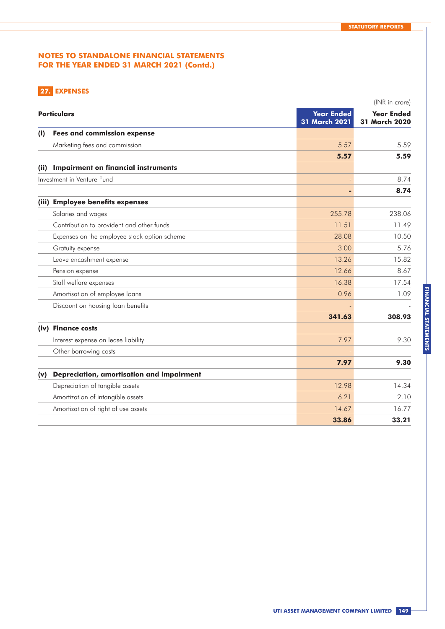### **27. EXPENSES**

|      |                                              |                                           | (INR in crore)                     |
|------|----------------------------------------------|-------------------------------------------|------------------------------------|
|      | <b>Particulars</b>                           | <b>Year Ended</b><br><b>31 March 2021</b> | <b>Year Ended</b><br>31 March 2020 |
| (i)  | <b>Fees and commission expense</b>           |                                           |                                    |
|      | Marketing fees and commission                | 5.57                                      | 5.59                               |
|      |                                              | 5.57                                      | 5.59                               |
| (ii) | <b>Impairment on financial instruments</b>   |                                           |                                    |
|      | Investment in Venture Fund                   | $\overline{\phantom{a}}$                  | 8.74                               |
|      |                                              | ٠                                         | 8.74                               |
|      | (iii) Employee benefits expenses             |                                           |                                    |
|      | Salaries and wages                           | 255.78                                    | 238.06                             |
|      | Contribution to provident and other funds    | 11.51                                     | 11.49                              |
|      | Expenses on the employee stock option scheme | 28.08                                     | 10.50                              |
|      | Gratuity expense                             | 3.00                                      | 5.76                               |
|      | Leave encashment expense                     | 13.26                                     | 15.82                              |
|      | Pension expense                              | 12.66                                     | 8.67                               |
|      | Staff welfare expenses                       | 16.38                                     | 17.54                              |
|      | Amortisation of employee loans               | 0.96                                      | 1.09                               |
|      | Discount on housing loan benefits            |                                           |                                    |
|      |                                              | 341.63                                    | 308.93                             |
| (iv) | <b>Finance costs</b>                         |                                           |                                    |
|      | Interest expense on lease liability          | 7.97                                      | 9.30                               |
|      | Other borrowing costs                        |                                           |                                    |
|      |                                              | 7.97                                      | 9.30                               |
| (v)  | Depreciation, amortisation and impairment    |                                           |                                    |
|      | Depreciation of tangible assets              | 12.98                                     | 14.34                              |
|      | Amortization of intangible assets            | 6.21                                      | 2.10                               |
|      | Amortization of right of use assets          | 14.67                                     | 16.77                              |
|      |                                              | 33.86                                     | 33.21                              |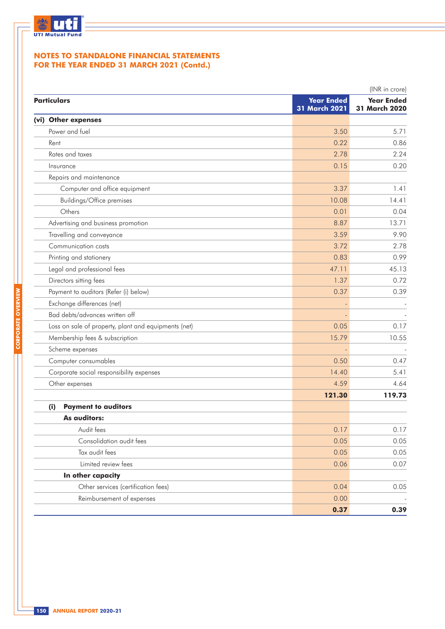

|  |                                                      |                                           | (INR in crore)                     |
|--|------------------------------------------------------|-------------------------------------------|------------------------------------|
|  | <b>Particulars</b>                                   | <b>Year Ended</b><br><b>31 March 2021</b> | <b>Year Ended</b><br>31 March 2020 |
|  | (vi) Other expenses                                  |                                           |                                    |
|  | Power and fuel                                       | 3.50                                      | 5.71                               |
|  | Rent                                                 | 0.22                                      | 0.86                               |
|  | Rates and taxes                                      | 2.78                                      | 2.24                               |
|  | Insurance                                            | 0.15                                      | 0.20                               |
|  | Repairs and maintenance                              |                                           |                                    |
|  | Computer and office equipment                        | 3.37                                      | 1.41                               |
|  | Buildings/Office premises                            | 10.08                                     | 14.41                              |
|  | Others                                               | 0.01                                      | 0.04                               |
|  | Advertising and business promotion                   | 8.87                                      | 13.71                              |
|  | Travelling and conveyance                            | 3.59                                      | 9.90                               |
|  | Communication costs                                  | 3.72                                      | 2.78                               |
|  | Printing and stationery                              | 0.83                                      | 0.99                               |
|  | Legal and professional fees                          | 47.11                                     | 45.13                              |
|  | Directors sitting fees                               | 1.37                                      | 0.72                               |
|  | Payment to auditors (Refer (i) below)                | 0.37                                      | 0.39                               |
|  | Exchange differences (net)                           |                                           |                                    |
|  | Bad debts/advances written off                       |                                           |                                    |
|  | Loss on sale of property, plant and equipments (net) | 0.05                                      | 0.17                               |
|  | Membership fees & subscription                       | 15.79                                     | 10.55                              |
|  | Scheme expenses                                      |                                           |                                    |
|  | Computer consumables                                 | 0.50                                      | 0.47                               |
|  | Corporate social responsibility expenses             | 14.40                                     | 5.41                               |
|  | Other expenses                                       | 4.59                                      | 4.64                               |
|  |                                                      | 121.30                                    | 119.73                             |
|  | <b>Payment to auditors</b><br>(i)                    |                                           |                                    |
|  | As auditors:                                         |                                           |                                    |
|  | Audit fees                                           | 0.17                                      | 0.17                               |
|  | Consolidation audit fees                             | 0.05                                      | 0.05                               |
|  | Tax audit fees                                       | 0.05                                      | 0.05                               |
|  | Limited review fees                                  | 0.06                                      | 0.07                               |
|  | In other capacity                                    |                                           |                                    |
|  | Other services (certification fees)                  | 0.04                                      | 0.05                               |
|  | Reimbursement of expenses                            | 0.00                                      |                                    |
|  |                                                      | 0.37                                      | 0.39                               |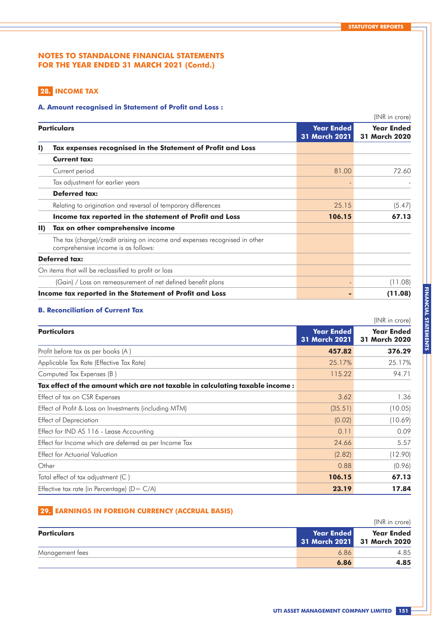### **28. INCOME TAX**

#### **A. Amount recognised in Statement of Profit and Loss :**

|               |                                                                                                                   |                                           | (INR in crore)                            |
|---------------|-------------------------------------------------------------------------------------------------------------------|-------------------------------------------|-------------------------------------------|
|               | <b>Particulars</b>                                                                                                | <b>Year Ended</b><br><b>31 March 2021</b> | <b>Year Ended</b><br><b>31 March 2020</b> |
| I)            | Tax expenses recognised in the Statement of Profit and Loss                                                       |                                           |                                           |
|               | <b>Current tax:</b>                                                                                               |                                           |                                           |
|               | Current period                                                                                                    | 81.00                                     | 72.60                                     |
|               | Tax adjustment for earlier years                                                                                  |                                           |                                           |
|               | <b>Deferred tax:</b>                                                                                              |                                           |                                           |
|               | Relating to origination and reversal of temporary differences                                                     | 25.15                                     | (5.47)                                    |
|               | Income tax reported in the statement of Profit and Loss                                                           | 106.15                                    | 67.13                                     |
| $\mathbf{II}$ | Tax on other comprehensive income                                                                                 |                                           |                                           |
|               | The tax (charge)/credit arising on income and expenses recognised in other<br>comprehensive income is as follows: |                                           |                                           |
|               | <b>Deferred tax:</b>                                                                                              |                                           |                                           |
|               | On items that will be reclassified to profit or loss                                                              |                                           |                                           |
|               | (Gain) / Loss on remeasurement of net defined benefit plans                                                       |                                           | (11.08)                                   |
|               | Income tax reported in the Statement of Profit and Loss                                                           |                                           | (11.08)                                   |

### **B. Reconciliation of Current Tax**

|                                                                                |                                           | (INR in crore)                            |
|--------------------------------------------------------------------------------|-------------------------------------------|-------------------------------------------|
| <b>Particulars</b>                                                             | <b>Year Ended</b><br><b>31 March 2021</b> | <b>Year Ended</b><br><b>31 March 2020</b> |
| Profit before tax as per books (A)                                             | 457.82                                    | 376.29                                    |
| Applicable Tax Rate (Effective Tax Rate)                                       | 25.17%                                    | 25.17%                                    |
| Computed Tax Expenses (B)                                                      | 115.22                                    | 94.71                                     |
| Tax effect of the amount which are not taxable in calculating taxable income : |                                           |                                           |
| Effect of tax on CSR Expenses                                                  | 3.62                                      | 1.36                                      |
| Effect of Profit & Loss on Investments (including MTM)                         | (35.51)                                   | (10.05)                                   |
| <b>Effect of Depreciation</b>                                                  | (0.02)                                    | (10.69)                                   |
| Effect for IND AS 116 - Lease Accounting                                       | 0.11                                      | 0.09                                      |
| Effect for Income which are deferred as per Income Tax                         | 24.66                                     | 5.57                                      |
| <b>Effect for Actuarial Valuation</b>                                          | (2.82)                                    | (12.90)                                   |
| Other                                                                          | 0.88                                      | (0.96)                                    |
| Total effect of tax adjustment (C)                                             | 106.15                                    | 67.13                                     |
| Effective tax rate (in Percentage) ( $D = C/A$ )                               | 23.19                                     | 17.84                                     |

### **29. EARNINGS IN FOREIGN CURRENCY (ACCRUAL BASIS)**

|                 |                                           | (INR in crore)    |
|-----------------|-------------------------------------------|-------------------|
| Particulars     | Year Ended<br>31 March 2021 31 March 2020 | <b>Year Ended</b> |
| Management fees | 6.86                                      | 4.85              |
|                 | 6.86                                      | 4.85              |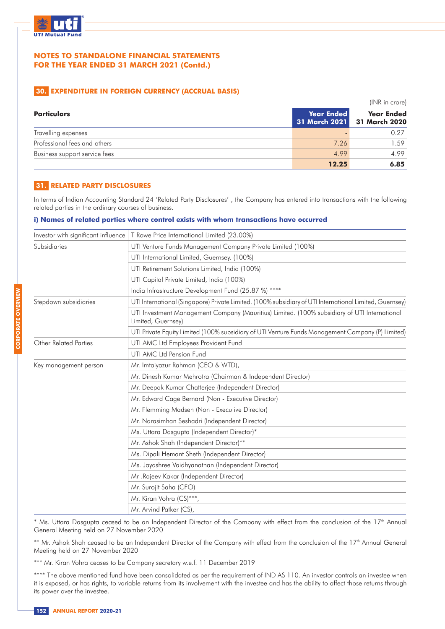

### **30. EXPENDITURE IN FOREIGN CURRENCY (ACCRUAL BASIS)**

|                               |                             | (INR in crore)                     |
|-------------------------------|-----------------------------|------------------------------------|
| <b>Particulars</b>            | Year Ended<br>31 March 2021 | <b>Year Ended</b><br>31 March 2020 |
| Travelling expenses           |                             | 0.27                               |
| Professional fees and others  | 7.26                        | 1.59                               |
| Business support service fees | 4.99                        | 4.99                               |
|                               | 12.25                       | 6.85                               |

### **31. RELATED PARTY DISCLOSURES**

In terms of Indian Accounting Standard 24 'Related Party Disclosures' , the Company has entered into transactions with the following related parties in the ordinary courses of business.

### **i) Names of related parties where control exists with whom transactions have occurred**

| Investor with significant influence | T Rowe Price International Limited (23.00%)                                                                        |  |  |  |  |  |
|-------------------------------------|--------------------------------------------------------------------------------------------------------------------|--|--|--|--|--|
| Subsidiaries                        | UTI Venture Funds Management Company Private Limited (100%)                                                        |  |  |  |  |  |
|                                     | UTI International Limited, Guernsey. (100%)                                                                        |  |  |  |  |  |
|                                     | UTI Retirement Solutions Limited, India (100%)                                                                     |  |  |  |  |  |
|                                     | UTI Capital Private Limited, India (100%)                                                                          |  |  |  |  |  |
|                                     | India Infrastructure Development Fund (25.87 %) ****                                                               |  |  |  |  |  |
| Stepdown subsidiaries               | UTI International (Singapore) Private Limited. (100% subsidiary of UTI International Limited, Guernsey)            |  |  |  |  |  |
|                                     | UTI Investment Management Company (Mauritius) Limited. (100% subsidiary of UTI International<br>Limited, Guernsey) |  |  |  |  |  |
|                                     | UTI Private Equity Limited (100% subsidiary of UTI Venture Funds Management Company (P) Limited)                   |  |  |  |  |  |
| <b>Other Related Parties</b>        | UTI AMC Ltd Employees Provident Fund                                                                               |  |  |  |  |  |
|                                     | UTI AMC Ltd Pension Fund                                                                                           |  |  |  |  |  |
| Key management person               | Mr. Imtaiyazur Rahman (CEO & WTD),                                                                                 |  |  |  |  |  |
|                                     | Mr. Dinesh Kumar Mehrotra (Chairman & Independent Director)                                                        |  |  |  |  |  |
|                                     | Mr. Deepak Kumar Chatterjee (Independent Director)                                                                 |  |  |  |  |  |
|                                     | Mr. Edward Cage Bernard (Non - Executive Director)                                                                 |  |  |  |  |  |
|                                     | Mr. Flemming Madsen (Non - Executive Director)                                                                     |  |  |  |  |  |
|                                     | Mr. Narasimhan Seshadri (Independent Director)                                                                     |  |  |  |  |  |
|                                     | Ms. Uttara Dasgupta (Independent Director)*                                                                        |  |  |  |  |  |
|                                     | Mr. Ashok Shah (Independent Director)**                                                                            |  |  |  |  |  |
|                                     | Ms. Dipali Hemant Sheth (Independent Director)                                                                     |  |  |  |  |  |
|                                     | Ms. Jayashree Vaidhyanathan (Independent Director)                                                                 |  |  |  |  |  |
|                                     | Mr .Rajeev Kakar (Independent Director)                                                                            |  |  |  |  |  |
|                                     | Mr. Surojit Saha (CFO)                                                                                             |  |  |  |  |  |
|                                     | Mr. Kiran Vohra (CS)***,                                                                                           |  |  |  |  |  |
|                                     | Mr. Arvind Patker (CS),                                                                                            |  |  |  |  |  |

\* Ms. Uttara Dasgupta ceased to be an Independent Director of the Company with effect from the conclusion of the 17<sup>th</sup> Annual General Meeting held on 27 November 2020

\*\* Mr. Ashok Shah ceased to be an Independent Director of the Company with effect from the conclusion of the 17<sup>th</sup> Annual General Meeting held on 27 November 2020

\*\*\* Mr. Kiran Vohra ceases to be Company secretary w.e.f. 11 December 2019

\*\*\*\* The above mentioned fund have been consolidated as per the requirement of IND AS 110. An investor controls an investee when it is exposed, or has rights, to variable returns from its involvement with the investee and has the ability to affect those returns through its power over the investee.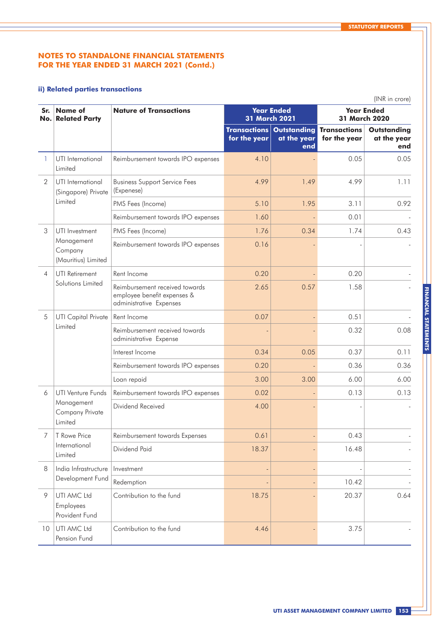### **ii) Related parties transactions**

| <b>Name of</b><br>Sr.<br><b>Related Party</b><br>No. |                                              | <b>Nature of Transactions</b>                                                            |                                     | <b>Year Ended</b><br>31 March 2021                    | (ITAIN III CLOTE)<br><b>Year Ended</b><br>31 March 2020 |                                          |  |
|------------------------------------------------------|----------------------------------------------|------------------------------------------------------------------------------------------|-------------------------------------|-------------------------------------------------------|---------------------------------------------------------|------------------------------------------|--|
|                                                      |                                              |                                                                                          | Transactions $\mid$<br>for the year | <b>Outstanding Transactions</b><br>at the year<br>end | for the year                                            | <b>Outstanding</b><br>at the year<br>end |  |
|                                                      | UTI International<br>Limited                 | Reimbursement towards IPO expenses                                                       | 4.10                                |                                                       | 0.05                                                    | 0.05                                     |  |
| 2                                                    | UTI International<br>(Singapore) Private     | <b>Business Support Service Fees</b><br>(Expenese)                                       | 4.99                                | 1.49                                                  | 4.99                                                    | 1.11                                     |  |
|                                                      | Limited                                      | PMS Fees (Income)                                                                        | 5.10                                | 1.95                                                  | 3.11                                                    | 0.92                                     |  |
|                                                      |                                              | Reimbursement towards IPO expenses                                                       | 1.60                                |                                                       | 0.01                                                    |                                          |  |
| 3                                                    | UTI Investment                               | PMS Fees (Income)                                                                        | 1.76                                | 0.34                                                  | 1.74                                                    | 0.43                                     |  |
|                                                      | Management<br>Company<br>(Mauritius) Limited | Reimbursement towards IPO expenses                                                       | 0.16                                |                                                       |                                                         |                                          |  |
| 4                                                    | <b>UTI</b> Retirement                        | Rent Income                                                                              | 0.20                                |                                                       | 0.20                                                    |                                          |  |
|                                                      | Solutions Limited                            | Reimbursement received towards<br>employee benefit expenses &<br>administrative Expenses | 2.65                                | 0.57                                                  | 1.58                                                    | 0.08                                     |  |
| 5                                                    | <b>UTI Capital Private</b>                   | Rent Income                                                                              | 0.07                                |                                                       | 0.51                                                    |                                          |  |
|                                                      | Limited                                      | Reimbursement received towards<br>administrative Expense                                 |                                     |                                                       | 0.32                                                    |                                          |  |
|                                                      |                                              | Interest Income                                                                          | 0.34                                | 0.05                                                  | 0.37                                                    | 0.11                                     |  |
|                                                      |                                              | Reimbursement towards IPO expenses                                                       | 0.20                                |                                                       | 0.36                                                    | 0.36                                     |  |
|                                                      |                                              | Loan repaid                                                                              | 3.00                                | 3.00                                                  | 6.00                                                    | 6.00                                     |  |
| 6                                                    | <b>UTI Venture Funds</b>                     | Reimbursement towards IPO expenses                                                       | 0.02                                |                                                       | 0.13                                                    | 0.13                                     |  |
|                                                      | Management<br>Company Private<br>Limited     | Dividend Received                                                                        | 4.00                                |                                                       |                                                         |                                          |  |
|                                                      | T Rowe Price                                 | Reimbursement towards Expenses                                                           | 0.61                                |                                                       | 0.43                                                    |                                          |  |
|                                                      | International<br>Limited                     | Dividend Paid                                                                            | 18.37                               |                                                       | 16.48                                                   |                                          |  |
| 8                                                    | India Infrastructure                         | Investment                                                                               |                                     |                                                       |                                                         |                                          |  |
|                                                      | Development Fund                             | Redemption                                                                               |                                     |                                                       | 10.42                                                   |                                          |  |
| 9                                                    | UTI AMC Ltd<br>Employees<br>Provident Fund   | Contribution to the fund                                                                 | 18.75                               |                                                       | 20.37                                                   | 0.64                                     |  |
| 10                                                   | UTI AMC Ltd<br>Pension Fund                  | Contribution to the fund                                                                 | 4.46                                |                                                       | 3.75                                                    |                                          |  |

 $(INIP)$  in  $cron$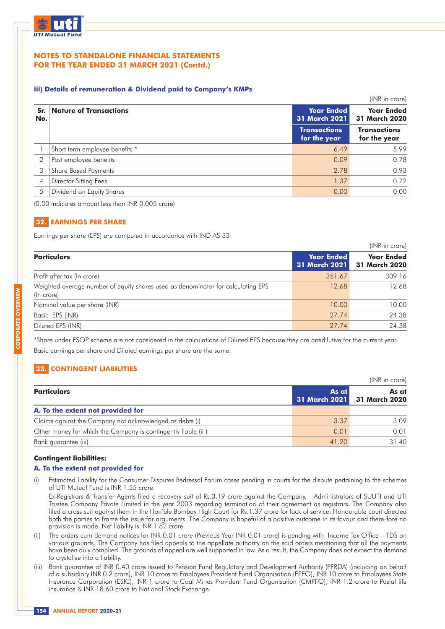

#### **iii) Details of remuneration & Dividend paid to Company's KMPs**

|                |                                | (INR in crore)                      |                                           |  |  |  |
|----------------|--------------------------------|-------------------------------------|-------------------------------------------|--|--|--|
| Sr.<br>No.     | <b>Nature of Transactions</b>  | Year Ended<br><b>31 March 2021</b>  | <b>Year Ended</b><br><b>31 March 2020</b> |  |  |  |
|                |                                | <b>Transactions</b><br>for the year | <b>Transactions</b><br>for the year       |  |  |  |
|                | Short term employee benefits * | 6.49                                | 5.99                                      |  |  |  |
|                | Post employee benefits         | 0.09                                | 0.78                                      |  |  |  |
| 3              | <b>Share Based Payments</b>    | 2.78                                | 0.93                                      |  |  |  |
| $\overline{4}$ | <b>Director Sitting Fees</b>   | 1.37                                | 0.72                                      |  |  |  |
| 5              | Dividend on Equity Shares      | 0.00                                | 0.00                                      |  |  |  |

(0.00 indicates amount less than INR 0.005 crore)

### **32. EARNINGS PER SHARE**

Earnings per share (EPS) are computed in accordance with IND AS 33

|                                                                                                | (INR in crore)                            |                                           |  |  |
|------------------------------------------------------------------------------------------------|-------------------------------------------|-------------------------------------------|--|--|
| <b>Particulars</b>                                                                             | <b>Year Ended</b><br><b>31 March 2021</b> | <b>Year Ended</b><br><b>31 March 2020</b> |  |  |
| Profit after tax (In crore)                                                                    | 351.67                                    | 309.16                                    |  |  |
| Weighted average number of equity shares used as denominator for calculating EPS<br>(In crore) | 12.68                                     | 12.68                                     |  |  |
| Nominal value per share (INR)                                                                  | 10.00                                     | 10.00                                     |  |  |
| Basic EPS (INR)                                                                                | 27.74                                     | 24.38                                     |  |  |
| Diluted EPS (INR)                                                                              | 27.74                                     | 24.38                                     |  |  |

\*Share under ESOP scheme are not considered in the calculations of Diluted EPS because they are antidilutive for the current year. Basic earnings per share and Diluted earnings per share are the same.

### **33. CONTINGENT LIABILITIES**

|                                                               |                          | (INR in crore)                |
|---------------------------------------------------------------|--------------------------|-------------------------------|
| <b>Particulars</b>                                            | As at I<br>31 March 2021 | As at<br><b>31 March 2020</b> |
| A. To the extent not provided for                             |                          |                               |
| Claims against the Company not acknowledged as debts (i)      | 3.37                     | 3.09                          |
| Other money for which the Company is contingently liable (ii) | 0.01                     | 0.01                          |
| Bank guarantee (iii)                                          | 41.20                    | 31 40                         |

#### **Contingent liabilities:**

#### **A. To the extent not provided for**

(i) Estimated liability for the Consumer Disputes Redressal Forum cases pending in courts for the dispute pertaining to the schemes of UTI Mutual Fund is INR 1.55 crore.

Ex-Registrars & Transfer Agents filed a recovery suit of Rs.3.19 crore against the Company, Administrators of SUUTI and UTI Trustee Company Private Limited in the year 2003 regarding termination of their agreement as registrars. The Company also filed a cross suit against them in the Hon'ble Bombay High Court for Rs.1.37 crore for lack of service. Honourable court directed both the parties to frame the issue for arguments. The Company is hopeful of a positive outcome in its favour and there-fore no provision is made. Net liability is INR 1.82 crore.

- (ii) The orders cum demand notices for INR 0.01 crore (Previous Year INR 0.01 crore) is pending with Income Tax Office TDS on various grounds. The Company has filed appeals to the appellate authority on the said orders mentioning that all the payments have been duly complied. The grounds of appeal are well supported in law. As a result, the Company does not expect the demand to crystalise into a liability.
- (iii) Bank guarantee of INR 0.40 crore issued to Pension Fund Regulatory and Development Authority (PFRDA) (including on behalf of a subsidiary INR 0.2 crore), INR 10 crore to Employees Provident Fund Organisation (EPFO), INR 10 crore to Employees State Insurance Corporation (ESIC), INR 1 crore to Coal Mines Provident Fund Organisation (CMPFO), INR 1.2 crore to Postal life insurance & INR 18.60 crore to National Stock Exchange.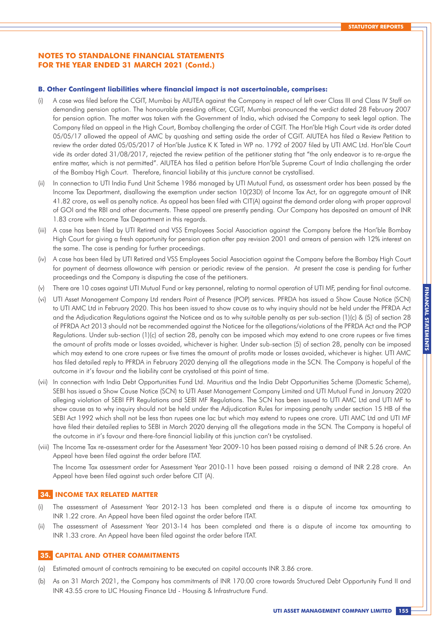#### **B. Other Contingent liabilities where financial impact is not ascertainable, comprises:**

- (i) A case was filed before the CGIT, Mumbai by AIUTEA against the Company in respect of left over Class III and Class IV Staff on demanding pension option. The honourable presiding officer, CGIT, Mumbai pronounced the verdict dated 28 February 2007 for pension option. The matter was taken with the Government of India, which advised the Company to seek legal option. The Company filed an appeal in the High Court, Bombay challenging the order of CGIT. The Hon'ble High Court vide its order dated 05/05/17 allowed the appeal of AMC by quashing and setting aside the order of CGIT. AIUTEA has filed a Review Petition to review the order dated 05/05/2017 of Hon'ble Justice K K Tated in WP no. 1792 of 2007 filed by UTI AMC Ltd. Hon'ble Court vide its order dated 31/08/2017, rejected the review petition of the petitioner stating that "the only endeavor is to re-argue the entire matter, which is not permitted". AIUTEA has filed a petition before Hon'ble Supreme Court of India challenging the order of the Bombay High Court. Therefore, financial liability at this juncture cannot be crystallised.
- (ii) In connection to UTI India Fund Unit Scheme 1986 managed by UTI Mutual Fund, as assessment order has been passed by the Income Tax Department, disallowing the exemption under section 10(23D) of Income Tax Act, for an aggregate amount of INR 41.82 crore, as well as penalty notice. As appeal has been filed with CIT(A) against the demand order along with proper approval of GOI and the RBI and other documents. These appeal are presently pending. Our Company has deposited an amount of INR 1.83 crore with Income Tax Department in this regards.
- (iii) A case has been filed by UTI Retired and VSS Employees Social Association against the Company before the Hon'ble Bombay High Court for giving a fresh opportunity for pension option after pay revision 2001 and arrears of pension with 12% interest on the same. The case is pending for further proceedings.
- (iv) A case has been filed by UTI Retired and VSS Employees Social Association against the Company before the Bombay High Court for payment of dearness allowance with pension or periodic review of the pension. At present the case is pending for further proceedings and the Company is disputing the case of the petitioners.
- (v) There are 10 cases against UTI Mutual Fund or key personnel, relating to normal operation of UTI MF, pending for final outcome.
- (vi) UTI Asset Management Company Ltd renders Point of Presence (POP) services. PFRDA has issued a Show Cause Notice (SCN) to UTI AMC Ltd in February 2020. This has been issued to show cause as to why inquiry should not be held under the PFRDA Act and the Adjudication Regulations against the Noticee and as to why suitable penalty as per sub-section (1)(c) & (5) of section 28 of PFRDA Act 2013 should not be recommended against the Noticee for the allegations/violations of the PFRDA Act and the POP Regulations. Under sub-section (1)(c) of section 28, penalty can be imposed which may extend to one crore rupees or five times the amount of profits made or losses avoided, whichever is higher. Under sub-section (5) of section 28, penalty can be imposed which may extend to one crore rupees or five times the amount of profits made or losses avoided, whichever is higher. UTI AMC has filed detailed reply to PFRDA in February 2020 denying all the allegations made in the SCN. The Company is hopeful of the outcome in it's favour and the liability cant be crystalised at this point of time.
- (vii) In connection with India Debt Opportunities Fund Ltd. Mauritius and the India Debt Opportunities Scheme (Domestic Scheme), SEBI has issued a Show Cause Notice (SCN) to UTI Asset Management Company Limited and UTI Mutual Fund in January 2020 alleging violation of SEBI FPI Regulations and SEBI MF Regulations. The SCN has been issued to UTI AMC Ltd and UTI MF to show cause as to why inquiry should not be held under the Adjudication Rules for imposing penalty under section 15 HB of the SEBI Act 1992 which shall not be less than rupees one lac but which may extend to rupees one crore. UTI AMC Ltd and UTI MF have filed their detailed replies to SEBI in March 2020 denying all the allegations made in the SCN. The Company is hopeful of the outcome in it's favour and there-fore financial liability at this junction can't be crystalised.
- (viii) The Income Tax re-assessment order for the Assessment Year 2009-10 has been passed raising a demand of INR 5.26 crore. An Appeal have been filed against the order before ITAT.

The Income Tax assessment order for Assessment Year 2010-11 have been passed raising a demand of INR 2.28 crore. An Appeal have been filed against such order before CIT (A).

#### **34. INCOME TAX RELATED MATTER**

- The assessment of Assessment Year 2012-13 has been completed and there is a dispute of income tax amounting to INR 1.22 crore. An Appeal have been filed against the order before ITAT.
- (ii) The assessment of Assessment Year 2013-14 has been completed and there is a dispute of income tax amounting to INR 1.33 crore. An Appeal have been filed against the order before ITAT.

#### **35. CAPITAL AND OTHER COMMITMENTS**

- (a) Estimated amount of contracts remaining to be executed on capital accounts INR 3.86 crore.
- (b) As on 31 March 2021, the Company has commitments of INR 170.00 crore towards Structured Debt Opportunity Fund II and INR 43.55 crore to LIC Housing Finance Ltd - Housing & Infrastructure Fund.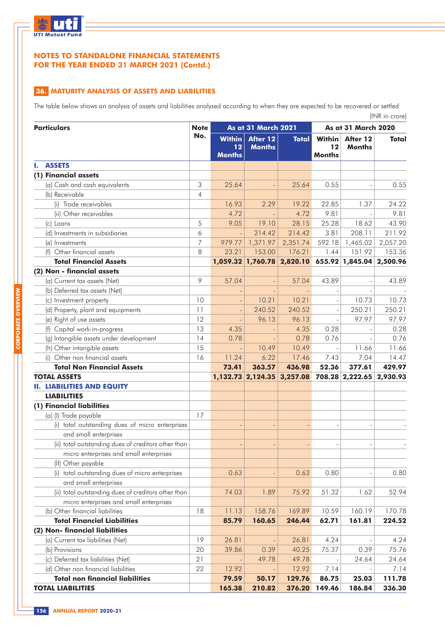

### **36. MATURITY ANALYSIS OF ASSETS AND LIABILITIES**

The table below shows an analysis of assets and liabilities analysed according to when they are expected to be recovered or settled (INR in crore)

| <b>Particulars</b><br><b>Note</b>                   |     |                                      | As at 31 March 2021              |              | As at 31 March 2020           |                           |              |  |
|-----------------------------------------------------|-----|--------------------------------------|----------------------------------|--------------|-------------------------------|---------------------------|--------------|--|
|                                                     | No. | <b>Within</b><br>12<br><b>Months</b> | <b>After 12</b><br><b>Months</b> | <b>Total</b> | Within<br>12<br><b>Months</b> | After 12<br><b>Months</b> | <b>Total</b> |  |
| <b>ASSETS</b><br>ъ.                                 |     |                                      |                                  |              |                               |                           |              |  |
| (1) Financial assets                                |     |                                      |                                  |              |                               |                           |              |  |
| (a) Cash and cash equivalents                       | 3   | 25.64                                |                                  | 25.64        | 0.55                          |                           | 0.55         |  |
| (b) Receivable                                      | 4   |                                      |                                  |              |                               |                           |              |  |
| (i) Trade receivables                               |     | 16.93                                | 2.29                             | 19.22        | 22.85                         | 1.37                      | 24.22        |  |
| (ii) Other receivables                              |     | 4.72                                 |                                  | 4.72         | 9.81                          |                           | 9.81         |  |
| (c) Loans                                           | 5   | 9.05                                 | 19.10                            | 28.15        | 25.28                         | 18.62                     | 43.90        |  |
| (d) Investments in subsidiaries                     | 6   |                                      | 214.42                           | 214.42       | 3.81                          | 208.11                    | 211.92       |  |
| (e) Investments                                     | 7   | 979.77                               | 1,371.97                         | 2,351.74     | 592.18                        | 1,465.02                  | 2,057.20     |  |
| (f) Other financial assets                          | 8   | 23.21                                | 153.00                           | 176.21       | 1.44                          | 151.92                    | 153.36       |  |
| <b>Total Financial Assets</b>                       |     |                                      | 1,059.32 1,760.78                | 2,820.10     | 655.92                        | 1,845.04                  | 2,500.96     |  |
| (2) Non - financial assets                          |     |                                      |                                  |              |                               |                           |              |  |
| (a) Current tax assets (Net)                        | 9   | 57.04                                |                                  | 57.04        | 43.89                         |                           | 43.89        |  |
| (b) Deferred tax assets (Net)                       |     |                                      |                                  |              |                               |                           |              |  |
| (c) Investment property                             | 10  |                                      | 10.21                            | 10.21        |                               | 10.73                     | 10.73        |  |
| (d) Property, plant and equipments                  | 11  |                                      | 240.52                           | 240.52       |                               | 250.21                    | 250.21       |  |
| (e) Right of use assets                             | 12  |                                      | 96.13                            | 96.13        |                               | 97.97                     | 97.97        |  |
| (f) Capital work-in-progress                        | 13  | 4.35                                 |                                  | 4.35         | 0.28                          |                           | 0.28         |  |
| (g) Intangible assets under development             | 14  | 0.78                                 |                                  | 0.78         | 0.76                          |                           | 0.76         |  |
| (h) Other intangible assets                         | 15  |                                      | 10.49                            | 10.49        |                               | 11.66                     | 11.66        |  |
| (i) Other non financial assets                      | 16  | 11.24                                | 6.22                             | 17.46        | 7.43                          | 7.04                      | 14.47        |  |
| <b>Total Non Financial Assets</b>                   |     | 73.41                                | 363.57                           | 436.98       | 52.36                         | 377.61                    | 429.97       |  |
| <b>TOTAL ASSETS</b>                                 |     |                                      | $1,132.73$ 2,124.35              | 3,257.08     |                               | 708.28 2,222.65           | 2,930.93     |  |
| <b>II. LIABILITIES AND EQUITY</b>                   |     |                                      |                                  |              |                               |                           |              |  |
| <b>LIABILITIES</b>                                  |     |                                      |                                  |              |                               |                           |              |  |
| (1) Financial liabilities                           |     |                                      |                                  |              |                               |                           |              |  |
| (a) (I) Trade payable                               | 17  |                                      |                                  |              |                               |                           |              |  |
| (i) total outstanding dues of micro enterprises     |     |                                      |                                  |              |                               |                           |              |  |
| and small enterprises                               |     |                                      |                                  |              |                               |                           |              |  |
| (ii) total outstanding dues of creditors other than |     |                                      |                                  |              |                               |                           |              |  |
| micro enterprises and small enterprises             |     |                                      |                                  |              |                               |                           |              |  |
| (II) Other payable                                  |     |                                      |                                  |              |                               |                           |              |  |
| (i) total outstanding dues of micro enterprises     |     | 0.63                                 |                                  | 0.63         | 0.80                          |                           | 0.80         |  |
| and small enterprises                               |     |                                      |                                  |              |                               |                           |              |  |
| (ii) total outstanding dues of creditors other than |     | 74.03                                | 1.89                             | 75.92        | 51.32                         | 1.62                      | 52.94        |  |
| micro enterprises and small enterprises             |     |                                      |                                  |              |                               |                           |              |  |
| (b) Other financial liabilities                     | 18  | 11.13                                | 158.76                           | 169.89       | 10.59                         | 160.19                    | 170.78       |  |
| <b>Total Financial Liabilities</b>                  |     | 85.79                                | 160.65                           | 246.44       | 62.71                         | 161.81                    | 224.52       |  |
| (2) Non-financial liabilities                       |     |                                      |                                  |              |                               |                           |              |  |
| (a) Current tax liabilities (Net)                   | 19  | 26.81                                |                                  | 26.81        | 4.24                          |                           | 4.24         |  |
| (b) Provisions                                      | 20  | 39.86                                | 0.39                             | 40.25        | 75.37                         | 0.39                      | 75.76        |  |
| (c) Deferred tax liabilities (Net)                  | 21  |                                      | 49.78                            | 49.78        |                               | 24.64                     | 24.64        |  |
| (d) Other non financial liabilities                 | 22  | 12.92                                |                                  | 12.92        | 7.14                          |                           | 7.14         |  |
| <b>Total non financial liabilities</b>              |     | 79.59                                | 50.17                            | 129.76       | 86.75                         | 25.03                     | 111.78       |  |
| <b>TOTAL LIABILITIES</b>                            |     | 165.38                               | 210.82                           | 376.20       | 149.46                        | 186.84                    | 336.30       |  |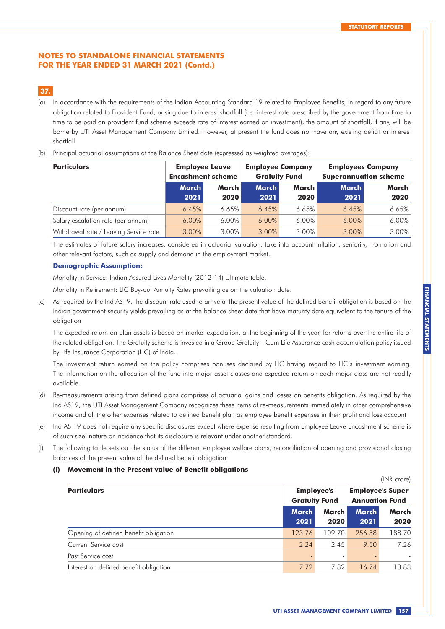### **37.**

- (a) In accordance with the requirements of the Indian Accounting Standard 19 related to Employee Benefits, in regard to any future obligation related to Provident Fund, arising due to interest shortfall (i.e. interest rate prescribed by the government from time to time to be paid on provident fund scheme exceeds rate of interest earned on investment), the amount of shortfall, if any, will be borne by UTI Asset Management Company Limited. However, at present the fund does not have any existing deficit or interest shortfall.
- (b) Principal actuarial assumptions at the Balance Sheet date (expressed as weighted averages):

| <b>Particulars</b>                     | <b>Employee Leave</b>    |          | <b>Employee Company</b> |          | <b>Employees Company</b>     |          |  |
|----------------------------------------|--------------------------|----------|-------------------------|----------|------------------------------|----------|--|
|                                        | <b>Encashment scheme</b> |          | <b>Gratuity Fund</b>    |          | <b>Superannuation scheme</b> |          |  |
|                                        | <b>March</b>             | March    | <b>March</b>            | March I  | <b>March</b>                 | March    |  |
|                                        | 2021                     | 2020     | 2021                    | 2020     | 2021                         | 2020     |  |
| Discount rate (per annum)              | 6.45%                    | 6.65%    | 6.45%                   | 6.65%    | 6.45%                        | 6.65%    |  |
| Salary escalation rate (per annum)     | $6.00\%$                 | $6.00\%$ | $6.00\%$                | $6.00\%$ | $6.00\%$                     | $6.00\%$ |  |
| Withdrawal rate / Leaving Service rate | 3.00%                    | 3.00%    | 3.00%                   | 3.00%    | $3.00\%$                     | 3.00%    |  |

The estimates of future salary increases, considered in actuarial valuation, take into account inflation, seniority, Promotion and other relevant factors, such as supply and demand in the employment market.

#### **Demographic Assumption:**

Mortality in Service: Indian Assured Lives Mortality (2012-14) Ultimate table.

Mortality in Retirement: LIC Buy-out Annuity Rates prevailing as on the valuation date.

(c) As required by the Ind AS19, the discount rate used to arrive at the present value of the defined benefit obligation is based on the Indian government security yields prevailing as at the balance sheet date that have maturity date equivalent to the tenure of the obligation

The expected return on plan assets is based on market expectation, at the beginning of the year, for returns over the entire life of the related obligation. The Gratuity scheme is invested in a Group Gratuity – Cum Life Assurance cash accumulation policy issued by Life Insurance Corporation (LIC) of India.

The investment return earned on the policy comprises bonuses declared by LIC having regard to LIC's investment earning. The information on the allocation of the fund into major asset classes and expected return on each major class are not readily available.

- (d) Re-measurements arising from defined plans comprises of actuarial gains and losses on benefits obligation. As required by the Ind AS19, the UTI Asset Management Company recognizes these items of re-measurements immediately in other comprehensive income and all the other expenses related to defined benefit plan as employee benefit expenses in their profit and loss account
- (e) Ind AS 19 does not require any specific disclosures except where expense resulting from Employee Leave Encashment scheme is of such size, nature or incidence that its disclosure is relevant under another standard.
- (f) The following table sets out the status of the different employee welfare plans, reconciliation of opening and provisional closing balances of the present value of the defined benefit obligation.

#### **(i) Movement in the Present value of Benefit obligations**

|                                        |                                           |               |                                                  | (INR crore)   |
|----------------------------------------|-------------------------------------------|---------------|--------------------------------------------------|---------------|
| <b>Particulars</b>                     | <b>Employee's</b><br><b>Gratuity Fund</b> |               | <b>Employee's Super</b><br><b>Annuation Fund</b> |               |
|                                        | <b>March</b><br>2021                      | March<br>2020 | <b>March</b><br>2021                             | March<br>2020 |
| Opening of defined benefit obligation  | 123.76                                    | 109.70        | 256.58                                           | 188.70        |
| Current Service cost                   | 2.24                                      | 2.45          | 9.50                                             | 7.26          |
| Past Service cost                      |                                           |               |                                                  |               |
| Interest on defined benefit obligation | 7.72                                      | 7.82          | 16.74                                            | 13.83         |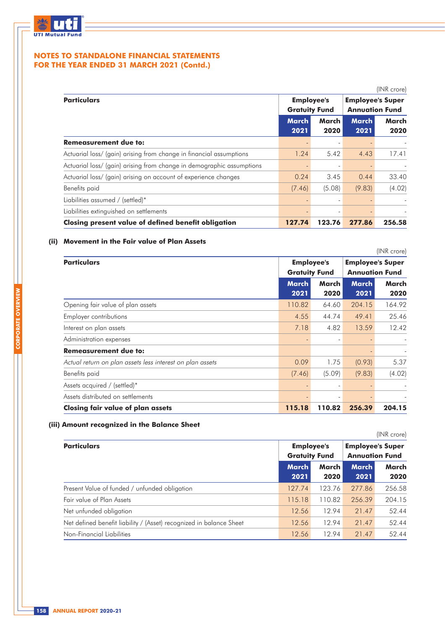

|                                                                       |                                           |               |                                                  | (INR crore)   |
|-----------------------------------------------------------------------|-------------------------------------------|---------------|--------------------------------------------------|---------------|
| <b>Particulars</b>                                                    | <b>Employee's</b><br><b>Gratuity Fund</b> |               | <b>Employee's Super</b><br><b>Annuation Fund</b> |               |
|                                                                       |                                           | March<br>2020 | <b>March</b><br>2021                             | March<br>2020 |
| Remeasurement due to:                                                 |                                           |               |                                                  |               |
| Actuarial loss/ (gain) arising from change in financial assumptions   | 1.24                                      | 5.42          | 4.43                                             | 17.41         |
| Actuarial loss/ (gain) arising from change in demographic assumptions |                                           |               |                                                  |               |
| Actuarial loss/ (gain) arising on account of experience changes       | 0.24                                      | 3.45          | 0.44                                             | 33.40         |
| Benefits paid                                                         | (7.46)                                    | (5.08)        | (9.83)                                           | (4.02)        |
| Liabilities assumed / (settled)*                                      |                                           |               |                                                  |               |
| Liabilities extinguished on settlements                               |                                           |               |                                                  |               |
| Closing present value of defined benefit obligation                   | 127.74                                    | 123.76        | 277.86                                           | 256.58        |

### **(ii) Movement in the Fair value of Plan Assets**

|                                                           |              |                      |                                                  | (INR crore) |
|-----------------------------------------------------------|--------------|----------------------|--------------------------------------------------|-------------|
| <b>Particulars</b>                                        |              | <b>Employee's</b>    | <b>Employee's Super</b><br><b>Annuation Fund</b> |             |
|                                                           |              | <b>Gratuity Fund</b> |                                                  |             |
|                                                           | <b>March</b> | March                | <b>March</b>                                     | March       |
|                                                           | 2021         | 2020                 | 2021                                             | 2020        |
| Opening fair value of plan assets                         | 110.82       | 64.60                | 204.15                                           | 164.92      |
| Employer contributions                                    | 4.55         | 44.74                | 49.41                                            | 25.46       |
| Interest on plan assets                                   | 7.18         | 4.82                 | 13.59                                            | 12.42       |
| Administration expenses                                   |              |                      |                                                  |             |
| <b>Remeasurement due to:</b>                              |              |                      |                                                  |             |
| Actual return on plan assets less interest on plan assets | 0.09         | 1.75                 | (0.93)                                           | 5.37        |
| Benefits paid                                             | (7.46)       | (5.09)               | (9.83)                                           | (4.02)      |
| Assets acquired / (settled)*                              |              |                      |                                                  |             |
| Assets distributed on settlements                         |              |                      |                                                  |             |
| <b>Closing fair value of plan assets</b>                  | 115.18       | 110.82               | 256.39                                           | 204.15      |

### **(iii) Amount recognized in the Balance Sheet**

| (INR crore)                                                         |                      |                   |                                                  |               |
|---------------------------------------------------------------------|----------------------|-------------------|--------------------------------------------------|---------------|
| <b>Particulars</b>                                                  | <b>Gratuity Fund</b> | <b>Employee's</b> | <b>Employee's Super</b><br><b>Annuation Fund</b> |               |
|                                                                     |                      | March<br>2020     | March<br>2021                                    | March<br>2020 |
| Present Value of funded / unfunded obligation                       | 127.74               | 123.76            | 277.86                                           | 256.58        |
| Fair value of Plan Assets                                           | 115.18               | 110.82            | 256.39                                           | 204.15        |
| Net unfunded obligation                                             | 12.56                | 12.94             | 21.47                                            | 52.44         |
| Net defined benefit liability / (Asset) recognized in balance Sheet | 12.56                | 12.94             | 21.47                                            | 52.44         |
| Non-Financial Liabilities                                           | 12.56                | 12.94             | 21.47                                            | 52.44         |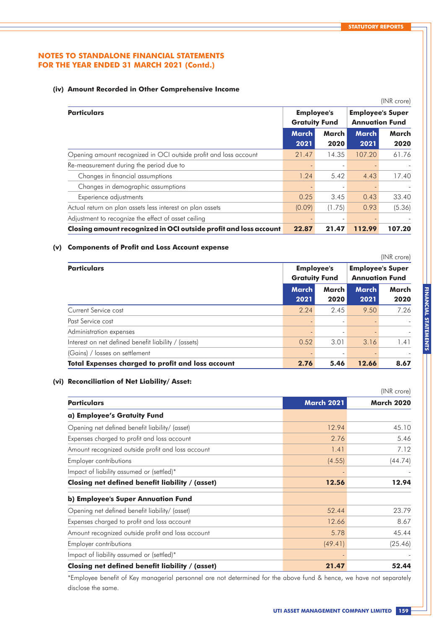#### **(iv) Amount Recorded in Other Comprehensive Income**

|                                                                  |                   |                      |                         | (INR crore) |
|------------------------------------------------------------------|-------------------|----------------------|-------------------------|-------------|
| <b>Particulars</b>                                               | <b>Employee's</b> |                      | <b>Employee's Super</b> |             |
|                                                                  |                   | <b>Gratuity Fund</b> | <b>Annuation Fund</b>   |             |
|                                                                  | March             | March                | <b>March</b>            | March       |
|                                                                  | 2021              | 2020                 | 2021                    | 2020        |
| Opening amount recognized in OCI outside profit and loss account | 21.47             | 14.35                | 107.20                  | 61.76       |
| Re-measurement during the period due to                          |                   |                      |                         |             |
| Changes in financial assumptions                                 | 1.24              | 5.42                 | 4.43                    | 17.40       |
| Changes in demographic assumptions                               |                   |                      |                         |             |
| Experience adjustments                                           | 0.25              | 3.45                 | 0.43                    | 33.40       |
| Actual return on plan assets less interest on plan assets        | (0.09)            | (1.75)               | 0.93                    | (5.36)      |
| Adjustment to recognize the effect of asset ceiling              |                   |                      |                         |             |
| Closing amount recognized in OCI outside profit and loss account | 22.87             | 21.47                | 112.99                  | 107.20      |

### **(v) Components of Profit and Loss Account expense**

|                                                          |                      |                                           |               | (INR crore)                                      |  |
|----------------------------------------------------------|----------------------|-------------------------------------------|---------------|--------------------------------------------------|--|
| <b>Particulars</b>                                       |                      | <b>Employee's</b><br><b>Gratuity Fund</b> |               | <b>Employee's Super</b><br><b>Annuation Fund</b> |  |
|                                                          | <b>March</b><br>2021 | March<br>2020                             | March<br>2021 | March<br>2020                                    |  |
| Current Service cost                                     | 2.24                 | 2.45                                      | 9.50          | 7.26                                             |  |
| Past Service cost                                        |                      |                                           |               |                                                  |  |
| Administration expenses                                  |                      |                                           |               |                                                  |  |
| Interest on net defined benefit liability / (assets)     | 0.52                 | 3.01                                      | 3.16          | 1.41                                             |  |
| (Gains) / losses on settlement                           |                      |                                           |               |                                                  |  |
| <b>Total Expenses charged to profit and loss account</b> | 2.76                 | 5.46                                      | 12.66         | 8.67                                             |  |

### **(vi) Reconciliation of Net Liability/ Asset:**

|                                                   |                   | (INR crore)       |
|---------------------------------------------------|-------------------|-------------------|
| <b>Particulars</b>                                | <b>March 2021</b> | <b>March 2020</b> |
| a) Employee's Gratuity Fund                       |                   |                   |
| Opening net defined benefit liability/ (asset)    | 12.94             | 45.10             |
| Expenses charged to profit and loss account       | 2.76              | 5.46              |
| Amount recognized outside profit and loss account | 1.41              | 7.12              |
| Employer contributions                            | (4.55)            | (44.74)           |
| Impact of liability assumed or (settled)*         |                   |                   |
| Closing net defined benefit liability / (asset)   | 12.56             | 12.94             |
| b) Employee's Super Annuation Fund                |                   |                   |
| Opening net defined benefit liability/ (asset)    | 52.44             | 23.79             |
| Expenses charged to profit and loss account       | 12.66             | 8.67              |
| Amount recognized outside profit and loss account | 5.78              | 45.44             |
| Employer contributions                            | (49.41)           | (25.46)           |
| Impact of liability assumed or (settled)*         |                   |                   |
| Closing net defined benefit liability / (asset)   | 21.47             | 52.44             |

\*Employee benefit of Key managerial personnel are not determined for the above fund & hence, we have not separately disclose the same.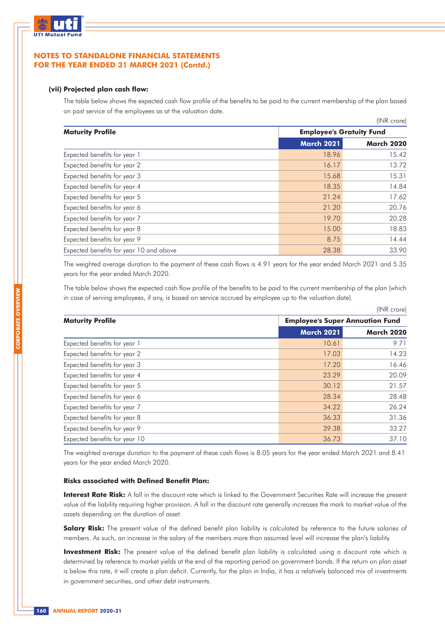

#### **(vii) Projected plan cash flow:**

The table below shows the expected cash flow profile of the benefits to be paid to the current membership of the plan based on past service of the employees as at the valuation date.

 $(1)$ 

|                                         |                   | (IIVA Crore)                    |  |  |
|-----------------------------------------|-------------------|---------------------------------|--|--|
| <b>Maturity Profile</b>                 |                   | <b>Employee's Gratuity Fund</b> |  |  |
|                                         | <b>March 2021</b> | <b>March 2020</b>               |  |  |
| Expected benefits for year 1            | 18.96             | 15.42                           |  |  |
| Expected benefits for year 2            | 16.17             | 13.72                           |  |  |
| Expected benefits for year 3            | 15.68             | 15.31                           |  |  |
| Expected benefits for year 4            | 18.35             | 14.84                           |  |  |
| Expected benefits for year 5            | 21.24             | 17.62                           |  |  |
| Expected benefits for year 6            | 21.20             | 20.76                           |  |  |
| Expected benefits for year 7            | 19.70             | 20.28                           |  |  |
| Expected benefits for year 8            | 15.00             | 18.83                           |  |  |
| Expected benefits for year 9            | 8.75              | 14.44                           |  |  |
| Expected benefits for year 10 and above | 28.38             | 33.90                           |  |  |

The weighted average duration to the payment of these cash flows is 4.91 years for the year ended March 2021 and 5.35 years for the year ended March 2020.

The table below shows the expected cash flow profile of the benefits to be paid to the current membership of the plan (which in case of serving employees, if any, is based on service accrued by employee up to the valuation date).

|                               |                   | (INR crore)                            |  |  |
|-------------------------------|-------------------|----------------------------------------|--|--|
| <b>Maturity Profile</b>       |                   | <b>Employee's Super Annuation Fund</b> |  |  |
|                               | <b>March 2021</b> | <b>March 2020</b>                      |  |  |
| Expected benefits for year 1  | 10.61             | 9.71                                   |  |  |
| Expected benefits for year 2  | 17.03             | 14.23                                  |  |  |
| Expected benefits for year 3  | 17.20             | 16.46                                  |  |  |
| Expected benefits for year 4  | 23.29             | 20.09                                  |  |  |
| Expected benefits for year 5  | 30.12             | 21.57                                  |  |  |
| Expected benefits for year 6  | 28.34             | 28.48                                  |  |  |
| Expected benefits for year 7  | 34.22             | 26.24                                  |  |  |
| Expected benefits for year 8  | 36.33             | 31.36                                  |  |  |
| Expected benefits for year 9  | 39.38             | 33.27                                  |  |  |
| Expected benefits for year 10 | 36.73             | 37.10                                  |  |  |

The weighted average duration to the payment of these cash flows is 8.05 years for the year ended March 2021 and 8.41 years for the year ended March 2020.

#### **Risks associated with Defined Benefit Plan:**

**Interest Rate Risk:** A fall in the discount rate which is linked to the Government Securities Rate will increase the present value of the liability requiring higher provision. A fall in the discount rate generally increases the mark to market value of the assets depending on the duration of asset.

**Salary Risk:** The present value of the defined benefit plan liability is calculated by reference to the future salaries of members. As such, an increase in the salary of the members more than assumed level will increase the plan's liability.

**Investment Risk:** The present value of the defined benefit plan liability is calculated using a discount rate which is determined by reference to market yields at the end of the reporting period on government bonds. If the return on plan asset is below this rate, it will create a plan deficit. Currently, for the plan in India, it has a relatively balanced mix of investments in government securities, and other debt instruments.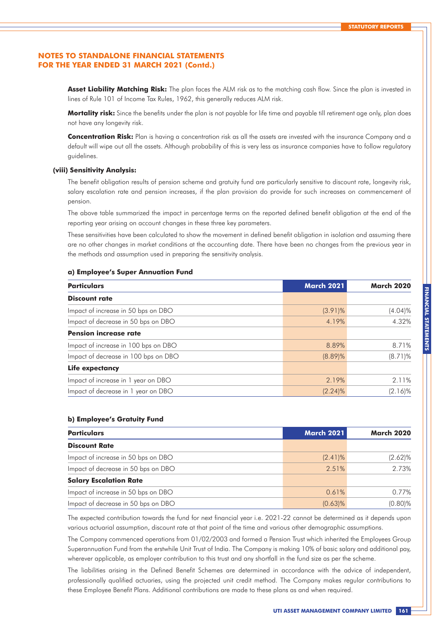**Asset Liability Matching Risk:** The plan faces the ALM risk as to the matching cash flow. Since the plan is invested in lines of Rule 101 of Income Tax Rules, 1962, this generally reduces ALM risk.

**Mortality risk:** Since the benefits under the plan is not payable for life time and payable till retirement age only, plan does not have any longevity risk.

**Concentration Risk:** Plan is having a concentration risk as all the assets are invested with the insurance Company and a default will wipe out all the assets. Although probability of this is very less as insurance companies have to follow regulatory guidelines.

#### **(viii) Sensitivity Analysis:**

The benefit obligation results of pension scheme and gratuity fund are particularly sensitive to discount rate, longevity risk, salary escalation rate and pension increases, if the plan provision do provide for such increases on commencement of pension.

The above table summarized the impact in percentage terms on the reported defined benefit obligation at the end of the reporting year arising on account changes in these three key parameters.

These sensitivities have been calculated to show the movement in defined benefit obligation in isolation and assuming there are no other changes in market conditions at the accounting date. There have been no changes from the previous year in the methods and assumption used in preparing the sensitivity analysis.

#### **a) Employee's Super Annuation Fund**

| <b>Particulars</b>                   | <b>March 2021</b> | <b>March 2020</b> |
|--------------------------------------|-------------------|-------------------|
| <b>Discount rate</b>                 |                   |                   |
| Impact of increase in 50 bps on DBO  | $(3.91)\%$        | (4.04)%           |
| Impact of decrease in 50 bps on DBO  | 4.19%             | 4.32%             |
| <b>Pension increase rate</b>         |                   |                   |
| Impact of increase in 100 bps on DBO | 8.89%             | 8.71%             |
| Impact of decrease in 100 bps on DBO | $(8.89)\%$        | (8.71)%           |
| Life expectancy                      |                   |                   |
| Impact of increase in 1 year on DBO  | 2.19%             | 2.11%             |
| Impact of decrease in 1 year on DBO  | (2.24)%           | $(2.16)\%$        |

#### **b) Employee's Gratuity Fund**

| <b>Particulars</b>                  | <b>March 2021</b> | <b>March 2020</b> |
|-------------------------------------|-------------------|-------------------|
| <b>Discount Rate</b>                |                   |                   |
| Impact of increase in 50 bps on DBO | $(2.41)\%$        | $(2.62)\%$        |
| Impact of decrease in 50 bps on DBO | 2.51%             | 2.73%             |
| <b>Salary Escalation Rate</b>       |                   |                   |
| Impact of increase in 50 bps on DBO | 0.61%             | 0.77%             |
| Impact of decrease in 50 bps on DBO | $(0.63)\%$        | $(0.80)\%$        |

The expected contribution towards the fund for next financial year i.e. 2021-22 cannot be determined as it depends upon various actuarial assumption, discount rate at that point of the time and various other demographic assumptions.

The Company commenced operations from 01/02/2003 and formed a Pension Trust which inherited the Employees Group Superannuation Fund from the erstwhile Unit Trust of India. The Company is making 10% of basic salary and additional pay, wherever applicable, as employer contribution to this trust and any shortfall in the fund size as per the scheme.

The liabilities arising in the Defined Benefit Schemes are determined in accordance with the advice of independent, professionally qualified actuaries, using the projected unit credit method. The Company makes regular contributions to these Employee Benefit Plans. Additional contributions are made to these plans as and when required.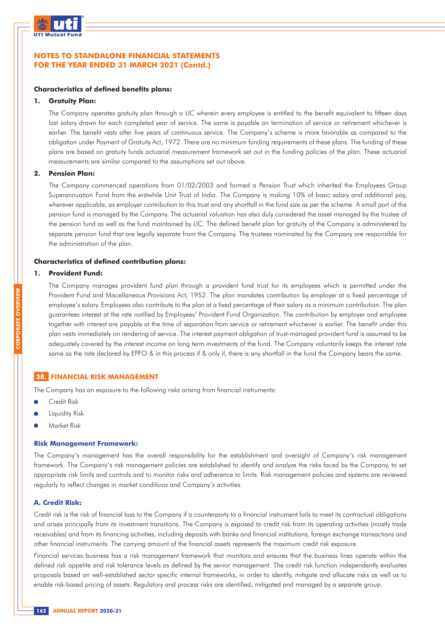

#### **Characteristics of defined benefits plans:**

#### **1. Gratuity Plan:**

The Company operates gratuity plan through a LIC wherein every employee is entitled to the benefit equivalent to fifteen days last salary drawn for each completed year of service. The same is payable on termination of service or retirement whichever is earlier. The benefit vests after five years of continuous service. The Company's scheme is more favorable as compared to the obligation under Payment of Gratuity Act, 1972. There are no minimum funding requirements of these plans. The funding of these plans are based on gratuity funds actuarial measurement framework set out in the funding policies of the plan. These actuarial measurements are similar compared to the assumptions set out above.

#### **2. Pension Plan:**

The Company commenced operations from 01/02/2003 and formed a Pension Trust which inherited the Employees Group Superannuation Fund from the erstwhile Unit Trust of India. The Company is making 10% of basic salary and additional pay, wherever applicable, as employer contribution to this trust and any shortfall in the fund size as per the scheme. A small part of the pension fund is managed by the Company. The actuarial valuation has also duly considered the asset managed by the trustee of the pension fund as well as the fund maintained by LIC. The defined benefit plan for gratuity of the Company is administered by separate pension fund that are legally separate from the Company. The trustees nominated by the Company are responsible for the administration of the plan.

#### **Characteristics of defined contribution plans:**

#### **1. Provident Fund:**

The Company manages provident fund plan through a provident fund trust for its employees which is permitted under the Provident Fund and Miscellaneous Provisions Act, 1952. The plan mandates contribution by employer at a fixed percentage of employee's salary. Employees also contribute to the plan at a fixed percentage of their salary as a minimum contribution. The plan guarantees interest at the rate notified by Employees' Provident Fund Organization. The contribution by employer and employee together with interest are payable at the time of separation from service or retirement whichever is earlier. The benefit under this plan vests immediately on rendering of service. The interest payment obligation of trust-managed provident fund is assumed to be adequately covered by the interest income on long term investments of the fund. The Company voluntarily keeps the interest rate same as the rate declared by EPFO & in this process if & only if, there is any shortfall in the fund the Company bears the same.

#### **38. FINANCIAL RISK MANAGEMENT**

The Company has an exposure to the following risks arising from financial instruments:

- Credit Risk
- Liquidity Risk
- Market Risk

#### **Risk Management Framework:**

The Company's management has the overall responsibility for the establishment and oversight of Company's risk management framework. The Company's risk management policies are established to identify and analyze the risks faced by the Company, to set appropriate risk limits and controls and to monitor risks and adherence to limits. Risk management policies and systems are reviewed regularly to reflect changes in market conditions and Company's activities.

#### **A. Credit Risk:**

Credit risk is the risk of financial loss to the Company if a counterparty to a financial instrument fails to meet its contractual obligations and arises principally from its investment transitions. The Company is exposed to credit risk from its operating activities (mostly trade receivables) and from its financing activities, including deposits with banks and financial institutions, foreign exchange transactions and other financial instruments. The carrying amount of the financial assets represents the maximum credit risk exposure.

Financial services business has a risk management framework that monitors and ensures that the business lines operate within the defined risk appetite and risk tolerance levels as defined by the senior management. The credit risk function independently evaluates proposals based on well-established sector specific internal frameworks, in order to identify, mitigate and allocate risks as well as to enable risk-based pricing of assets. Regulatory and process risks are identified, mitigated and managed by a separate group.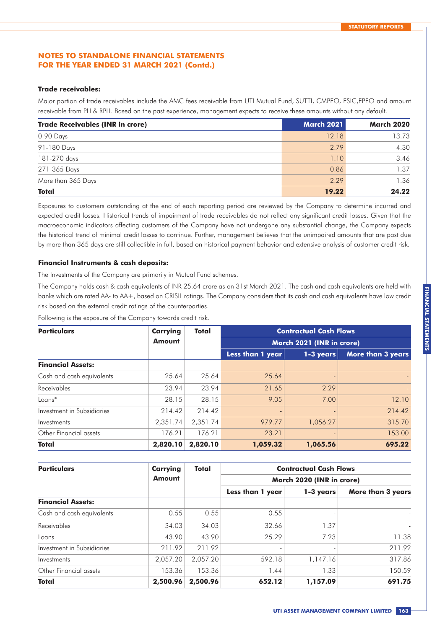#### **Trade receivables:**

Major portion of trade receivables include the AMC fees receivable from UTI Mutual Fund, SUTTI, CMPFO, ESIC,EPFO and amount receivable from PLI & RPLI. Based on the past experience, management expects to receive these amounts without any default.

| <b>Trade Receivables (INR in crore)</b> | <b>March 2021</b> | <b>March 2020</b> |
|-----------------------------------------|-------------------|-------------------|
| 0-90 Days                               | 12.18             | 13.73             |
| 91-180 Days                             | 2.79              | 4.30              |
| 181-270 days                            | 1.10              | 3.46              |
| 271-365 Days                            | 0.86              | 1.37              |
| More than 365 Days                      | 2.29              | 1.36              |
| Total                                   | 19.22             | 24.22             |

Exposures to customers outstanding at the end of each reporting period are reviewed by the Company to determine incurred and expected credit losses. Historical trends of impairment of trade receivables do not reflect any significant credit losses. Given that the macroeconomic indicators affecting customers of the Company have not undergone any substantial change, the Company expects the historical trend of minimal credit losses to continue. Further, management believes that the unimpaired amounts that are past due by more than 365 days are still collectible in full, based on historical payment behavior and extensive analysis of customer credit risk.

#### **Financial Instruments & cash deposits:**

The Investments of the Company are primarily in Mutual Fund schemes.

The Company holds cash & cash equivalents of INR 25.64 crore as on 31st March 2021. The cash and cash equivalents are held with banks which are rated AA- to AA+, based on CRISIL ratings. The Company considers that its cash and cash equivalents have low credit risk based on the external credit ratings of the counterparties.

Following is the exposure of the Company towards credit risk.

| <b>Particulars</b>         | Carrying      | <b>Total</b> | <b>Contractual Cash Flows</b> |             |                          |
|----------------------------|---------------|--------------|-------------------------------|-------------|--------------------------|
|                            | <b>Amount</b> |              | March 2021 (INR in crore)     |             |                          |
|                            |               |              | Less than 1 year              | $1-3$ years | <b>More than 3 years</b> |
| <b>Financial Assets:</b>   |               |              |                               |             |                          |
| Cash and cash equivalents  | 25.64         | 25.64        | 25.64                         |             |                          |
| Receivables                | 23.94         | 23.94        | 21.65                         | 2.29        |                          |
| $Loans*$                   | 28.15         | 28.15        | 9.05                          | 7.00        | 12.10                    |
| Investment in Subsidiaries | 214.42        | 214.42       |                               |             | 214.42                   |
| Investments                | 2,351.74      | 2,351.74     | 979.77                        | 1,056.27    | 315.70                   |
| Other Financial assets     | 176.21        | 176.21       | 23.21                         |             | 153.00                   |
| Total                      | 2,820.10      | 2,820.10     | 1,059.32                      | 1,065.56    | 695.22                   |

| <b>Particulars</b>         | Carrying      | <b>Total</b> |                  | <b>Contractual Cash Flows</b> |                   |
|----------------------------|---------------|--------------|------------------|-------------------------------|-------------------|
|                            | <b>Amount</b> |              |                  | March 2020 (INR in crore)     |                   |
|                            |               |              | Less than 1 year | 1-3 years                     | More than 3 years |
| <b>Financial Assets:</b>   |               |              |                  |                               |                   |
| Cash and cash equivalents  | 0.55          | 0.55         | 0.55             |                               |                   |
| Receivables                | 34.03         | 34.03        | 32.66            | 1.37                          |                   |
| Loans                      | 43.90         | 43.90        | 25.29            | 7.23                          | 11.38             |
| Investment in Subsidiaries | 211.92        | 211.92       |                  |                               | 211.92            |
| Investments                | 2,057.20      | 2.057.20     | 592.18           | 1,147.16                      | 317.86            |
| Other Financial assets     | 153.36        | 153.36       | 1.44             | 1.33                          | 150.59            |
| Total                      | 2,500.96      | 2,500.96     | 652.12           | 1,157.09                      | 691.75            |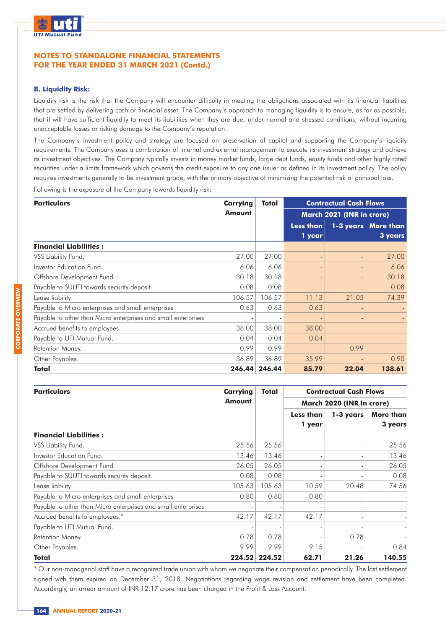

#### **B. Liquidity Risk:**

Liquidity risk is the risk that the Company will encounter difficulty in meeting the obligations associated with its financial liabilities that are settled by delivering cash or financial asset. The Company's approach to managing liquidity is to ensure, as far as possible, that it will have sufficient liquidity to meet its liabilities when they are due, under normal and stressed conditions, without incurring unacceptable losses or risking damage to the Company's reputation.

The Company's investment policy and strategy are focused on preservation of capital and supporting the Company's liquidity requirements. The Company uses a combination of internal and external management to execute its investment strategy and achieve its investment objectives. The Company typically invests in money market funds, large debt funds, equity funds and other highly rated securities under a limits framework which governs the credit exposure to any one issuer as defined in its investment policy. The policy requires investments generally to be investment grade, with the primary objective of minimizing the potential risk of principal loss.

Following is the exposure of the Company towards liquidity risk:

| <b>Particulars</b>                                            | Carrying      | Total  | <b>Contractual Cash Flows</b> |             |                  |  |
|---------------------------------------------------------------|---------------|--------|-------------------------------|-------------|------------------|--|
|                                                               | <b>Amount</b> |        | March 2021 (INR in crore)     |             |                  |  |
|                                                               |               |        | <b>Less than</b>              | $1-3$ years | <b>More than</b> |  |
|                                                               |               |        | 1 year                        |             | 3 years          |  |
| <b>Financial Liabilities:</b>                                 |               |        |                               |             |                  |  |
| VSS Liability Fund.                                           | 27.00         | 27.00  |                               |             | 27.00            |  |
| Investor Education Fund.                                      | 6.06          | 6.06   |                               |             | 6.06             |  |
| Offshore Development Fund.                                    | 30.18         | 30.18  |                               |             | 30.18            |  |
| Payable to SUUTI towards security deposit.                    | 0.08          | 0.08   |                               |             | 0.08             |  |
| Lease liability                                               | 106.57        | 106.57 | 11.13                         | 21.05       | 74.39            |  |
| Payable to Micro enterprises and small enterprises            | 0.63          | 0.63   | 0.63                          |             |                  |  |
| Payable to other than Micro enterprises and small enterprises |               |        |                               |             |                  |  |
| Accrued benefits to employees.                                | 38.00         | 38.00  | 38,00                         |             |                  |  |
| Payable to UTI Mutual Fund.                                   | 0.04          | 0.04   | 0.04                          |             |                  |  |
| Retention Money.                                              | 0.99          | 0.99   |                               | 0.99        |                  |  |
| Other Payables.                                               | 36.89         | 36.89  | 35.99                         |             | 0.90             |  |
| Total                                                         | 246.44        | 246.44 | 85.79                         | 22.04       | 138.61           |  |

| <b>Particulars</b>                                            | Carrying<br><b>Amount</b> | <b>Total</b> | <b>Contractual Cash Flows</b><br>March 2020 (INR in crore) |           |           |  |
|---------------------------------------------------------------|---------------------------|--------------|------------------------------------------------------------|-----------|-----------|--|
|                                                               |                           |              |                                                            |           |           |  |
|                                                               |                           |              | <b>Less than</b>                                           | 1-3 years | More than |  |
|                                                               |                           |              | 1 year                                                     |           | 3 years   |  |
| <b>Financial Liabilities:</b>                                 |                           |              |                                                            |           |           |  |
| VSS Liability Fund.                                           | 25.56                     | 25.56        |                                                            |           | 25.56     |  |
| Investor Education Fund.                                      | 13.46                     | 13.46        |                                                            |           | 13.46     |  |
| Offshore Development Fund.                                    | 26.05                     | 26.05        | ٠                                                          |           | 26.05     |  |
| Payable to SUUTI towards security deposit.                    | 0.08                      | 0.08         |                                                            |           | 0.08      |  |
| Lease liability                                               | 105.63                    | 105.63       | 10.59                                                      | 20.48     | 74.56     |  |
| Payable to Micro enterprises and small enterprises            | 0.80                      | 0.80         | 0.80                                                       |           |           |  |
| Payable to other than Micro enterprises and small enterprises |                           |              |                                                            |           |           |  |
| Accrued benefits to employees.*                               | 42.17                     | 42.17        | 42.17                                                      |           |           |  |
| Payable to UTI Mutual Fund.                                   |                           |              |                                                            |           |           |  |
| Retention Money.                                              | 0.78                      | 0.78         |                                                            | 0.78      |           |  |
| Other Payables.                                               | 9.99                      | 9.99         | 9.15                                                       |           | 0.84      |  |
| Total                                                         | 224.52                    | 224.52       | 62.71                                                      | 21.26     | 140.55    |  |

\* Our non-managerial staff have a recognized trade union with whom we negotiate their compensation periodically. The last settlement signed with them expired on December 31, 2018. Negotiations regarding wage revision and settlement have been completed. Accordingly, an arrear amount of INR 12.17 crore has been charged in the Profit & Loss Account.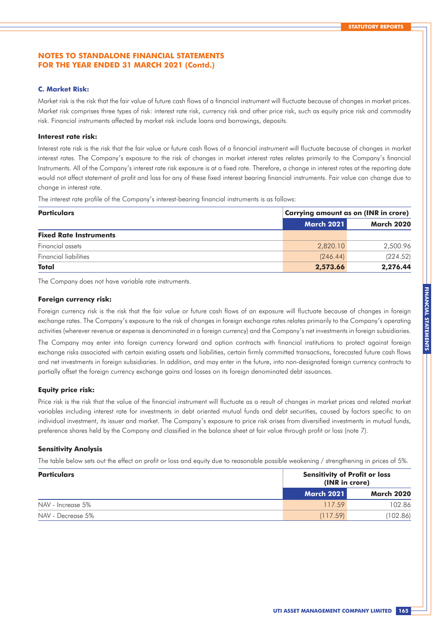#### **C. Market Risk:**

Market risk is the risk that the fair value of future cash flows of a financial instrument will fluctuate because of changes in market prices. Market risk comprises three types of risk: interest rate risk, currency risk and other price risk, such as equity price risk and commodity risk. Financial instruments affected by market risk include loans and borrowings, deposits.

#### **Interest rate risk:**

Interest rate risk is the risk that the fair value or future cash flows of a financial instrument will fluctuate because of changes in market interest rates. The Company's exposure to the risk of changes in market interest rates relates primarily to the Company's financial Instruments. All of the Company's interest rate risk exposure is at a fixed rate. Therefore, a change in interest rates at the reporting date would not affect statement of profit and loss for any of these fixed interest bearing financial instruments. Fair value can change due to change in interest rate.

The interest rate profile of the Company's interest-bearing financial instruments is as follows:

| <b>Particulars</b>            | Carrying amount as on (INR in crore) |                   |  |
|-------------------------------|--------------------------------------|-------------------|--|
|                               | March 2021                           | <b>March 2020</b> |  |
| <b>Fixed Rate Instruments</b> |                                      |                   |  |
| Financial assets              | 2,820.10                             | 2,500.96          |  |
| <b>Financial liabilities</b>  | (246.44)                             | (224.52)          |  |
| Total                         | 2,573.66                             | 2,276.44          |  |

The Company does not have variable rate instruments.

#### **Foreign currency risk:**

Foreign currency risk is the risk that the fair value or future cash flows of an exposure will fluctuate because of changes in foreign exchange rates. The Company's exposure to the risk of changes in foreign exchange rates relates primarily to the Company's operating activities (wherever revenue or expense is denominated in a foreign currency) and the Company's net investments in foreign subsidiaries.

The Company may enter into foreign currency forward and option contracts with financial institutions to protect against foreign exchange risks associated with certain existing assets and liabilities, certain firmly committed transactions, forecasted future cash flows and net investments in foreign subsidiaries. In addition, and may enter in the future, into non-designated foreign currency contracts to partially offset the foreign currency exchange gains and losses on its foreign denominated debt issuances.

#### **Equity price risk:**

Price risk is the risk that the value of the financial instrument will fluctuate as a result of changes in market prices and related market variables including interest rate for investments in debt oriented mutual funds and debt securities, caused by factors specific to an individual investment, its issuer and market. The Company's exposure to price risk arises from diversified investments in mutual funds, preference shares held by the Company and classified in the balance sheet at fair value through profit or loss (note 7).

#### **Sensitivity Analysis**

The table below sets out the effect on profit or loss and equity due to reasonable possible weakening / strengthening in prices of 5%.

| <b>Particulars</b> | <b>Sensitivity of Profit or loss</b><br>(INR in crore) |                   |
|--------------------|--------------------------------------------------------|-------------------|
|                    | <b>March 2021</b>                                      | <b>March 2020</b> |
| NAV - Increase 5%  | 117.59                                                 | 102.86            |
| NAV - Decrease 5%  | (117.59)                                               | 102.86            |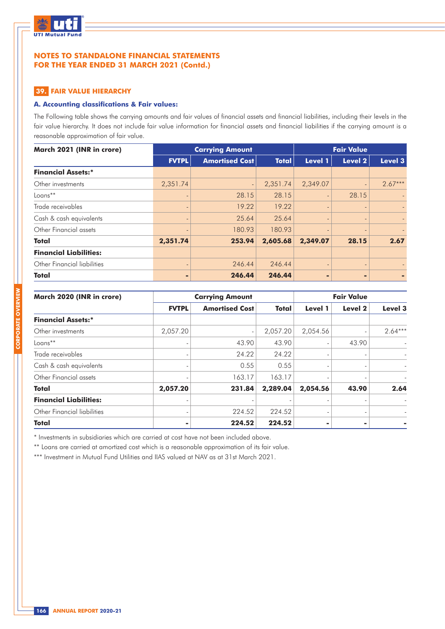

### **39. FAIR VALUE HIERARCHY**

### **A. Accounting classifications & Fair values:**

The Following table shows the carrying amounts and fair values of financial assets and financial liabilities, including their levels in the fair value hierarchy. It does not include fair value information for financial assets and financial liabilities if the carrying amount is a reasonable approximation of fair value.

| March 2021 (INR in crore)     | <b>Carrying Amount</b> |                       |              | <b>Fair Value</b> |                          |           |
|-------------------------------|------------------------|-----------------------|--------------|-------------------|--------------------------|-----------|
|                               | <b>FVTPL</b>           | <b>Amortised Cost</b> | <b>Total</b> | Level 1           | Level 2                  | Level 3   |
| <b>Financial Assets:*</b>     |                        |                       |              |                   |                          |           |
| Other investments             | 2,351.74               |                       | 2,351.74     | 2,349.07          | $\overline{\phantom{m}}$ | $2.67***$ |
| $Loans**$                     |                        | 28.15                 | 28.15        |                   | 28.15                    |           |
| Trade receivables             |                        | 19.22                 | 19.22        |                   |                          |           |
| Cash & cash equivalents       |                        | 25.64                 | 25.64        |                   |                          |           |
| Other Financial assets        |                        | 180.93                | 180.93       |                   |                          |           |
| <b>Total</b>                  | 2,351.74               | 253.94                | 2,605.68     | 2,349.07          | 28.15                    | 2.67      |
| <b>Financial Liabilities:</b> |                        |                       |              |                   |                          |           |
| Other Financial liabilities   |                        | 246.44                | 246.44       |                   |                          |           |
| <b>Total</b>                  |                        | 246.44                | 246.44       |                   | $\blacksquare$           |           |

| March 2020 (INR in crore)     | <b>Carrying Amount</b> |                          |              | <b>Fair Value</b> |                          |                          |
|-------------------------------|------------------------|--------------------------|--------------|-------------------|--------------------------|--------------------------|
|                               | <b>FVTPL</b>           | <b>Amortised Cost</b>    | <b>Total</b> | Level 1           | Level 2                  | Level 3                  |
| <b>Financial Assets:*</b>     |                        |                          |              |                   |                          |                          |
| Other investments             | 2,057.20               | $\overline{\phantom{a}}$ | 2,057.20     | 2,054.56          |                          | $2.64***$                |
| $Loans**$                     |                        | 43.90                    | 43.90        |                   | 43.90                    |                          |
| Trade receivables             |                        | 24.22                    | 24.22        |                   |                          |                          |
| Cash & cash equivalents       |                        | 0.55                     | 0.55         |                   |                          |                          |
| Other Financial assets        |                        | 163.17                   | 163.17       |                   |                          |                          |
| <b>Total</b>                  | 2,057.20               | 231.84                   | 2,289.04     | 2,054.56          | 43.90                    | 2.64                     |
| <b>Financial Liabilities:</b> |                        |                          |              |                   |                          |                          |
| Other Financial liabilities   |                        | 224.52                   | 224.52       |                   | $\overline{\phantom{a}}$ | $\overline{\phantom{a}}$ |
| <b>Total</b>                  | $\,$                   | 224.52                   | 224.52       | ۰                 | ٠                        | $\sim$                   |

\* Investments in subsidiaries which are carried at cost have not been included above.

\*\* Loans are carried at amortized cost which is a reasonable approximation of its fair value.

\*\*\* Investment in Mutual Fund Utilities and IIAS valued at NAV as at 31st March 2021.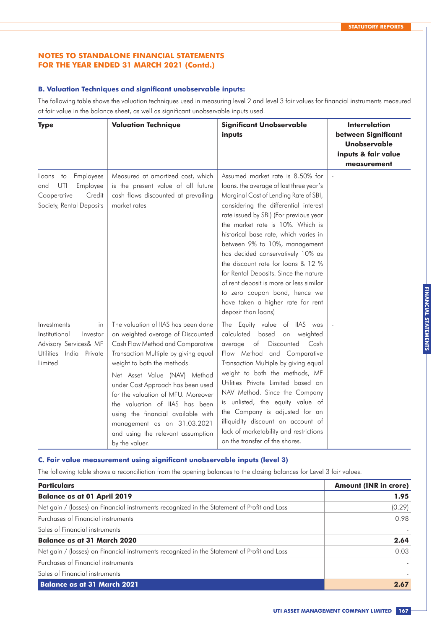**FINANCIAL STATEMENTS**

FINANCIAL STATEMENTS

### **NOTES TO STANDALONE FINANCIAL STATEMENTS FOR THE YEAR ENDED 31 MARCH 2021 (Contd.)**

#### **B. Valuation Techniques and significant unobservable inputs:**

The following table shows the valuation techniques used in measuring level 2 and level 3 fair values for financial instruments measured at fair value in the balance sheet, as well as significant unobservable inputs used.

| <b>Type</b>                                                                                                   | <b>Valuation Technique</b>                                                                                                                                                                                                                                                                                                                                                                                                                                   | <b>Significant Unobservable</b><br>inputs                                                                                                                                                                                                                                                                                                                                                                                                                                                                                                                                         | <b>Interrelation</b><br>between Significant<br>Unobservable<br>inputs & fair value<br>measurement |
|---------------------------------------------------------------------------------------------------------------|--------------------------------------------------------------------------------------------------------------------------------------------------------------------------------------------------------------------------------------------------------------------------------------------------------------------------------------------------------------------------------------------------------------------------------------------------------------|-----------------------------------------------------------------------------------------------------------------------------------------------------------------------------------------------------------------------------------------------------------------------------------------------------------------------------------------------------------------------------------------------------------------------------------------------------------------------------------------------------------------------------------------------------------------------------------|---------------------------------------------------------------------------------------------------|
| Employees<br>to<br>Loans<br>UTI<br>Employee<br>and<br>Credit<br>Cooperative<br>Society, Rental Deposits       | Measured at amortized cost, which<br>is the present value of all future<br>cash flows discounted at prevailing<br>market rates                                                                                                                                                                                                                                                                                                                               | Assumed market rate is 8.50% for<br>loans. the average of last three year's<br>Marginal Cost of Lending Rate of SBI,<br>considering the differential interest<br>rate issued by SBI) (For previous year<br>the market rate is 10%. Which is<br>historical base rate, which varies in<br>between 9% to 10%, management<br>has decided conservatively 10% as<br>the discount rate for loans & 12 %<br>for Rental Deposits. Since the nature<br>of rent deposit is more or less similar<br>to zero coupon bond, hence we<br>have taken a higher rate for rent<br>deposit than loans) |                                                                                                   |
| Investments<br>in<br>Institutional<br>Investor<br>Advisory Services& MF<br>Utilities India Private<br>Limited | The valuation of IIAS has been done<br>on weighted average of Discounted<br>Cash Flow Method and Comparative<br>Transaction Multiple by giving equal<br>weight to both the methods.<br>Net Asset Value (NAV) Method<br>under Cost Approach has been used<br>for the valuation of MFU. Moreover<br>the valuation of IIAS has been<br>using the financial available with<br>management as on 31.03.2021<br>and using the relevant assumption<br>by the valuer. | The Equity value of IIAS was<br>calculated based<br>weighted<br>on<br>Cash<br>average<br>of<br>Discounted<br>Flow Method and Comparative<br>Transaction Multiple by giving equal<br>weight to both the methods, MF<br>Utilities Private Limited based on<br>NAV Method. Since the Company<br>is unlisted, the equity value of<br>the Company is adjusted for an<br>illiquidity discount on account of<br>lack of marketability and restrictions<br>on the transfer of the shares.                                                                                                 |                                                                                                   |

#### **C. Fair value measurement using significant unobservable inputs (level 3)**

The following table shows a reconciliation from the opening balances to the closing balances for Level 3 fair values.

| <b>Particulars</b>                                                                          | <b>Amount (INR in crore)</b> |
|---------------------------------------------------------------------------------------------|------------------------------|
| <b>Balance as at 01 April 2019</b>                                                          | 1.95                         |
| Net gain / (losses) on Financial instruments recognized in the Statement of Profit and Loss | (0.29)                       |
| Purchases of Financial instruments                                                          | 0.98                         |
| Sales of Financial instruments                                                              |                              |
| <b>Balance as at 31 March 2020</b>                                                          | 2.64                         |
| Net gain / (losses) on Financial instruments recognized in the Statement of Profit and Loss | 0.03                         |
| Purchases of Financial instruments                                                          |                              |
| Sales of Financial instruments                                                              |                              |
| Balance as at 31 March 2021                                                                 | 2.67                         |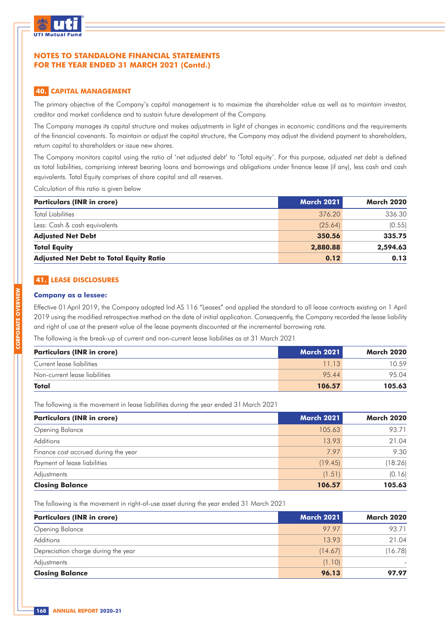

### **40. CAPITAL MANAGEMENT**

The primary objective of the Company's capital management is to maximize the shareholder value as well as to maintain investor, creditor and market confidence and to sustain future development of the Company.

The Company manages its capital structure and makes adjustments in light of changes in economic conditions and the requirements of the financial covenants. To maintain or adjust the capital structure, the Company may adjust the dividend payment to shareholders, return capital to shareholders or issue new shares.

The Company monitors capital using the ratio of 'net adjusted debt' to 'Total equity'. For this purpose, adjusted net debt is defined as total liabilities, comprising interest bearing loans and borrowings and obligations under finance lease (if any), less cash and cash equivalents. Total Equity comprises of share capital and all reserves.

Calculation of this ratio is given below

| <b>Particulars (INR in crore)</b>              | <b>March 2021</b> | <b>March 2020</b> |
|------------------------------------------------|-------------------|-------------------|
| <b>Total Liabilities</b>                       | 376.20            | 336.30            |
| Less: Cash & cash equivalents                  | (25.64)           | (0.55)            |
| <b>Adjusted Net Debt</b>                       | 350.56            | 335.75            |
| <b>Total Equity</b>                            | 2,880.88          | 2,594.63          |
| <b>Adjusted Net Debt to Total Equity Ratio</b> | 0.12              | 0.13              |

### **41. LEASE DISCLOSURES**

#### **Company as a lessee:**

Effective 01 April 2019, the Company adopted Ind AS 116 "Leases" and applied the standard to all lease contracts existing on 1 April 2019 using the modified retrospective method on the date of initial application. Consequently, the Company recorded the lease liability and right of use at the present value of the lease payments discounted at the incremental borrowing rate.

The following is the break-up of current and non-current lease liabilities as at 31 March 2021

| <b>Particulars (INR in crore)</b> | <b>March 2021</b> | <b>March 2020</b> |
|-----------------------------------|-------------------|-------------------|
| Current lease liabilities         | 11 13             | 10.59             |
| Non-current lease liabilities     | 9544              | 95.04             |
| Total                             | 106.57            | 105.63            |

The following is the movement in lease liabilities during the year ended 31 March 2021

| <b>Particulars (INR in crore)</b>    | <b>March 2021</b> | <b>March 2020</b> |
|--------------------------------------|-------------------|-------------------|
| <b>Opening Balance</b>               | 105.63            | 93.71             |
| <b>Additions</b>                     | 13.93             | 21.04             |
| Finance cost accrued during the year | 7.97              | 9.30              |
| Payment of lease liabilities         | (19.45)           | (18.26)           |
| Adjustments                          | (1.51)            | (0.16)            |
| <b>Closing Balance</b>               | 106.57            | 105.63            |

The following is the movement in right-of-use asset during the year ended 31 March 2021

| <b>Particulars (INR in crore)</b>   | <b>March 2021</b> | <b>March 2020</b> |
|-------------------------------------|-------------------|-------------------|
| <b>Opening Balance</b>              | 97.97             | 93.71             |
| <b>Additions</b>                    | 13.93             | 21.04             |
| Depreciation charge during the year | (14.67)           | (16.78)           |
| Adjustments                         | (1.10)            |                   |
| <b>Closing Balance</b>              | 96.13             | 97.97             |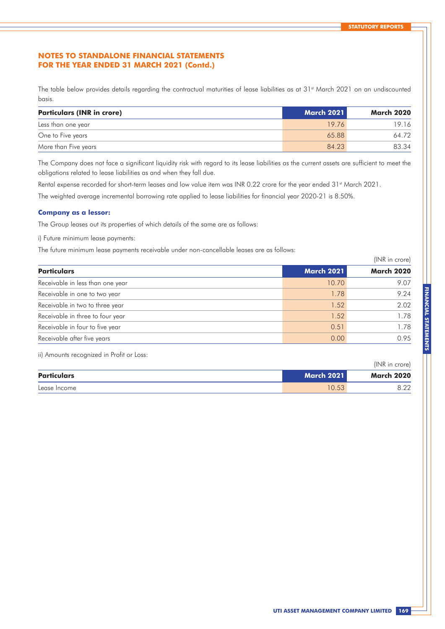The table below provides details regarding the contractual maturities of lease liabilities as at 31<sup>st</sup> March 2021 on an undiscounted basis.

| <b>Particulars (INR in crore)</b> | <b>March 2021</b> | <b>March 2020</b> |
|-----------------------------------|-------------------|-------------------|
| Less than one year                | 1976              | 19.16             |
| One to Five years                 | 65.88             | 64.72             |
| More than Five years              | 84.23             | 83.34             |

The Company does not face a significant liquidity risk with regard to its lease liabilities as the current assets are sufficient to meet the obligations related to lease liabilities as and when they fall due.

Rental expense recorded for short-term leases and low value item was INR 0.22 crore for the year ended 31<sup>st</sup> March 2021.

The weighted average incremental borrowing rate applied to lease liabilities for financial year 2020-21 is 8.50%.

#### **Company as a lessor:**

The Group leases out its properties of which details of the same are as follows:

i) Future minimum lease payments:

The future minimum lease payments receivable under non-cancellable leases are as follows:

|                                  |                   | (INR in crore)    |
|----------------------------------|-------------------|-------------------|
| <b>Particulars</b>               | <b>March 2021</b> | <b>March 2020</b> |
| Receivable in less than one year | 10.70             | 9.07              |
| Receivable in one to two year    | 1.78              | 9.24              |
| Receivable in two to three year  | 1.52              | 2.02              |
| Receivable in three to four year | 1.52              | 1.78              |
| Receivable in four to five year  | 0.51              | 1.78              |
| Receivable after five years      | 0.00              | 0.95              |

ii) Amounts recognized in Profit or Loss:

|                    |                   | (INR in crore)    |
|--------------------|-------------------|-------------------|
| <b>Particulars</b> | <b>March 2021</b> | <b>March 2020</b> |
| Lease Income       | 10.53             | 8.22              |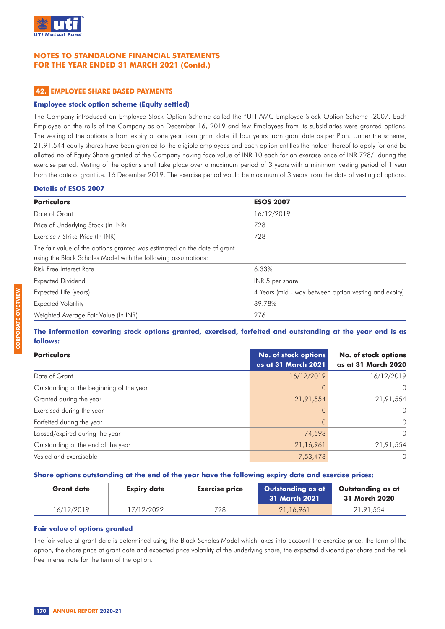

### **42. EMPLOYEE SHARE BASED PAYMENTS**

#### **Employee stock option scheme (Equity settled)**

The Company introduced an Employee Stock Option Scheme called the "UTI AMC Employee Stock Option Scheme -2007. Each Employee on the rolls of the Company as on December 16, 2019 and few Employees from its subsidiaries were granted options. The vesting of the options is from expiry of one year from grant date till four years from grant date as per Plan. Under the scheme, 21,91,544 equity shares have been granted to the eligible employees and each option entitles the holder thereof to apply for and be allotted no of Equity Share granted of the Company having face value of INR 10 each for an exercise price of INR 728/- during the exercise period. Vesting of the options shall take place over a maximum period of 3 years with a minimum vesting period of 1 year from the date of grant i.e. 16 December 2019. The exercise period would be maximum of 3 years from the date of vesting of options.

#### **Details of ESOS 2007**

| <b>Particulars</b>                                                       | <b>ESOS 2007</b>                                      |
|--------------------------------------------------------------------------|-------------------------------------------------------|
| Date of Grant                                                            | 16/12/2019                                            |
| Price of Underlying Stock (In INR)                                       | 728                                                   |
| Exercise / Strike Price (In INR)                                         | 728                                                   |
| The fair value of the options granted was estimated on the date of grant |                                                       |
| using the Black Scholes Model with the following assumptions:            |                                                       |
| <b>Risk Free Interest Rate</b>                                           | 6.33%                                                 |
| <b>Expected Dividend</b>                                                 | INR 5 per share                                       |
| Expected Life (years)                                                    | 4 Years (mid - way between option vesting and expiry) |
| <b>Expected Volatility</b>                                               | 39.78%                                                |
| Weighted Average Fair Value (In INR)                                     | 276                                                   |

### **The information covering stock options granted, exercised, forfeited and outstanding at the year end is as follows:**

| <b>Particulars</b>                       | No. of stock options<br>as at 31 March 2021 | No. of stock options<br>as at 31 March 2020 |
|------------------------------------------|---------------------------------------------|---------------------------------------------|
| Date of Grant                            | 16/12/2019                                  | 16/12/2019                                  |
| Outstanding at the beginning of the year | 0                                           | $\Omega$                                    |
| Granted during the year                  | 21,91,554                                   | 21,91,554                                   |
| Exercised during the year                | 0                                           | $\Omega$                                    |
| Forfeited during the year                | $\Omega$                                    | $\Omega$                                    |
| Lapsed/expired during the year           | 74,593                                      | $\Omega$                                    |
| Outstanding at the end of the year       | 21,16,961                                   | 21,91,554                                   |
| Vested and exercisable                   | 7,53,478                                    | $\Omega$                                    |

#### **Share options outstanding at the end of the year have the following expiry date and exercise prices:**

| <b>Grant date</b> | <b>Expiry date</b> | <b>Exercise price</b> | Outstanding as at<br>31 March 2021 | Outstanding as at<br>31 March 2020 |
|-------------------|--------------------|-----------------------|------------------------------------|------------------------------------|
| 16/12/2019        | 17/12/2022         | 728.                  | 21,16,961                          | 21,91,554                          |

#### **Fair value of options granted**

The fair value at grant date is determined using the Black Scholes Model which takes into account the exercise price, the term of the option, the share price at grant date and expected price volatility of the underlying share, the expected dividend per share and the risk free interest rate for the term of the option.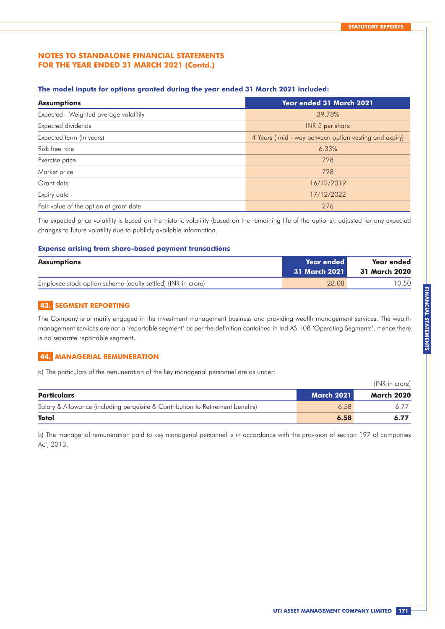#### **The model inputs for options granted during the year ended 31 March 2021 included:**

| <b>Assumptions</b>                     | <b>Year ended 31 March 2021</b>                       |  |
|----------------------------------------|-------------------------------------------------------|--|
| Expected - Weighted average volatility | 39.78%                                                |  |
| Expected dividends                     | INR 5 per share                                       |  |
| Expected term (In years)               | 4 Years (mid - way between option vesting and expiry) |  |
| Risk free rate                         | 6.33%                                                 |  |
| Exercise price                         | 728                                                   |  |
| Market price                           | 728                                                   |  |
| Grant date                             | 16/12/2019                                            |  |
| Expiry date                            | 17/12/2022                                            |  |
| Fair value of the option at grant date | 276                                                   |  |

The expected price volatility is based on the historic volatility (based on the remaining life of the options), adjusted for any expected changes to future volatility due to publicly available information.

#### **Expense arising from share-based payment transactions**

| <b>Assumptions</b>                                           | Year ended l  | Year ended    |
|--------------------------------------------------------------|---------------|---------------|
|                                                              | 31 March 2021 | 31 March 2020 |
| Employee stock option scheme (equity settled) (INR in crore) | 28.08         | 10.50         |

### **43. SEGMENT REPORTING**

The Company is primarily engaged in the investment management business and providing wealth management services. The wealth management services are not a 'reportable segment' as per the definition contained in Ind AS 108 'Operating Segments'. Hence there is no separate reportable segment.

### **44. MANAGERIAL REMUNERATION**

a) The particulars of the remuneration of the key managerial personnel are as under:

|                                                                                 |                   | (INR in crore)    |
|---------------------------------------------------------------------------------|-------------------|-------------------|
| <b>Particulars</b>                                                              | <b>March 2021</b> | <b>March 2020</b> |
| Salary & Allowance (including perquisite & Contribution to Retirement benefits) | 6.58              |                   |
| Total                                                                           | 6.58              | 6.77              |

b) The managerial remuneration paid to key managerial personnel is in accordance with the provision of section 197 of companies Act, 2013.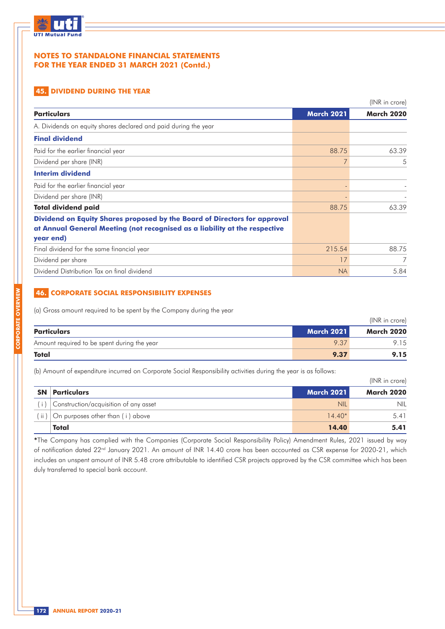

### **45. DIVIDEND DURING THE YEAR**

|                                                                                         |                          | (INR in crore)    |
|-----------------------------------------------------------------------------------------|--------------------------|-------------------|
| <b>Particulars</b>                                                                      | <b>March 2021</b>        | <b>March 2020</b> |
| A. Dividends on equity shares declared and paid during the year                         |                          |                   |
| <b>Final dividend</b>                                                                   |                          |                   |
| Paid for the earlier financial year                                                     | 88.75                    | 63.39             |
| Dividend per share (INR)                                                                | $\overline{7}$           | 5                 |
| <b>Interim dividend</b>                                                                 |                          |                   |
| Paid for the earlier financial year                                                     | ٠                        |                   |
| Dividend per share (INR)                                                                | $\overline{\phantom{a}}$ |                   |
| <b>Total dividend paid</b>                                                              | 88.75                    | 63.39             |
| Dividend on Equity Shares proposed by the Board of Directors for approval               |                          |                   |
| at Annual General Meeting (not recognised as a liability at the respective<br>year end) |                          |                   |
| Final dividend for the same financial year                                              | 215.54                   | 88.75             |
| Dividend per share                                                                      | 17                       | 7                 |
| Dividend Distribution Tax on final dividend                                             | <b>NA</b>                | 5.84              |

### **46. CORPORATE SOCIAL RESPONSIBILITY EXPENSES**

(a) Gross amount required to be spent by the Company during the year

|                                             | (INR in crore)    |                   |
|---------------------------------------------|-------------------|-------------------|
| <b>Particulars</b>                          | <b>March 2021</b> | <b>March 2020</b> |
| Amount required to be spent during the year | 9 37              | 9.15              |
| Total                                       | 9.37              | 9.15              |

(b) Amount of expenditure incurred on Corporate Social Responsibility activities during the year is as follows:

|           |                                       |                   | (INR in crore)    |
|-----------|---------------------------------------|-------------------|-------------------|
| <b>SN</b> | Particulars                           | <b>March 2021</b> | <b>March 2020</b> |
|           | Construction/acquisition of any asset | NIL.              | <b>NIL</b>        |
| ( ii )    | On purposes other than (i) above      | $14.40*$          | 5.41              |
|           | Total                                 | 14.40             | 5.41              |

**\***The Company has complied with the Companies (Corporate Social Responsibility Policy) Amendment Rules, 2021 issued by way of notification dated 22<sup>nd</sup> January 2021. An amount of INR 14.40 crore has been accounted as CSR expense for 2020-21, which includes an unspent amount of INR 5.48 crore attributable to identified CSR projects approved by the CSR committee which has been duly transferred to special bank account.